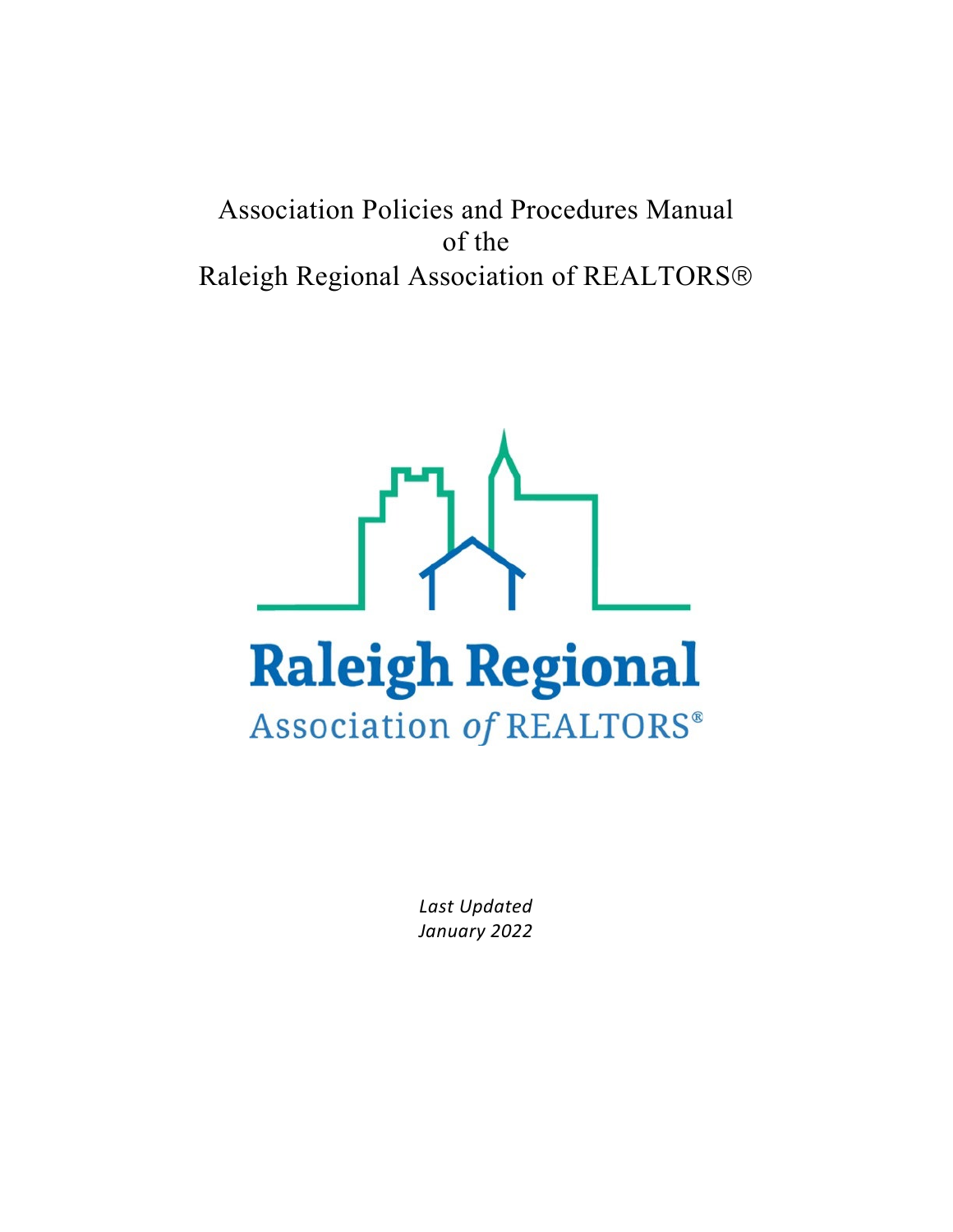# Association Policies and Procedures Manual of the Raleigh Regional Association of REALTORS



*Last Updated January 2022*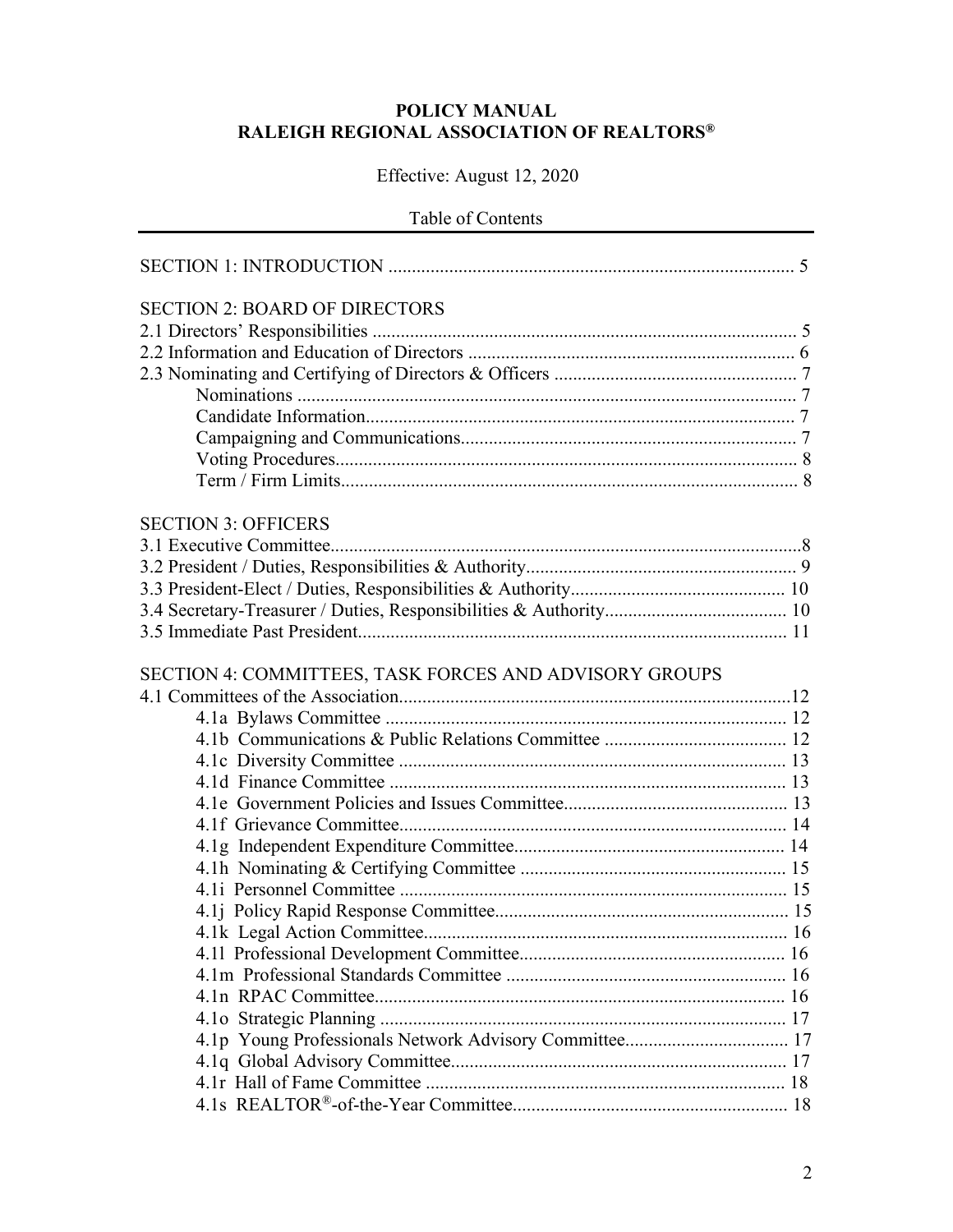### **POLICY MANUAL RALEIGH REGIONAL ASSOCIATION OF REALTORS®**

# Effective: August 12, 2020

### Table of Contents

| <b>SECTION 2: BOARD OF DIRECTORS</b>                   |  |
|--------------------------------------------------------|--|
|                                                        |  |
|                                                        |  |
|                                                        |  |
|                                                        |  |
|                                                        |  |
|                                                        |  |
|                                                        |  |
|                                                        |  |
| <b>SECTION 3: OFFICERS</b>                             |  |
|                                                        |  |
|                                                        |  |
|                                                        |  |
|                                                        |  |
|                                                        |  |
|                                                        |  |
| SECTION 4: COMMITTEES, TASK FORCES AND ADVISORY GROUPS |  |
|                                                        |  |
|                                                        |  |
|                                                        |  |
|                                                        |  |
|                                                        |  |
|                                                        |  |
|                                                        |  |
|                                                        |  |
|                                                        |  |
|                                                        |  |
|                                                        |  |
|                                                        |  |
|                                                        |  |
|                                                        |  |
|                                                        |  |
|                                                        |  |
|                                                        |  |
|                                                        |  |
|                                                        |  |
|                                                        |  |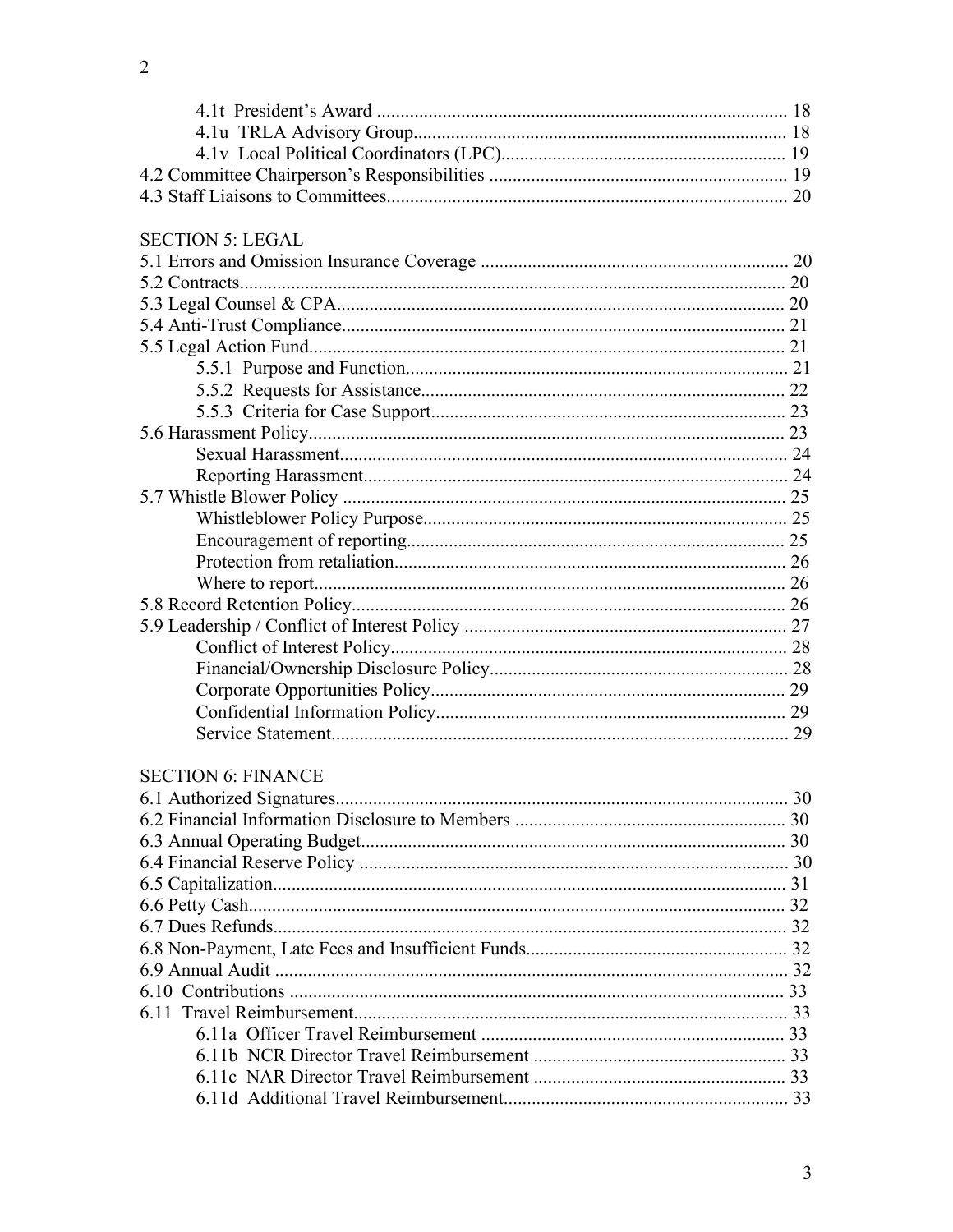| <b>SECTION 5: LEGAL</b>   |  |
|---------------------------|--|
|                           |  |
|                           |  |
|                           |  |
|                           |  |
|                           |  |
|                           |  |
|                           |  |
|                           |  |
|                           |  |
|                           |  |
|                           |  |
|                           |  |
|                           |  |
|                           |  |
|                           |  |
|                           |  |
|                           |  |
|                           |  |
|                           |  |
|                           |  |
|                           |  |
|                           |  |
|                           |  |
|                           |  |
| <b>SECTION 6: FINANCE</b> |  |
|                           |  |
|                           |  |
|                           |  |
|                           |  |
|                           |  |
|                           |  |
|                           |  |
|                           |  |
|                           |  |
|                           |  |
|                           |  |
|                           |  |
|                           |  |
|                           |  |
|                           |  |
|                           |  |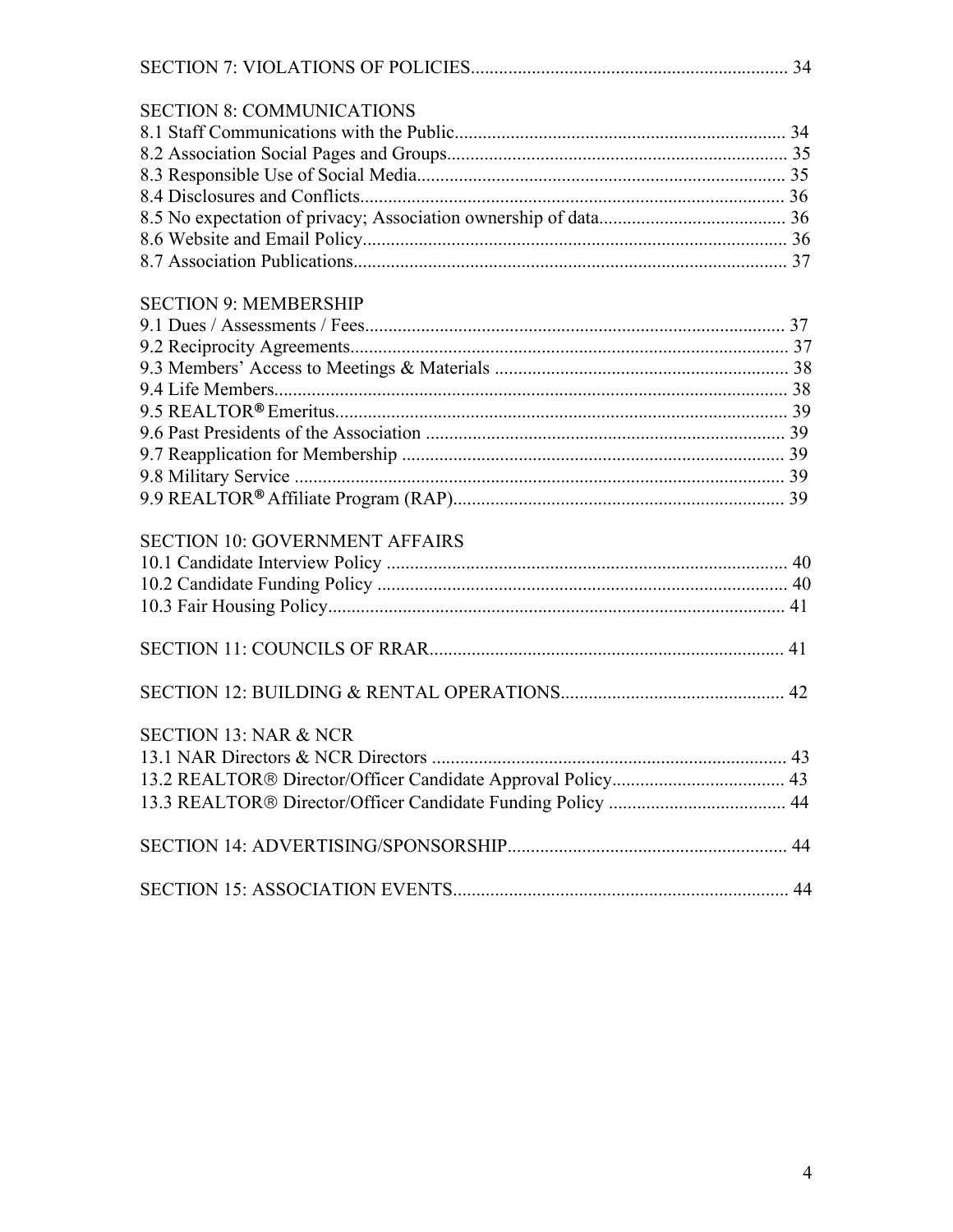| <b>SECTION 8: COMMUNICATIONS</b>      |  |
|---------------------------------------|--|
|                                       |  |
|                                       |  |
|                                       |  |
|                                       |  |
|                                       |  |
|                                       |  |
|                                       |  |
| <b>SECTION 9: MEMBERSHIP</b>          |  |
|                                       |  |
|                                       |  |
|                                       |  |
|                                       |  |
|                                       |  |
|                                       |  |
|                                       |  |
|                                       |  |
|                                       |  |
| <b>SECTION 10: GOVERNMENT AFFAIRS</b> |  |
|                                       |  |
|                                       |  |
|                                       |  |
|                                       |  |
|                                       |  |
| <b>SECTION 13: NAR &amp; NCR</b>      |  |
|                                       |  |
|                                       |  |
|                                       |  |
|                                       |  |
|                                       |  |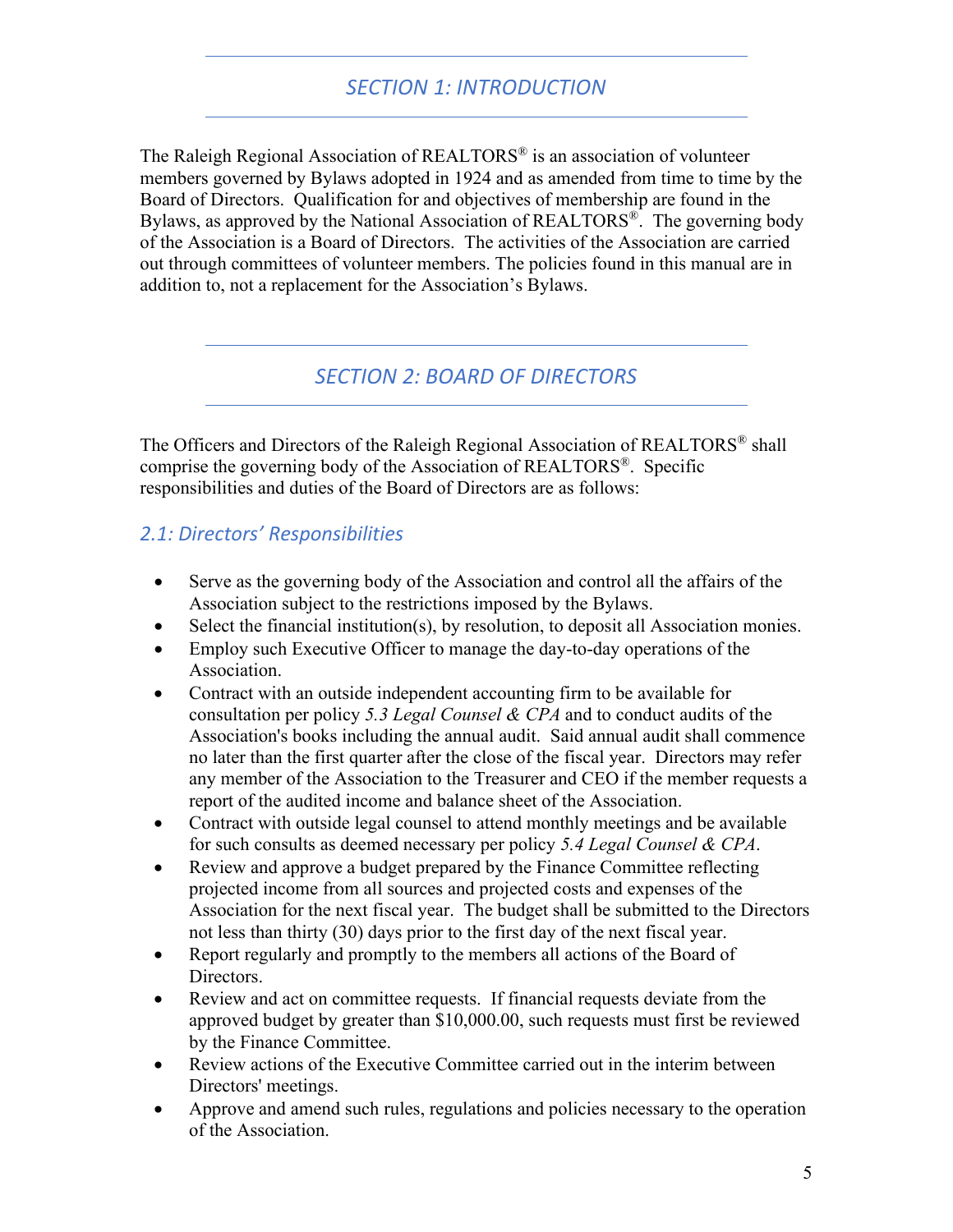# *SECTION 1: INTRODUCTION*

The Raleigh Regional Association of REALTORS® is an association of volunteer members governed by Bylaws adopted in 1924 and as amended from time to time by the Board of Directors. Qualification for and objectives of membership are found in the Bylaws, as approved by the National Association of REALTORS®. The governing body of the Association is a Board of Directors. The activities of the Association are carried out through committees of volunteer members. The policies found in this manual are in addition to, not a replacement for the Association's Bylaws.

# *SECTION 2: BOARD OF DIRECTORS*

The Officers and Directors of the Raleigh Regional Association of REALTORS® shall comprise the governing body of the Association of REALTORS®. Specific responsibilities and duties of the Board of Directors are as follows:

# *2.1: Directors' Responsibilities*

- Serve as the governing body of the Association and control all the affairs of the Association subject to the restrictions imposed by the Bylaws.
- Select the financial institution(s), by resolution, to deposit all Association monies.
- Employ such Executive Officer to manage the day-to-day operations of the Association.
- Contract with an outside independent accounting firm to be available for consultation per policy *5.3 Legal Counsel & CPA* and to conduct audits of the Association's books including the annual audit. Said annual audit shall commence no later than the first quarter after the close of the fiscal year. Directors may refer any member of the Association to the Treasurer and CEO if the member requests a report of the audited income and balance sheet of the Association.
- Contract with outside legal counsel to attend monthly meetings and be available for such consults as deemed necessary per policy *5.4 Legal Counsel & CPA*.
- Review and approve a budget prepared by the Finance Committee reflecting projected income from all sources and projected costs and expenses of the Association for the next fiscal year. The budget shall be submitted to the Directors not less than thirty (30) days prior to the first day of the next fiscal year.
- Report regularly and promptly to the members all actions of the Board of Directors.
- Review and act on committee requests. If financial requests deviate from the approved budget by greater than \$10,000.00, such requests must first be reviewed by the Finance Committee.
- Review actions of the Executive Committee carried out in the interim between Directors' meetings.
- Approve and amend such rules, regulations and policies necessary to the operation of the Association.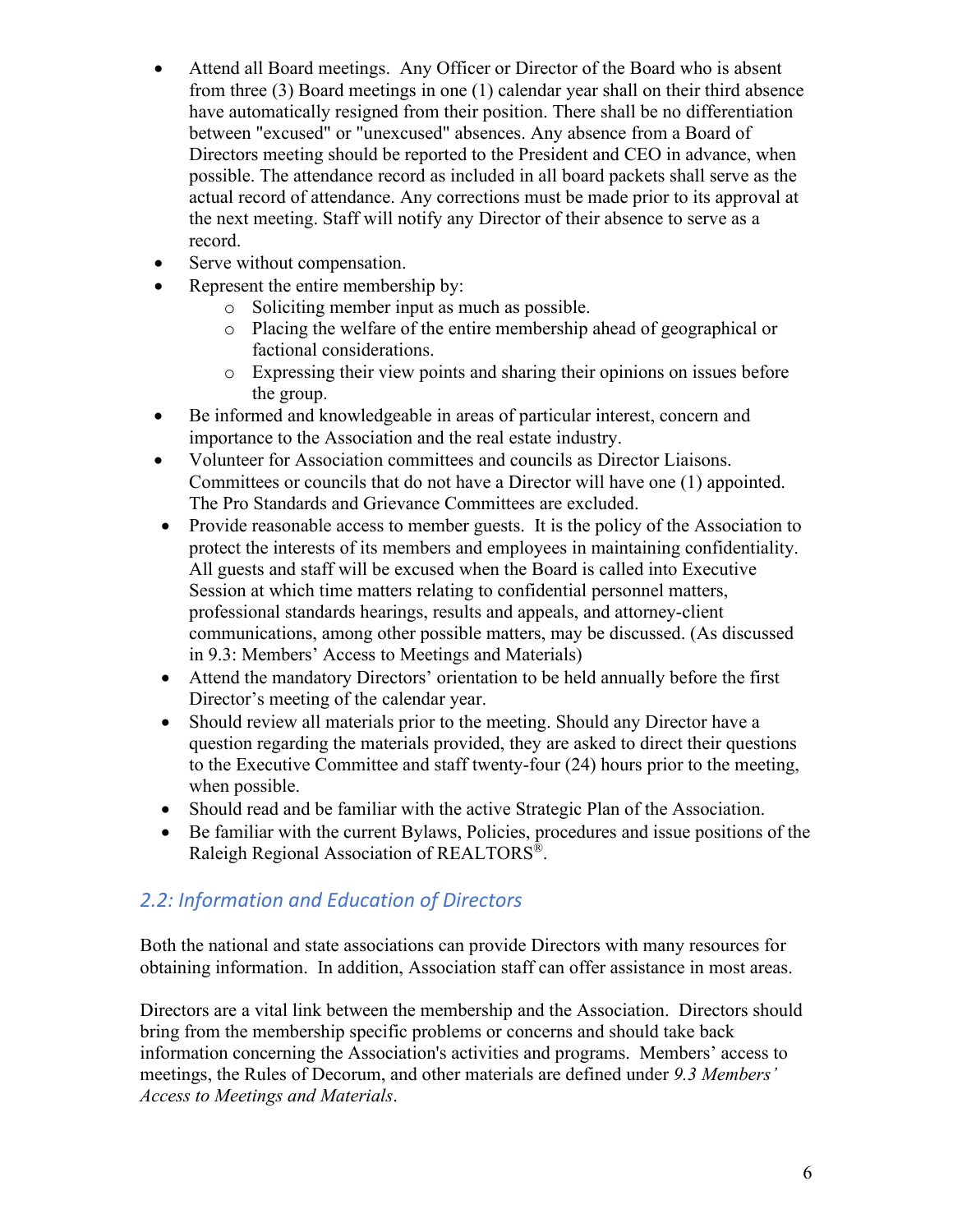- Attend all Board meetings. Any Officer or Director of the Board who is absent from three (3) Board meetings in one (1) calendar year shall on their third absence have automatically resigned from their position. There shall be no differentiation between "excused" or "unexcused" absences. Any absence from a Board of Directors meeting should be reported to the President and CEO in advance, when possible. The attendance record as included in all board packets shall serve as the actual record of attendance. Any corrections must be made prior to its approval at the next meeting. Staff will notify any Director of their absence to serve as a record.
- Serve without compensation.
- Represent the entire membership by:
	- o Soliciting member input as much as possible.
	- o Placing the welfare of the entire membership ahead of geographical or factional considerations.
	- o Expressing their view points and sharing their opinions on issues before the group.
- Be informed and knowledgeable in areas of particular interest, concern and importance to the Association and the real estate industry.
- Volunteer for Association committees and councils as Director Liaisons. Committees or councils that do not have a Director will have one (1) appointed. The Pro Standards and Grievance Committees are excluded.
- Provide reasonable access to member guests. It is the policy of the Association to protect the interests of its members and employees in maintaining confidentiality. All guests and staff will be excused when the Board is called into Executive Session at which time matters relating to confidential personnel matters, professional standards hearings, results and appeals, and attorney-client communications, among other possible matters, may be discussed. (As discussed in 9.3: Members' Access to Meetings and Materials)
- Attend the mandatory Directors' orientation to be held annually before the first Director's meeting of the calendar year.
- Should review all materials prior to the meeting. Should any Director have a question regarding the materials provided, they are asked to direct their questions to the Executive Committee and staff twenty-four (24) hours prior to the meeting, when possible.
- Should read and be familiar with the active Strategic Plan of the Association.
- Be familiar with the current Bylaws, Policies, procedures and issue positions of the Raleigh Regional Association of REALTORS®.

# *2.2: Information and Education of Directors*

Both the national and state associations can provide Directors with many resources for obtaining information. In addition, Association staff can offer assistance in most areas.

Directors are a vital link between the membership and the Association. Directors should bring from the membership specific problems or concerns and should take back information concerning the Association's activities and programs. Members' access to meetings, the Rules of Decorum, and other materials are defined under *9.3 Members' Access to Meetings and Materials*.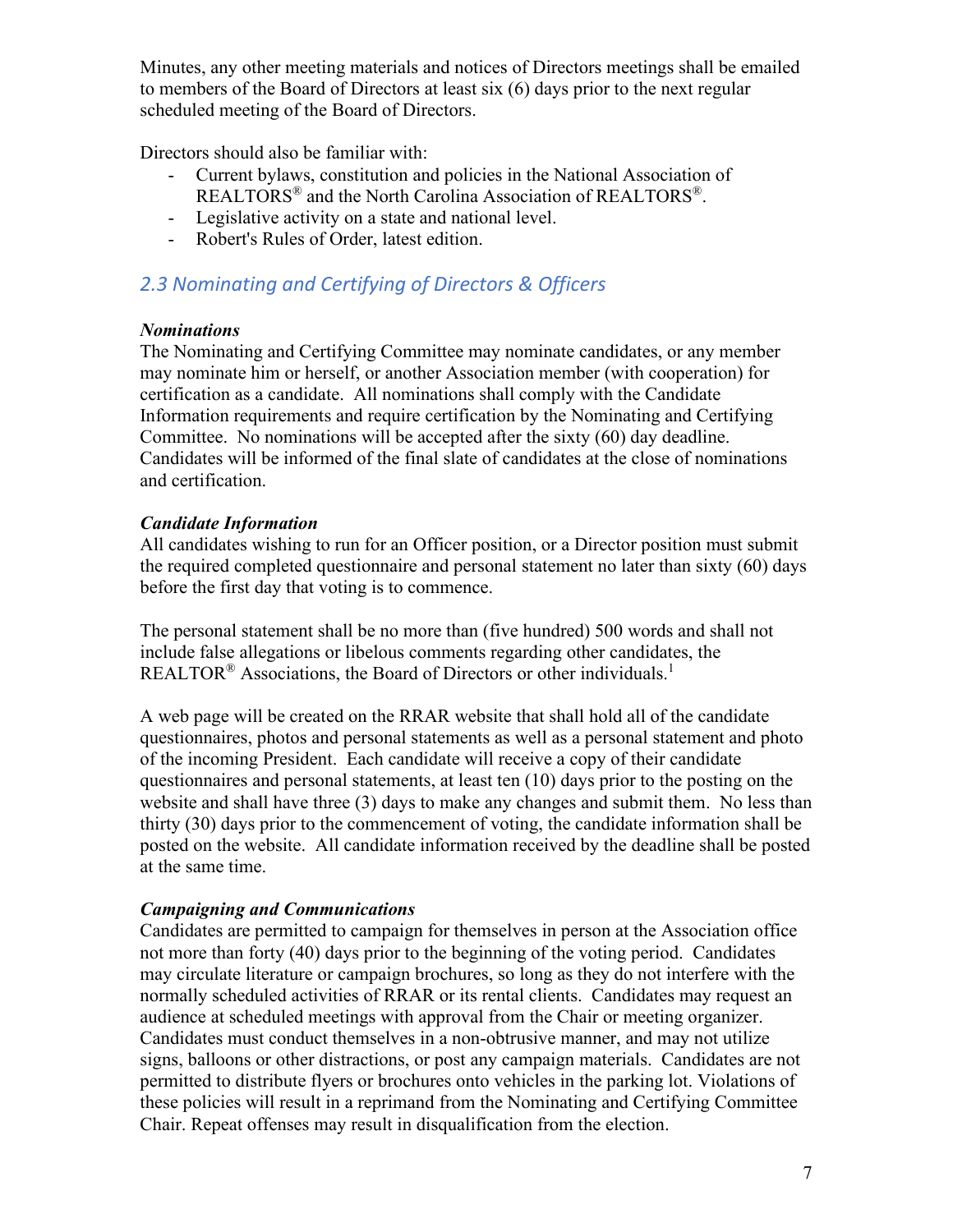Minutes, any other meeting materials and notices of Directors meetings shall be emailed to members of the Board of Directors at least six (6) days prior to the next regular scheduled meeting of the Board of Directors.

Directors should also be familiar with:

- Current bylaws, constitution and policies in the National Association of REALTORS® and the North Carolina Association of REALTORS®.
- Legislative activity on a state and national level.
- Robert's Rules of Order, latest edition.

# *2.3 Nominating and Certifying of Directors & Officers*

#### *Nominations*

The Nominating and Certifying Committee may nominate candidates, or any member may nominate him or herself, or another Association member (with cooperation) for certification as a candidate. All nominations shall comply with the Candidate Information requirements and require certification by the Nominating and Certifying Committee. No nominations will be accepted after the sixty (60) day deadline. Candidates will be informed of the final slate of candidates at the close of nominations and certification.

#### *Candidate Information*

All candidates wishing to run for an Officer position, or a Director position must submit the required completed questionnaire and personal statement no later than sixty (60) days before the first day that voting is to commence.

The personal statement shall be no more than (five hundred) 500 words and shall not include false allegations or libelous comments regarding other candidates, the REALTOR<sup>®</sup> Associations, the Board of Directors or other individuals.<sup>1</sup>

A web page will be created on the RRAR website that shall hold all of the candidate questionnaires, photos and personal statements as well as a personal statement and photo of the incoming President. Each candidate will receive a copy of their candidate questionnaires and personal statements, at least ten (10) days prior to the posting on the website and shall have three (3) days to make any changes and submit them. No less than thirty (30) days prior to the commencement of voting, the candidate information shall be posted on the website. All candidate information received by the deadline shall be posted at the same time.

### *Campaigning and Communications*

Candidates are permitted to campaign for themselves in person at the Association office not more than forty (40) days prior to the beginning of the voting period. Candidates may circulate literature or campaign brochures, so long as they do not interfere with the normally scheduled activities of RRAR or its rental clients. Candidates may request an audience at scheduled meetings with approval from the Chair or meeting organizer. Candidates must conduct themselves in a non-obtrusive manner, and may not utilize signs, balloons or other distractions, or post any campaign materials. Candidates are not permitted to distribute flyers or brochures onto vehicles in the parking lot. Violations of these policies will result in a reprimand from the Nominating and Certifying Committee Chair. Repeat offenses may result in disqualification from the election.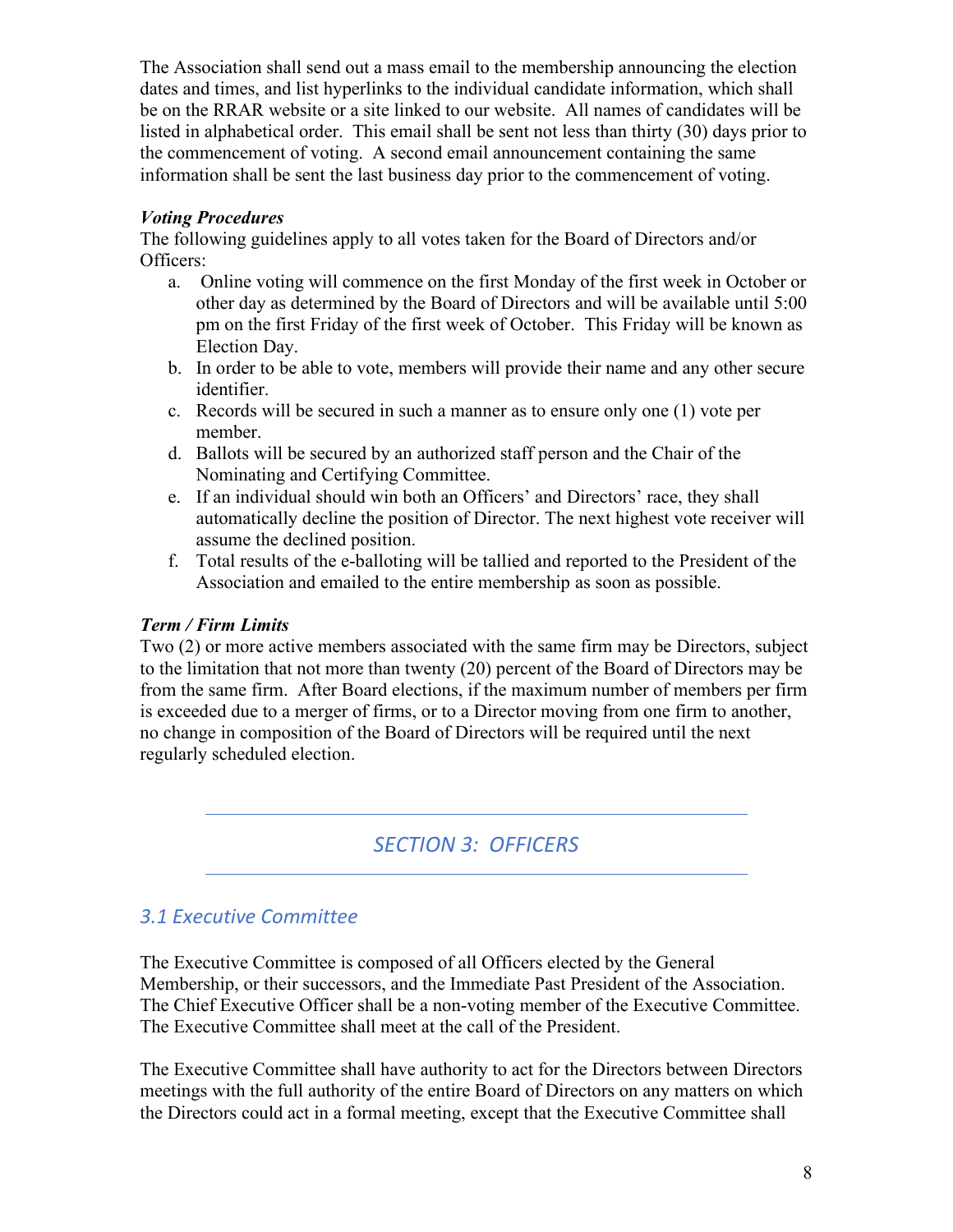The Association shall send out a mass email to the membership announcing the election dates and times, and list hyperlinks to the individual candidate information, which shall be on the RRAR website or a site linked to our website. All names of candidates will be listed in alphabetical order. This email shall be sent not less than thirty (30) days prior to the commencement of voting. A second email announcement containing the same information shall be sent the last business day prior to the commencement of voting.

#### *Voting Procedures*

The following guidelines apply to all votes taken for the Board of Directors and/or Officers:

- a. Online voting will commence on the first Monday of the first week in October or other day as determined by the Board of Directors and will be available until 5:00 pm on the first Friday of the first week of October. This Friday will be known as Election Day.
- b. In order to be able to vote, members will provide their name and any other secure identifier.
- c. Records will be secured in such a manner as to ensure only one (1) vote per member.
- d. Ballots will be secured by an authorized staff person and the Chair of the Nominating and Certifying Committee.
- e. If an individual should win both an Officers' and Directors' race, they shall automatically decline the position of Director. The next highest vote receiver will assume the declined position.
- f. Total results of the e-balloting will be tallied and reported to the President of the Association and emailed to the entire membership as soon as possible.

#### *Term / Firm Limits*

Two (2) or more active members associated with the same firm may be Directors, subject to the limitation that not more than twenty (20) percent of the Board of Directors may be from the same firm. After Board elections, if the maximum number of members per firm is exceeded due to a merger of firms, or to a Director moving from one firm to another, no change in composition of the Board of Directors will be required until the next regularly scheduled election.

# *SECTION 3: OFFICERS*

# *3.1 Executive Committee*

The Executive Committee is composed of all Officers elected by the General Membership, or their successors, and the Immediate Past President of the Association. The Chief Executive Officer shall be a non-voting member of the Executive Committee. The Executive Committee shall meet at the call of the President.

The Executive Committee shall have authority to act for the Directors between Directors meetings with the full authority of the entire Board of Directors on any matters on which the Directors could act in a formal meeting, except that the Executive Committee shall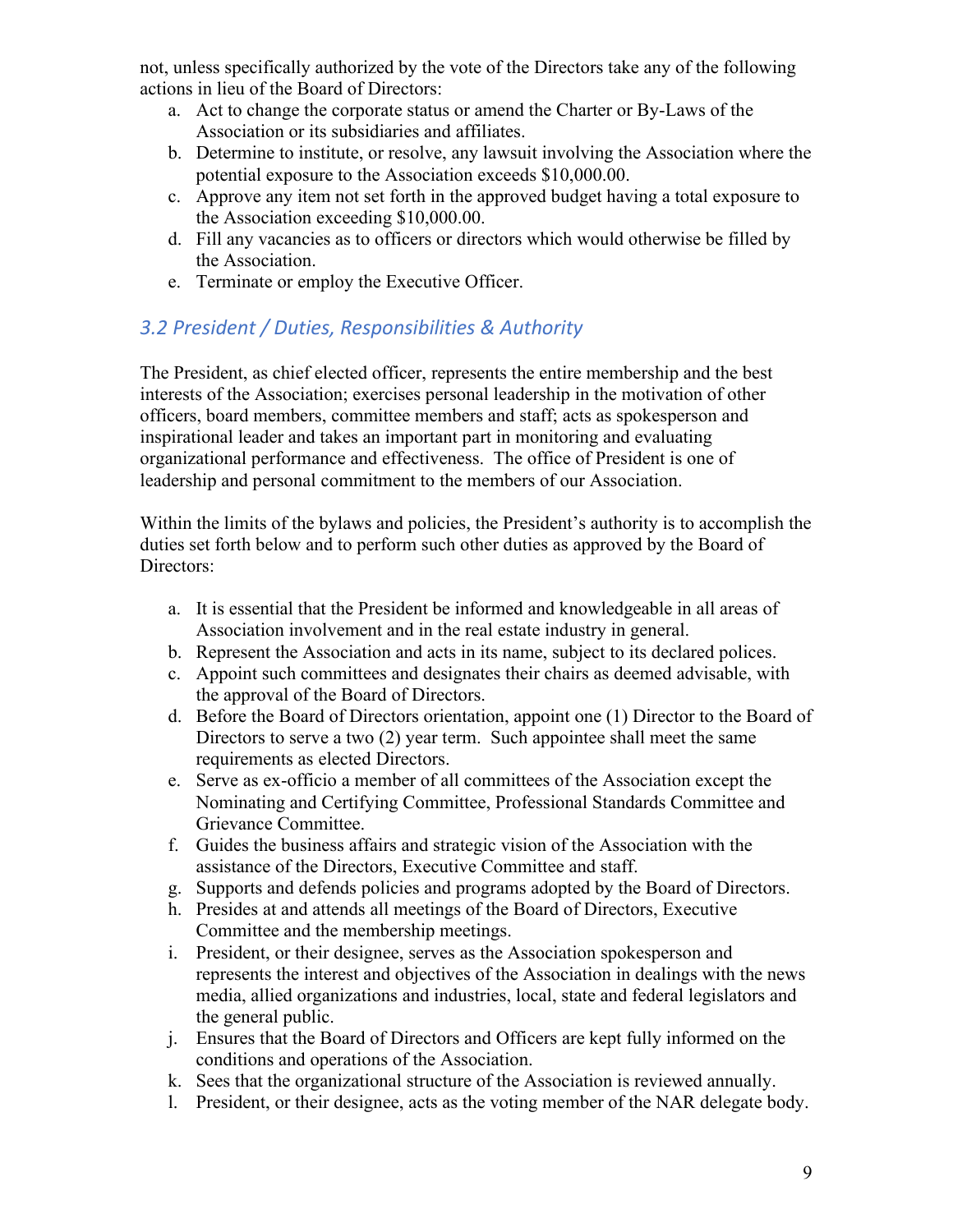not, unless specifically authorized by the vote of the Directors take any of the following actions in lieu of the Board of Directors:

- a. Act to change the corporate status or amend the Charter or By-Laws of the Association or its subsidiaries and affiliates.
- b. Determine to institute, or resolve, any lawsuit involving the Association where the potential exposure to the Association exceeds \$10,000.00.
- c. Approve any item not set forth in the approved budget having a total exposure to the Association exceeding \$10,000.00.
- d. Fill any vacancies as to officers or directors which would otherwise be filled by the Association.
- e. Terminate or employ the Executive Officer.

# *3.2 President / Duties, Responsibilities & Authority*

The President, as chief elected officer, represents the entire membership and the best interests of the Association; exercises personal leadership in the motivation of other officers, board members, committee members and staff; acts as spokesperson and inspirational leader and takes an important part in monitoring and evaluating organizational performance and effectiveness. The office of President is one of leadership and personal commitment to the members of our Association.

Within the limits of the bylaws and policies, the President's authority is to accomplish the duties set forth below and to perform such other duties as approved by the Board of Directors:

- a. It is essential that the President be informed and knowledgeable in all areas of Association involvement and in the real estate industry in general.
- b. Represent the Association and acts in its name, subject to its declared polices.
- c. Appoint such committees and designates their chairs as deemed advisable, with the approval of the Board of Directors.
- d. Before the Board of Directors orientation, appoint one (1) Director to the Board of Directors to serve a two (2) year term. Such appointee shall meet the same requirements as elected Directors.
- e. Serve as ex-officio a member of all committees of the Association except the Nominating and Certifying Committee, Professional Standards Committee and Grievance Committee.
- f. Guides the business affairs and strategic vision of the Association with the assistance of the Directors, Executive Committee and staff.
- g. Supports and defends policies and programs adopted by the Board of Directors.
- h. Presides at and attends all meetings of the Board of Directors, Executive Committee and the membership meetings.
- i. President, or their designee, serves as the Association spokesperson and represents the interest and objectives of the Association in dealings with the news media, allied organizations and industries, local, state and federal legislators and the general public.
- j. Ensures that the Board of Directors and Officers are kept fully informed on the conditions and operations of the Association.
- k. Sees that the organizational structure of the Association is reviewed annually.
- l. President, or their designee, acts as the voting member of the NAR delegate body.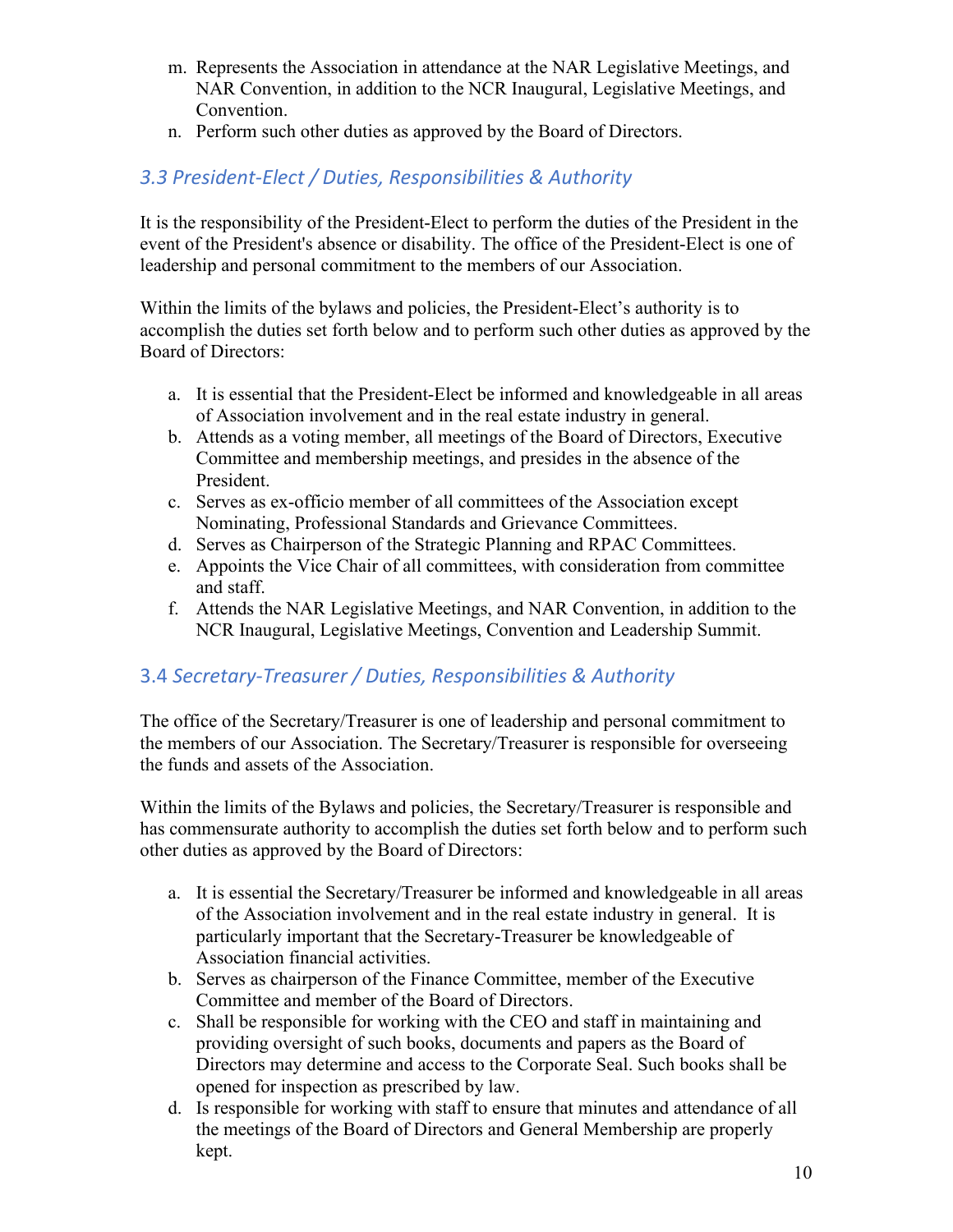- m. Represents the Association in attendance at the NAR Legislative Meetings, and NAR Convention, in addition to the NCR Inaugural, Legislative Meetings, and Convention.
- n. Perform such other duties as approved by the Board of Directors.

# *3.3 President-Elect / Duties, Responsibilities & Authority*

It is the responsibility of the President-Elect to perform the duties of the President in the event of the President's absence or disability. The office of the President-Elect is one of leadership and personal commitment to the members of our Association.

Within the limits of the bylaws and policies, the President-Elect's authority is to accomplish the duties set forth below and to perform such other duties as approved by the Board of Directors:

- a. It is essential that the President-Elect be informed and knowledgeable in all areas of Association involvement and in the real estate industry in general.
- b. Attends as a voting member, all meetings of the Board of Directors, Executive Committee and membership meetings, and presides in the absence of the President.
- c. Serves as ex-officio member of all committees of the Association except Nominating, Professional Standards and Grievance Committees.
- d. Serves as Chairperson of the Strategic Planning and RPAC Committees.
- e. Appoints the Vice Chair of all committees, with consideration from committee and staff.
- f. Attends the NAR Legislative Meetings, and NAR Convention, in addition to the NCR Inaugural, Legislative Meetings, Convention and Leadership Summit.

# 3.4 *Secretary-Treasurer / Duties, Responsibilities & Authority*

The office of the Secretary/Treasurer is one of leadership and personal commitment to the members of our Association. The Secretary/Treasurer is responsible for overseeing the funds and assets of the Association.

Within the limits of the Bylaws and policies, the Secretary/Treasurer is responsible and has commensurate authority to accomplish the duties set forth below and to perform such other duties as approved by the Board of Directors:

- a. It is essential the Secretary/Treasurer be informed and knowledgeable in all areas of the Association involvement and in the real estate industry in general. It is particularly important that the Secretary-Treasurer be knowledgeable of Association financial activities.
- b. Serves as chairperson of the Finance Committee, member of the Executive Committee and member of the Board of Directors.
- c. Shall be responsible for working with the CEO and staff in maintaining and providing oversight of such books, documents and papers as the Board of Directors may determine and access to the Corporate Seal. Such books shall be opened for inspection as prescribed by law.
- d. Is responsible for working with staff to ensure that minutes and attendance of all the meetings of the Board of Directors and General Membership are properly kept.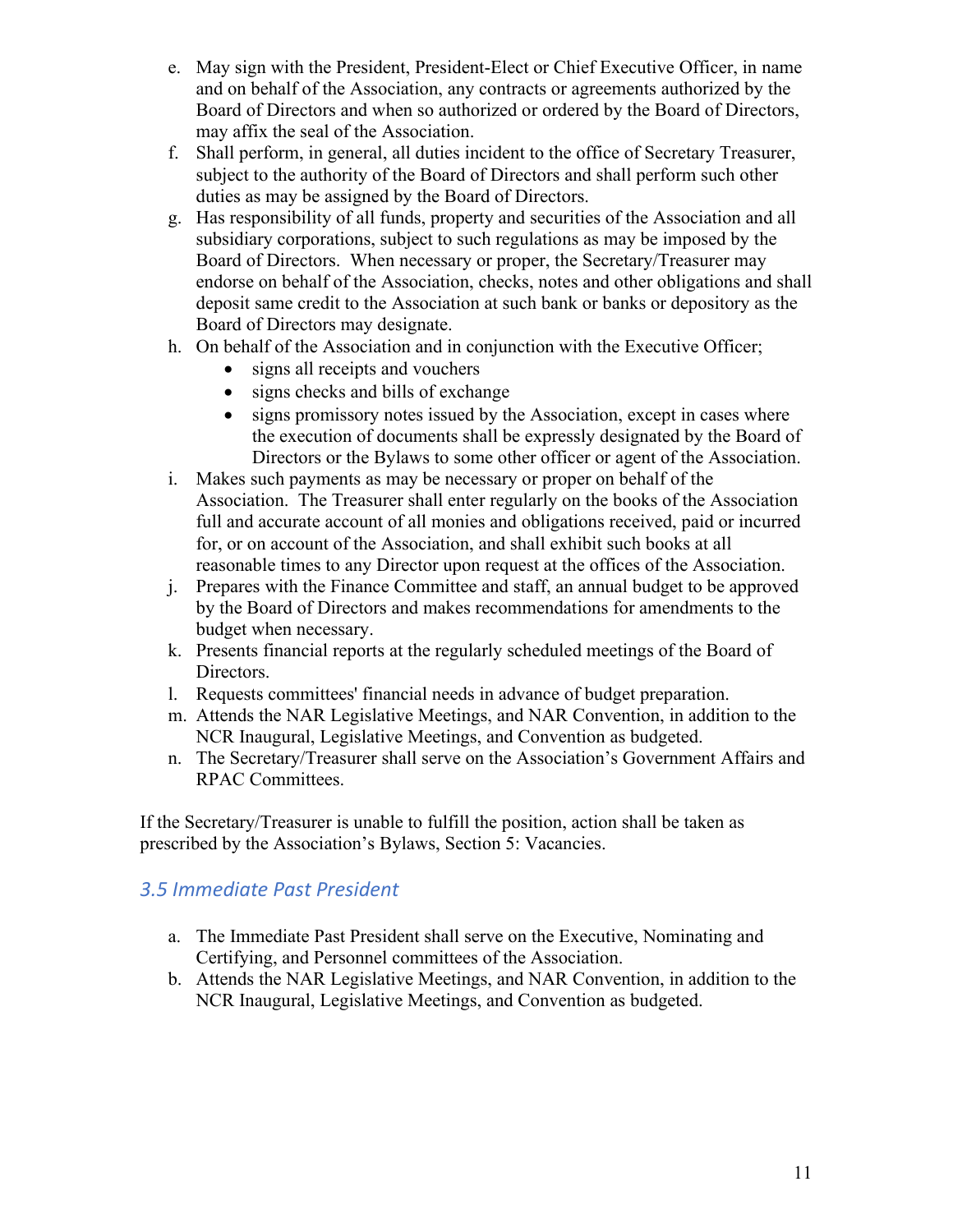- e. May sign with the President, President-Elect or Chief Executive Officer, in name and on behalf of the Association, any contracts or agreements authorized by the Board of Directors and when so authorized or ordered by the Board of Directors, may affix the seal of the Association.
- f. Shall perform, in general, all duties incident to the office of Secretary Treasurer, subject to the authority of the Board of Directors and shall perform such other duties as may be assigned by the Board of Directors.
- g. Has responsibility of all funds, property and securities of the Association and all subsidiary corporations, subject to such regulations as may be imposed by the Board of Directors. When necessary or proper, the Secretary/Treasurer may endorse on behalf of the Association, checks, notes and other obligations and shall deposit same credit to the Association at such bank or banks or depository as the Board of Directors may designate.
- h. On behalf of the Association and in conjunction with the Executive Officer;
	- signs all receipts and vouchers
	- signs checks and bills of exchange
	- signs promissory notes issued by the Association, except in cases where the execution of documents shall be expressly designated by the Board of Directors or the Bylaws to some other officer or agent of the Association.
- i. Makes such payments as may be necessary or proper on behalf of the Association. The Treasurer shall enter regularly on the books of the Association full and accurate account of all monies and obligations received, paid or incurred for, or on account of the Association, and shall exhibit such books at all reasonable times to any Director upon request at the offices of the Association.
- j. Prepares with the Finance Committee and staff, an annual budget to be approved by the Board of Directors and makes recommendations for amendments to the budget when necessary.
- k. Presents financial reports at the regularly scheduled meetings of the Board of Directors.
- l. Requests committees' financial needs in advance of budget preparation.
- m. Attends the NAR Legislative Meetings, and NAR Convention, in addition to the NCR Inaugural, Legislative Meetings, and Convention as budgeted.
- n. The Secretary/Treasurer shall serve on the Association's Government Affairs and RPAC Committees.

If the Secretary/Treasurer is unable to fulfill the position, action shall be taken as prescribed by the Association's Bylaws, Section 5: Vacancies.

# *3.5 Immediate Past President*

- a. The Immediate Past President shall serve on the Executive, Nominating and Certifying, and Personnel committees of the Association.
- b. Attends the NAR Legislative Meetings, and NAR Convention, in addition to the NCR Inaugural, Legislative Meetings, and Convention as budgeted.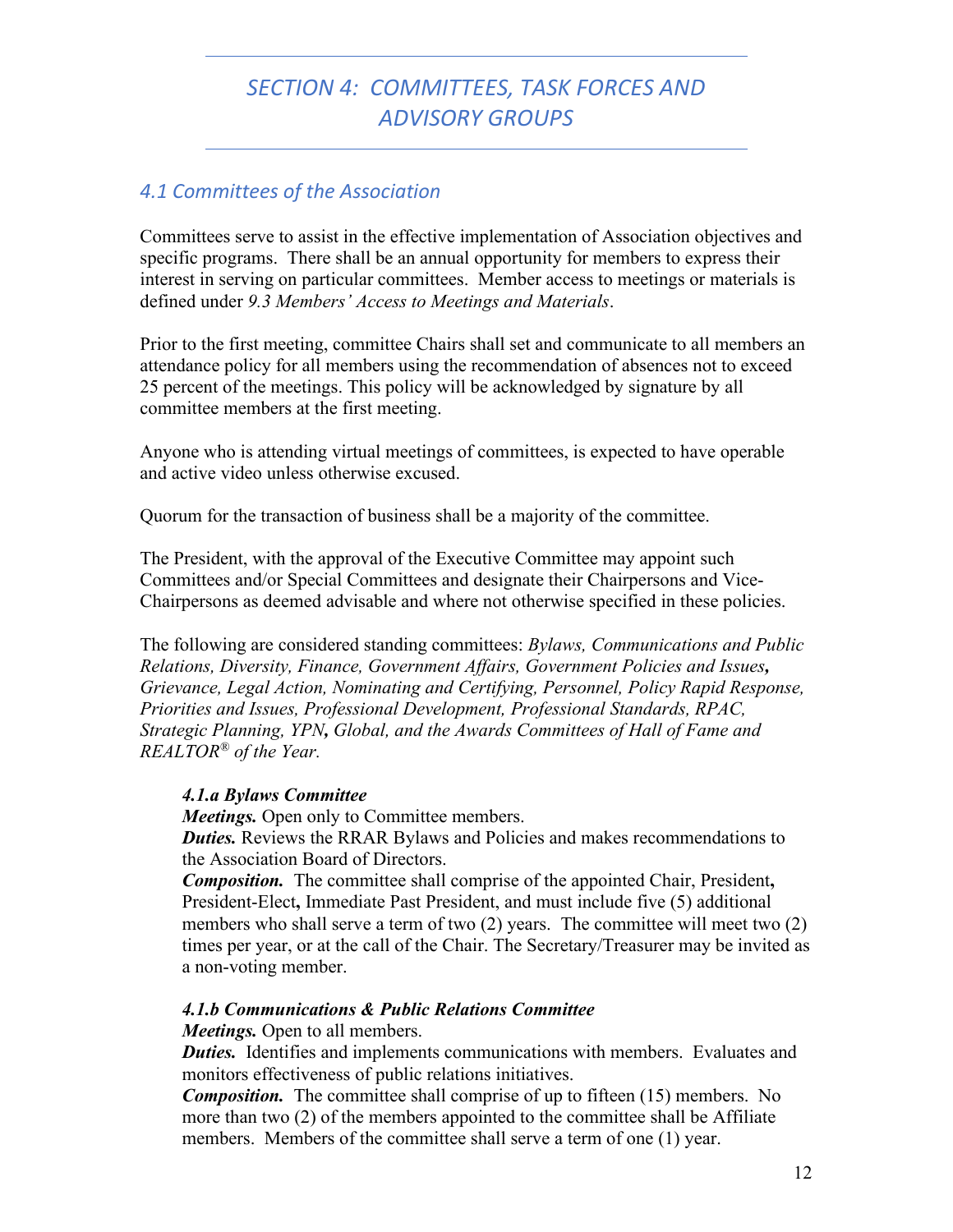# *SECTION 4: COMMITTEES, TASK FORCES AND ADVISORY GROUPS*

### *4.1 Committees of the Association*

Committees serve to assist in the effective implementation of Association objectives and specific programs. There shall be an annual opportunity for members to express their interest in serving on particular committees. Member access to meetings or materials is defined under *9.3 Members' Access to Meetings and Materials*.

Prior to the first meeting, committee Chairs shall set and communicate to all members an attendance policy for all members using the recommendation of absences not to exceed 25 percent of the meetings. This policy will be acknowledged by signature by all committee members at the first meeting.

Anyone who is attending virtual meetings of committees, is expected to have operable and active video unless otherwise excused.

Quorum for the transaction of business shall be a majority of the committee.

The President, with the approval of the Executive Committee may appoint such Committees and/or Special Committees and designate their Chairpersons and Vice-Chairpersons as deemed advisable and where not otherwise specified in these policies.

The following are considered standing committees: *Bylaws, Communications and Public Relations, Diversity, Finance, Government Affairs, Government Policies and Issues, Grievance, Legal Action, Nominating and Certifying, Personnel, Policy Rapid Response, Priorities and Issues, Professional Development, Professional Standards, RPAC, Strategic Planning, YPN, Global, and the Awards Committees of Hall of Fame and REALTOR® of the Year.*

#### *4.1.a Bylaws Committee*

*Meetings.* Open only to Committee members.

*Duties.* Reviews the RRAR Bylaws and Policies and makes recommendations to the Association Board of Directors.

*Composition.* The committee shall comprise of the appointed Chair, President**,**  President-Elect**,** Immediate Past President, and must include five (5) additional members who shall serve a term of two (2) years. The committee will meet two (2) times per year, or at the call of the Chair. The Secretary/Treasurer may be invited as a non-voting member.

#### *4.1.b Communications & Public Relations Committee*

*Meetings.* Open to all members.

**Duties.** Identifies and implements communications with members. Evaluates and monitors effectiveness of public relations initiatives.

*Composition.* The committee shall comprise of up to fifteen (15) members. No more than two (2) of the members appointed to the committee shall be Affiliate members. Members of the committee shall serve a term of one (1) year.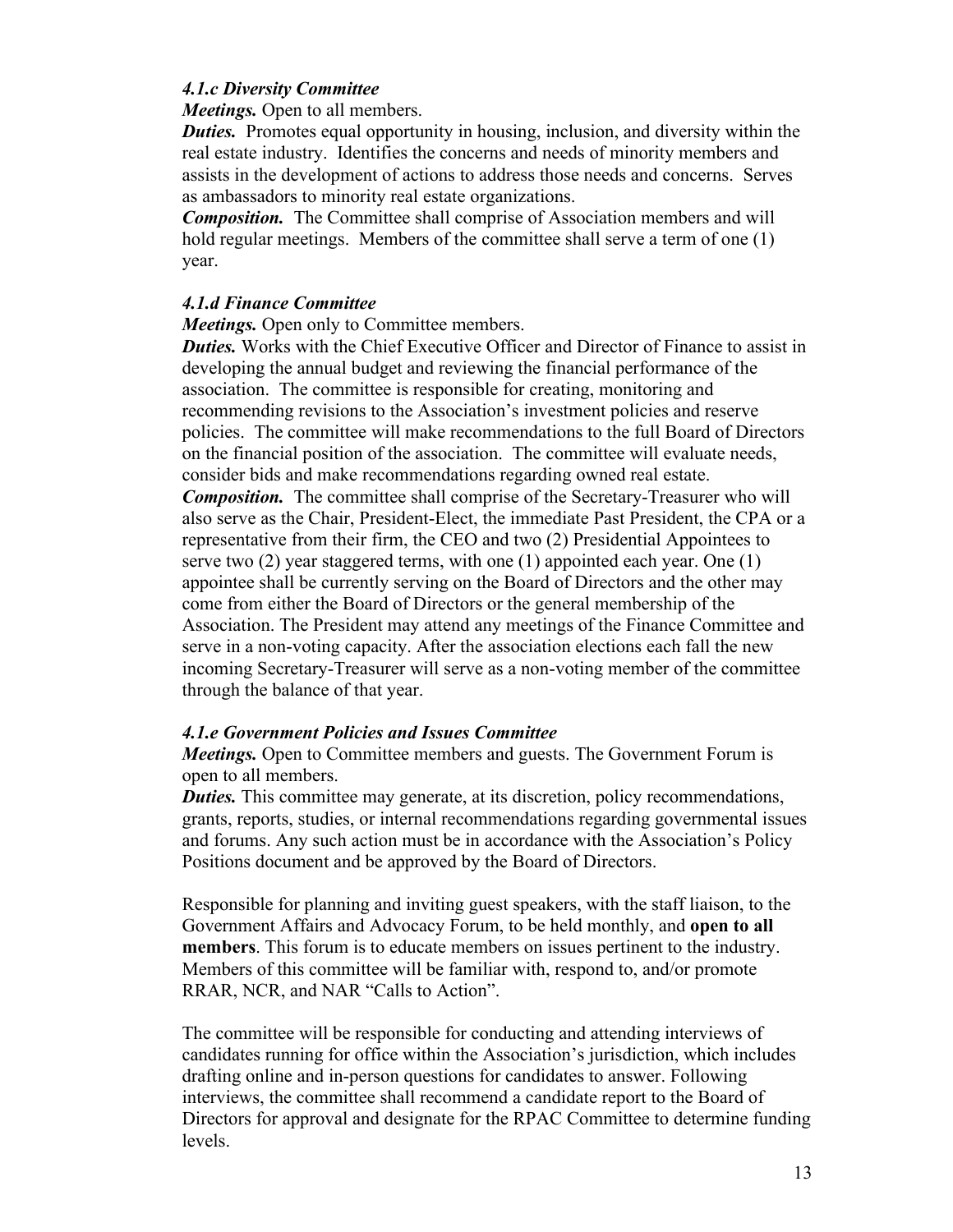#### *4.1.c Diversity Committee*

*Meetings.* Open to all members.

*Duties.* Promotes equal opportunity in housing, inclusion, and diversity within the real estate industry. Identifies the concerns and needs of minority members and assists in the development of actions to address those needs and concerns. Serves as ambassadors to minority real estate organizations.

*Composition.* The Committee shall comprise of Association members and will hold regular meetings. Members of the committee shall serve a term of one (1) year.

#### *4.1.d Finance Committee*

*Meetings.* Open only to Committee members.

*Duties.* Works with the Chief Executive Officer and Director of Finance to assist in developing the annual budget and reviewing the financial performance of the association. The committee is responsible for creating, monitoring and recommending revisions to the Association's investment policies and reserve policies. The committee will make recommendations to the full Board of Directors on the financial position of the association. The committee will evaluate needs, consider bids and make recommendations regarding owned real estate.

*Composition.* The committee shall comprise of the Secretary-Treasurer who will also serve as the Chair, President-Elect, the immediate Past President, the CPA or a representative from their firm, the CEO and two (2) Presidential Appointees to serve two (2) year staggered terms, with one (1) appointed each year. One (1) appointee shall be currently serving on the Board of Directors and the other may come from either the Board of Directors or the general membership of the Association. The President may attend any meetings of the Finance Committee and serve in a non-voting capacity. After the association elections each fall the new incoming Secretary-Treasurer will serve as a non-voting member of the committee through the balance of that year.

#### *4.1.e Government Policies and Issues Committee*

*Meetings.* Open to Committee members and guests. The Government Forum is open to all members.

*Duties.* This committee may generate, at its discretion, policy recommendations, grants, reports, studies, or internal recommendations regarding governmental issues and forums. Any such action must be in accordance with the Association's Policy Positions document and be approved by the Board of Directors.

Responsible for planning and inviting guest speakers, with the staff liaison, to the Government Affairs and Advocacy Forum, to be held monthly, and **open to all members**. This forum is to educate members on issues pertinent to the industry. Members of this committee will be familiar with, respond to, and/or promote RRAR, NCR, and NAR "Calls to Action".

The committee will be responsible for conducting and attending interviews of candidates running for office within the Association's jurisdiction, which includes drafting online and in-person questions for candidates to answer. Following interviews, the committee shall recommend a candidate report to the Board of Directors for approval and designate for the RPAC Committee to determine funding levels.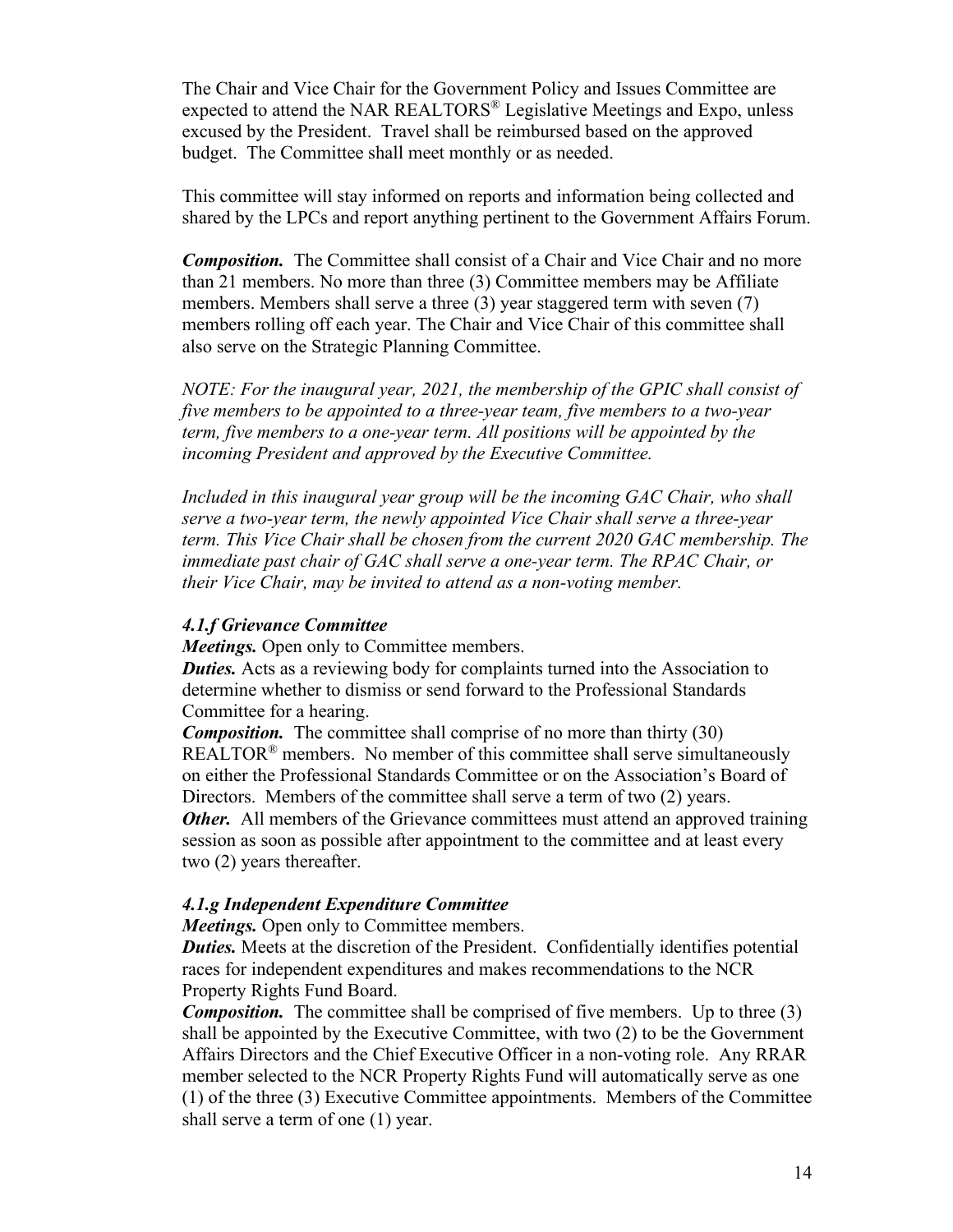The Chair and Vice Chair for the Government Policy and Issues Committee are expected to attend the NAR REALTORS® Legislative Meetings and Expo, unless excused by the President. Travel shall be reimbursed based on the approved budget. The Committee shall meet monthly or as needed.

This committee will stay informed on reports and information being collected and shared by the LPCs and report anything pertinent to the Government Affairs Forum.

*Composition.* The Committee shall consist of a Chair and Vice Chair and no more than 21 members. No more than three (3) Committee members may be Affiliate members. Members shall serve a three (3) year staggered term with seven (7) members rolling off each year. The Chair and Vice Chair of this committee shall also serve on the Strategic Planning Committee.

*NOTE: For the inaugural year, 2021, the membership of the GPIC shall consist of five members to be appointed to a three-year team, five members to a two-year term, five members to a one-year term. All positions will be appointed by the incoming President and approved by the Executive Committee.* 

*Included in this inaugural year group will be the incoming GAC Chair, who shall serve a two-year term, the newly appointed Vice Chair shall serve a three-year term. This Vice Chair shall be chosen from the current 2020 GAC membership. The immediate past chair of GAC shall serve a one-year term. The RPAC Chair, or their Vice Chair, may be invited to attend as a non-voting member.* 

#### *4.1.f Grievance Committee*

*Meetings.* Open only to Committee members.

*Duties.* Acts as a reviewing body for complaints turned into the Association to determine whether to dismiss or send forward to the Professional Standards Committee for a hearing.

*Composition.* The committee shall comprise of no more than thirty (30) REALTOR<sup>®</sup> members. No member of this committee shall serve simultaneously on either the Professional Standards Committee or on the Association's Board of Directors. Members of the committee shall serve a term of two (2) years. *Other.* All members of the Grievance committees must attend an approved training session as soon as possible after appointment to the committee and at least every two (2) years thereafter.

#### *4.1.g Independent Expenditure Committee*

*Meetings.* Open only to Committee members.

*Duties.* Meets at the discretion of the President. Confidentially identifies potential races for independent expenditures and makes recommendations to the NCR Property Rights Fund Board.

*Composition.* The committee shall be comprised of five members. Up to three (3) shall be appointed by the Executive Committee, with two (2) to be the Government Affairs Directors and the Chief Executive Officer in a non-voting role. Any RRAR member selected to the NCR Property Rights Fund will automatically serve as one (1) of the three (3) Executive Committee appointments. Members of the Committee shall serve a term of one (1) year.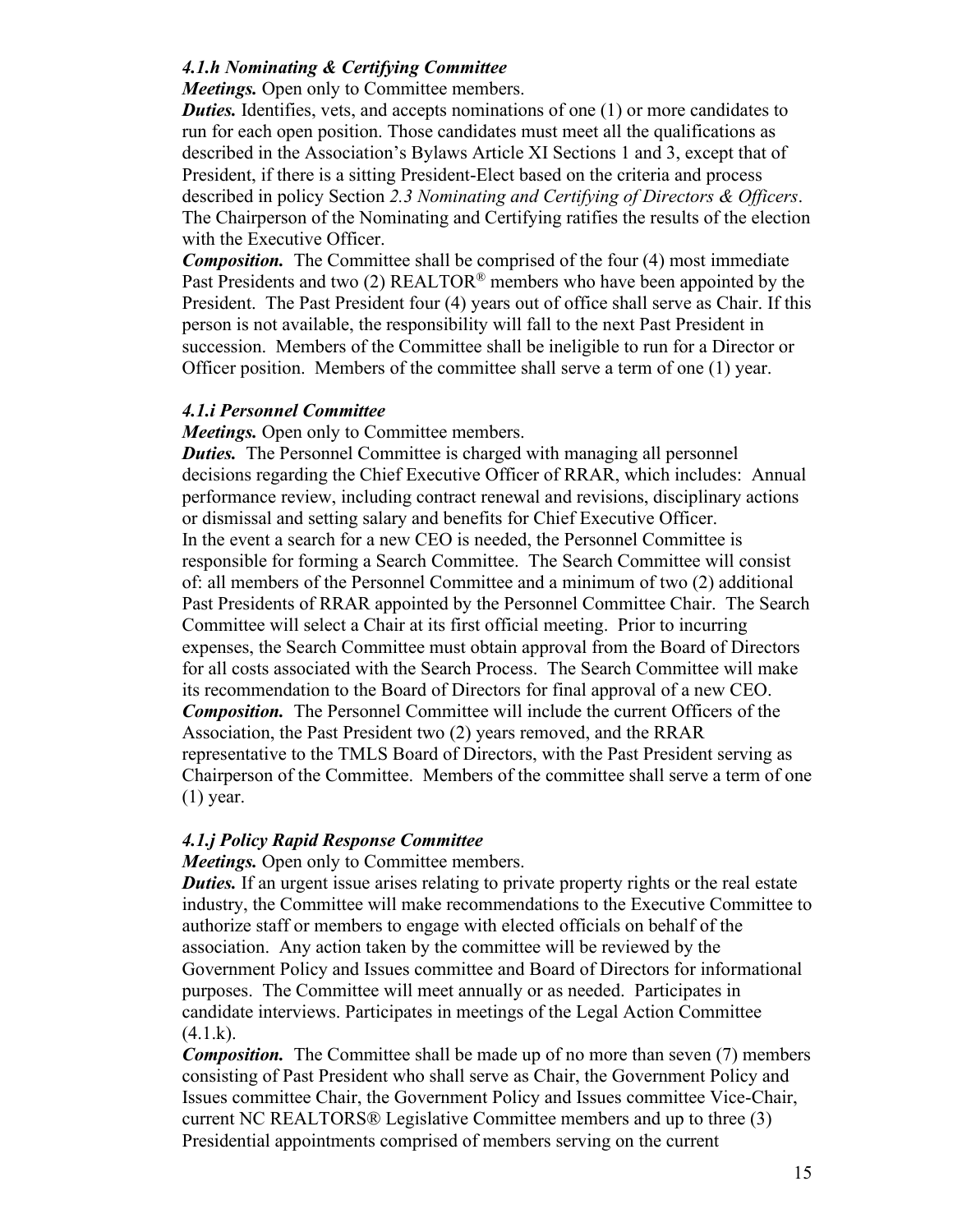#### *4.1.h Nominating & Certifying Committee*

*Meetings.* Open only to Committee members.

*Duties.* Identifies, vets, and accepts nominations of one (1) or more candidates to run for each open position. Those candidates must meet all the qualifications as described in the Association's Bylaws Article XI Sections 1 and 3, except that of President, if there is a sitting President-Elect based on the criteria and process described in policy Section *2.3 Nominating and Certifying of Directors & Officers*. The Chairperson of the Nominating and Certifying ratifies the results of the election with the Executive Officer.

*Composition.* The Committee shall be comprised of the four (4) most immediate Past Presidents and two (2)  $REALTOR^®$  members who have been appointed by the President. The Past President four (4) years out of office shall serve as Chair. If this person is not available, the responsibility will fall to the next Past President in succession. Members of the Committee shall be ineligible to run for a Director or Officer position. Members of the committee shall serve a term of one (1) year.

#### *4.1.i Personnel Committee*

*Meetings.* Open only to Committee members.

*Duties.* The Personnel Committee is charged with managing all personnel decisions regarding the Chief Executive Officer of RRAR, which includes: Annual performance review, including contract renewal and revisions, disciplinary actions or dismissal and setting salary and benefits for Chief Executive Officer. In the event a search for a new CEO is needed, the Personnel Committee is responsible for forming a Search Committee. The Search Committee will consist of: all members of the Personnel Committee and a minimum of two (2) additional Past Presidents of RRAR appointed by the Personnel Committee Chair. The Search Committee will select a Chair at its first official meeting. Prior to incurring expenses, the Search Committee must obtain approval from the Board of Directors for all costs associated with the Search Process. The Search Committee will make its recommendation to the Board of Directors for final approval of a new CEO. *Composition.* The Personnel Committee will include the current Officers of the Association, the Past President two (2) years removed, and the RRAR representative to the TMLS Board of Directors, with the Past President serving as Chairperson of the Committee. Members of the committee shall serve a term of one (1) year.

#### *4.1.j Policy Rapid Response Committee*

#### *Meetings.* Open only to Committee members.

*Duties.* If an urgent issue arises relating to private property rights or the real estate industry, the Committee will make recommendations to the Executive Committee to authorize staff or members to engage with elected officials on behalf of the association. Any action taken by the committee will be reviewed by the Government Policy and Issues committee and Board of Directors for informational purposes. The Committee will meet annually or as needed. Participates in candidate interviews. Participates in meetings of the Legal Action Committee  $(4.1.k).$ 

*Composition.* The Committee shall be made up of no more than seven (7) members consisting of Past President who shall serve as Chair, the Government Policy and Issues committee Chair, the Government Policy and Issues committee Vice-Chair, current NC REALTORS® Legislative Committee members and up to three (3) Presidential appointments comprised of members serving on the current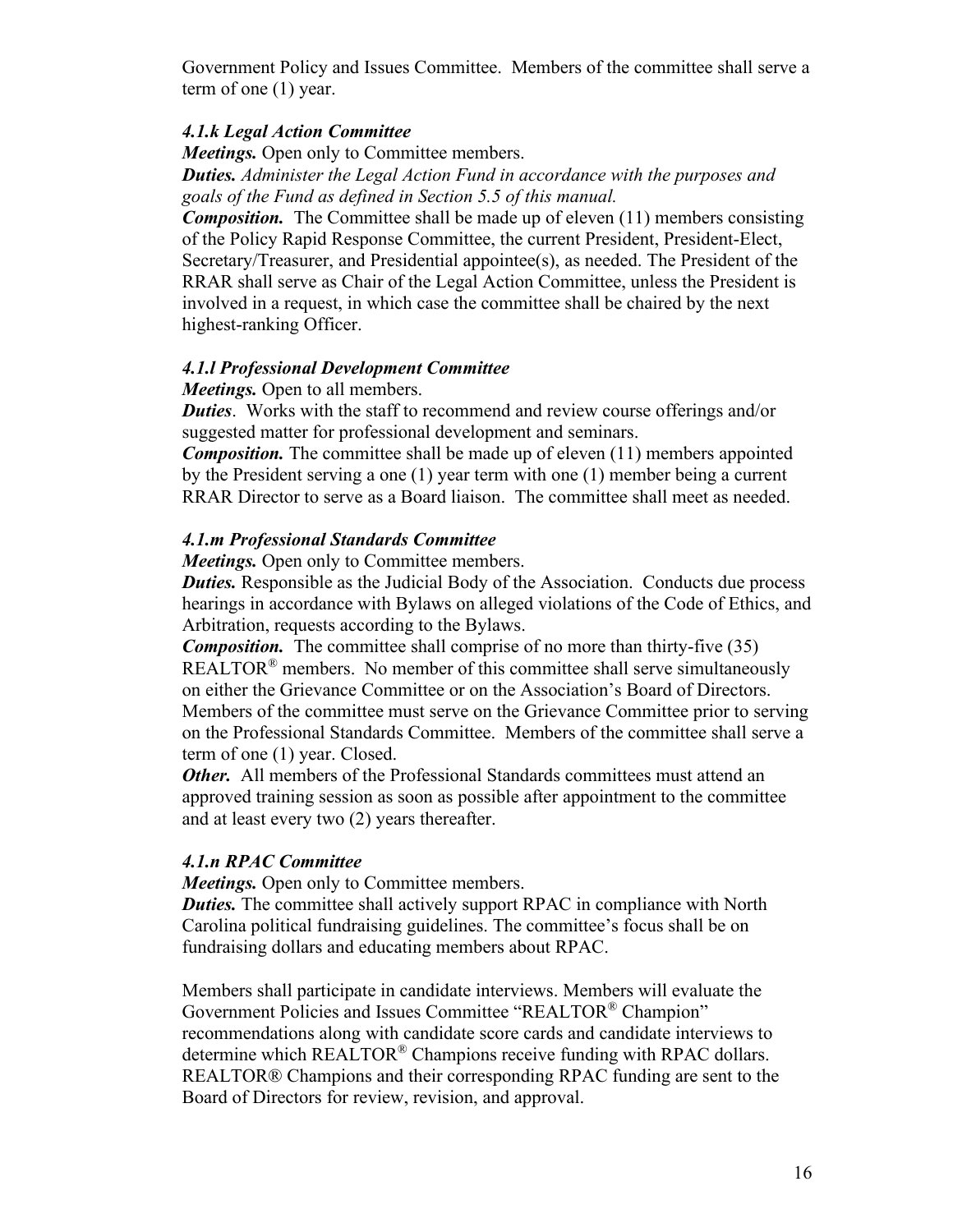Government Policy and Issues Committee. Members of the committee shall serve a term of one (1) year.

#### *4.1.k Legal Action Committee*

*Meetings.* Open only to Committee members. *Duties. Administer the Legal Action Fund in accordance with the purposes and goals of the Fund as defined in Section 5.5 of this manual.* 

*Composition.* The Committee shall be made up of eleven (11) members consisting of the Policy Rapid Response Committee, the current President, President-Elect, Secretary/Treasurer, and Presidential appointee(s), as needed. The President of the RRAR shall serve as Chair of the Legal Action Committee, unless the President is involved in a request, in which case the committee shall be chaired by the next highest-ranking Officer.

#### *4.1.l Professional Development Committee*

*Meetings.* Open to all members.

*Duties*. Works with the staff to recommend and review course offerings and/or suggested matter for professional development and seminars.

*Composition.* The committee shall be made up of eleven (11) members appointed by the President serving a one (1) year term with one (1) member being a current RRAR Director to serve as a Board liaison. The committee shall meet as needed.

#### *4.1.m Professional Standards Committee*

*Meetings.* Open only to Committee members.

*Duties.* Responsible as the Judicial Body of the Association. Conducts due process hearings in accordance with Bylaws on alleged violations of the Code of Ethics, and Arbitration, requests according to the Bylaws.

*Composition.* The committee shall comprise of no more than thirty-five (35) REALTOR<sup>®</sup> members. No member of this committee shall serve simultaneously on either the Grievance Committee or on the Association's Board of Directors. Members of the committee must serve on the Grievance Committee prior to serving on the Professional Standards Committee. Members of the committee shall serve a term of one (1) year. Closed.

*Other.* All members of the Professional Standards committees must attend an approved training session as soon as possible after appointment to the committee and at least every two (2) years thereafter.

#### *4.1.n RPAC Committee*

*Meetings.* Open only to Committee members.

*Duties.* The committee shall actively support RPAC in compliance with North Carolina political fundraising guidelines. The committee's focus shall be on fundraising dollars and educating members about RPAC.

Members shall participate in candidate interviews. Members will evaluate the Government Policies and Issues Committee "REALTOR® Champion" recommendations along with candidate score cards and candidate interviews to determine which REALTOR® Champions receive funding with RPAC dollars. REALTOR® Champions and their corresponding RPAC funding are sent to the Board of Directors for review, revision, and approval.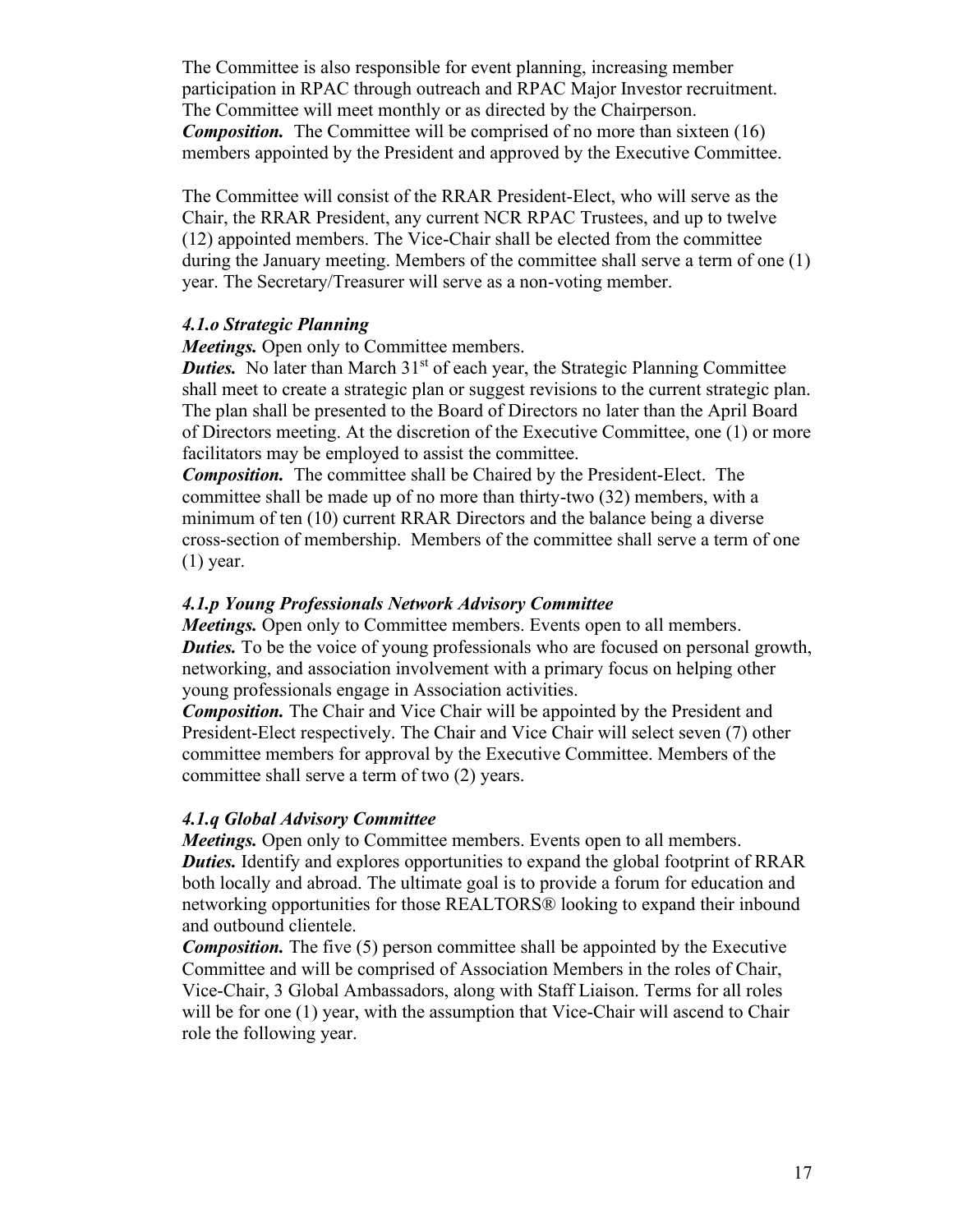The Committee is also responsible for event planning, increasing member participation in RPAC through outreach and RPAC Major Investor recruitment. The Committee will meet monthly or as directed by the Chairperson. **Composition.** The Committee will be comprised of no more than sixteen (16) members appointed by the President and approved by the Executive Committee.

The Committee will consist of the RRAR President-Elect, who will serve as the Chair, the RRAR President, any current NCR RPAC Trustees, and up to twelve (12) appointed members. The Vice-Chair shall be elected from the committee during the January meeting. Members of the committee shall serve a term of one (1) year. The Secretary/Treasurer will serve as a non-voting member.

#### *4.1.o Strategic Planning*

*Meetings.* Open only to Committee members.

*Duties.* No later than March 31<sup>st</sup> of each year, the Strategic Planning Committee shall meet to create a strategic plan or suggest revisions to the current strategic plan. The plan shall be presented to the Board of Directors no later than the April Board of Directors meeting. At the discretion of the Executive Committee, one (1) or more facilitators may be employed to assist the committee.

*Composition.* The committee shall be Chaired by the President-Elect. The committee shall be made up of no more than thirty-two (32) members, with a minimum of ten (10) current RRAR Directors and the balance being a diverse cross-section of membership. Members of the committee shall serve a term of one (1) year.

#### *4.1.p Young Professionals Network Advisory Committee*

*Meetings.* Open only to Committee members. Events open to all members. *Duties.* To be the voice of young professionals who are focused on personal growth, networking, and association involvement with a primary focus on helping other young professionals engage in Association activities.

*Composition.* The Chair and Vice Chair will be appointed by the President and President-Elect respectively. The Chair and Vice Chair will select seven (7) other committee members for approval by the Executive Committee. Members of the committee shall serve a term of two (2) years.

#### *4.1.q Global Advisory Committee*

*Meetings.* Open only to Committee members. Events open to all members. *Duties.* Identify and explores opportunities to expand the global footprint of RRAR both locally and abroad. The ultimate goal is to provide a forum for education and networking opportunities for those REALTORS® looking to expand their inbound and outbound clientele.

*Composition.* The five (5) person committee shall be appointed by the Executive Committee and will be comprised of Association Members in the roles of Chair, Vice-Chair, 3 Global Ambassadors, along with Staff Liaison. Terms for all roles will be for one (1) year, with the assumption that Vice-Chair will ascend to Chair role the following year.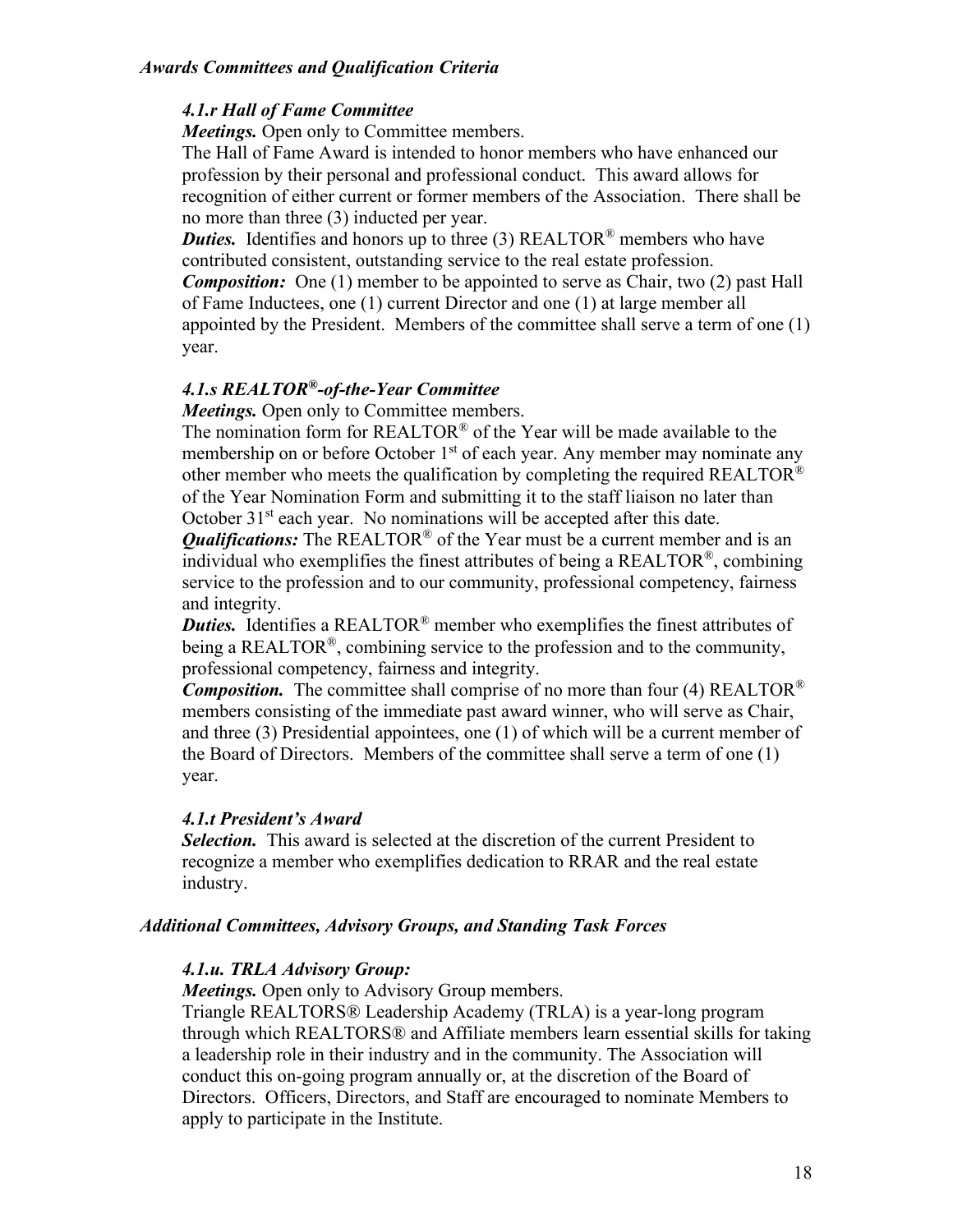#### *4.1.r Hall of Fame Committee*

*Meetings.* Open only to Committee members.

The Hall of Fame Award is intended to honor members who have enhanced our profession by their personal and professional conduct. This award allows for recognition of either current or former members of the Association. There shall be no more than three (3) inducted per year.

*Duties.* Identifies and honors up to three (3) REALTOR<sup>®</sup> members who have contributed consistent, outstanding service to the real estate profession.

*Composition:* One (1) member to be appointed to serve as Chair, two (2) past Hall of Fame Inductees, one (1) current Director and one (1) at large member all appointed by the President. Members of the committee shall serve a term of one (1) year.

#### *4.1.s REALTOR®-of-the-Year Committee*

*Meetings.* Open only to Committee members.

The nomination form for REALTOR® of the Year will be made available to the membership on or before October 1<sup>st</sup> of each year. Any member may nominate any other member who meets the qualification by completing the required REALTOR® of the Year Nomination Form and submitting it to the staff liaison no later than October  $31<sup>st</sup>$  each year. No nominations will be accepted after this date.

*Qualifications:* The REALTOR<sup>®</sup> of the Year must be a current member and is an individual who exemplifies the finest attributes of being a REALTOR®, combining service to the profession and to our community, professional competency, fairness and integrity.

*Duties.* Identifies a REALTOR<sup>®</sup> member who exemplifies the finest attributes of being a REALTOR<sup>®</sup>, combining service to the profession and to the community, professional competency, fairness and integrity.

*Composition.* The committee shall comprise of no more than four (4) REALTOR<sup>®</sup> members consisting of the immediate past award winner, who will serve as Chair, and three (3) Presidential appointees, one (1) of which will be a current member of the Board of Directors. Members of the committee shall serve a term of one (1) year.

#### *4.1.t President's Award*

*Selection.* This award is selected at the discretion of the current President to recognize a member who exemplifies dedication to RRAR and the real estate industry.

#### *Additional Committees, Advisory Groups, and Standing Task Forces*

#### *4.1.u. TRLA Advisory Group:*

*Meetings.* Open only to Advisory Group members.

Triangle REALTORS® Leadership Academy (TRLA) is a year-long program through which REALTORS® and Affiliate members learn essential skills for taking a leadership role in their industry and in the community. The Association will conduct this on-going program annually or, at the discretion of the Board of Directors. Officers, Directors, and Staff are encouraged to nominate Members to apply to participate in the Institute.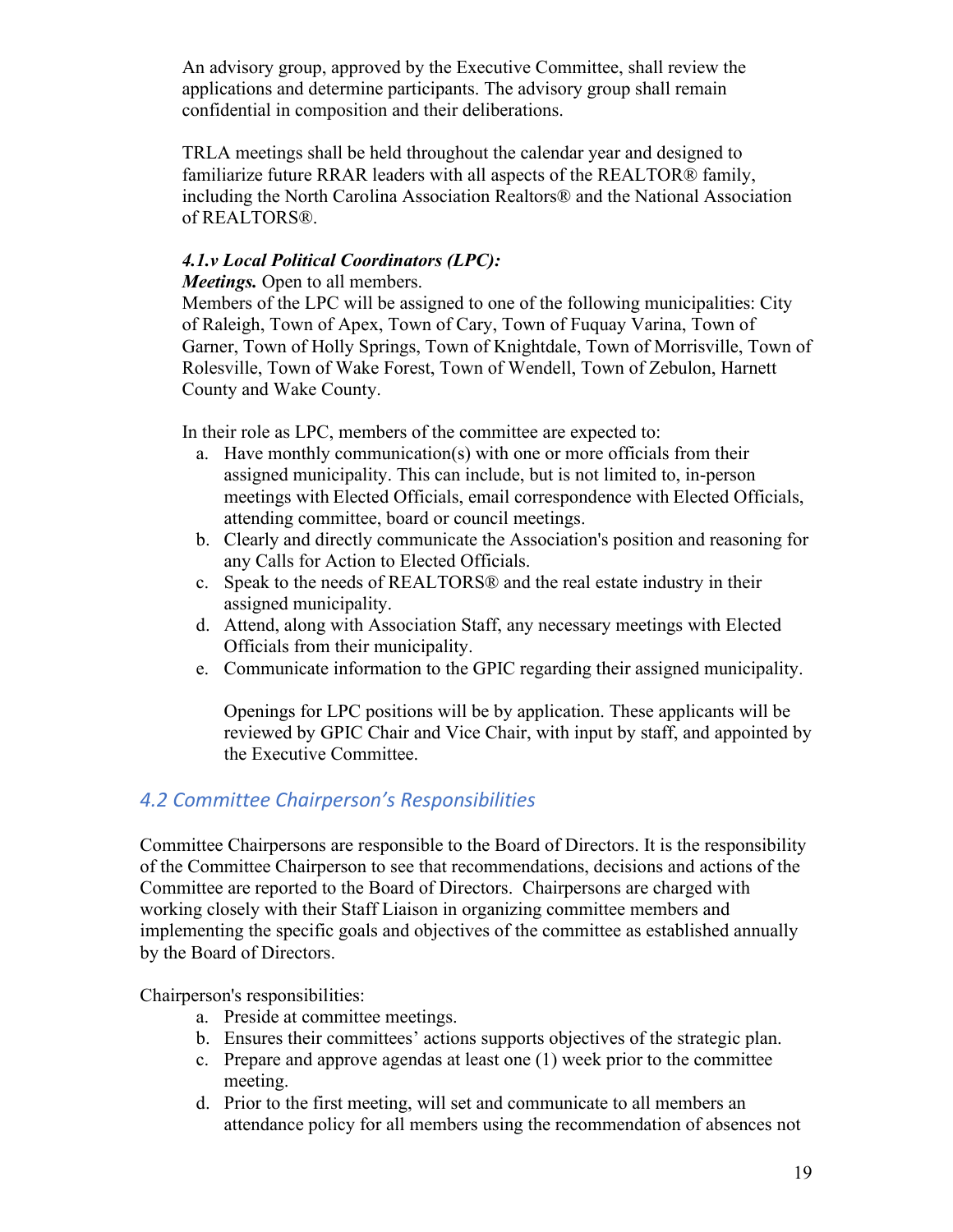An advisory group, approved by the Executive Committee, shall review the applications and determine participants. The advisory group shall remain confidential in composition and their deliberations.

TRLA meetings shall be held throughout the calendar year and designed to familiarize future RRAR leaders with all aspects of the REALTOR® family, including the North Carolina Association Realtors® and the National Association of REALTORS®.

#### *4.1.v Local Political Coordinators (LPC):*

*Meetings.* Open to all members.

Members of the LPC will be assigned to one of the following municipalities: City of Raleigh, Town of Apex, Town of Cary, Town of Fuquay Varina, Town of Garner, Town of Holly Springs, Town of Knightdale, Town of Morrisville, Town of Rolesville, Town of Wake Forest, Town of Wendell, Town of Zebulon, Harnett County and Wake County.

In their role as LPC, members of the committee are expected to:

- a. Have monthly communication(s) with one or more officials from their assigned municipality. This can include, but is not limited to, in-person meetings with Elected Officials, email correspondence with Elected Officials, attending committee, board or council meetings.
- b. Clearly and directly communicate the Association's position and reasoning for any Calls for Action to Elected Officials.
- c. Speak to the needs of REALTORS® and the real estate industry in their assigned municipality.
- d. Attend, along with Association Staff, any necessary meetings with Elected Officials from their municipality.
- e. Communicate information to the GPIC regarding their assigned municipality.

Openings for LPC positions will be by application. These applicants will be reviewed by GPIC Chair and Vice Chair, with input by staff, and appointed by the Executive Committee.

# *4.2 Committee Chairperson's Responsibilities*

Committee Chairpersons are responsible to the Board of Directors. It is the responsibility of the Committee Chairperson to see that recommendations, decisions and actions of the Committee are reported to the Board of Directors. Chairpersons are charged with working closely with their Staff Liaison in organizing committee members and implementing the specific goals and objectives of the committee as established annually by the Board of Directors.

Chairperson's responsibilities:

- a. Preside at committee meetings.
- b. Ensures their committees' actions supports objectives of the strategic plan.
- c. Prepare and approve agendas at least one (1) week prior to the committee meeting.
- d. Prior to the first meeting, will set and communicate to all members an attendance policy for all members using the recommendation of absences not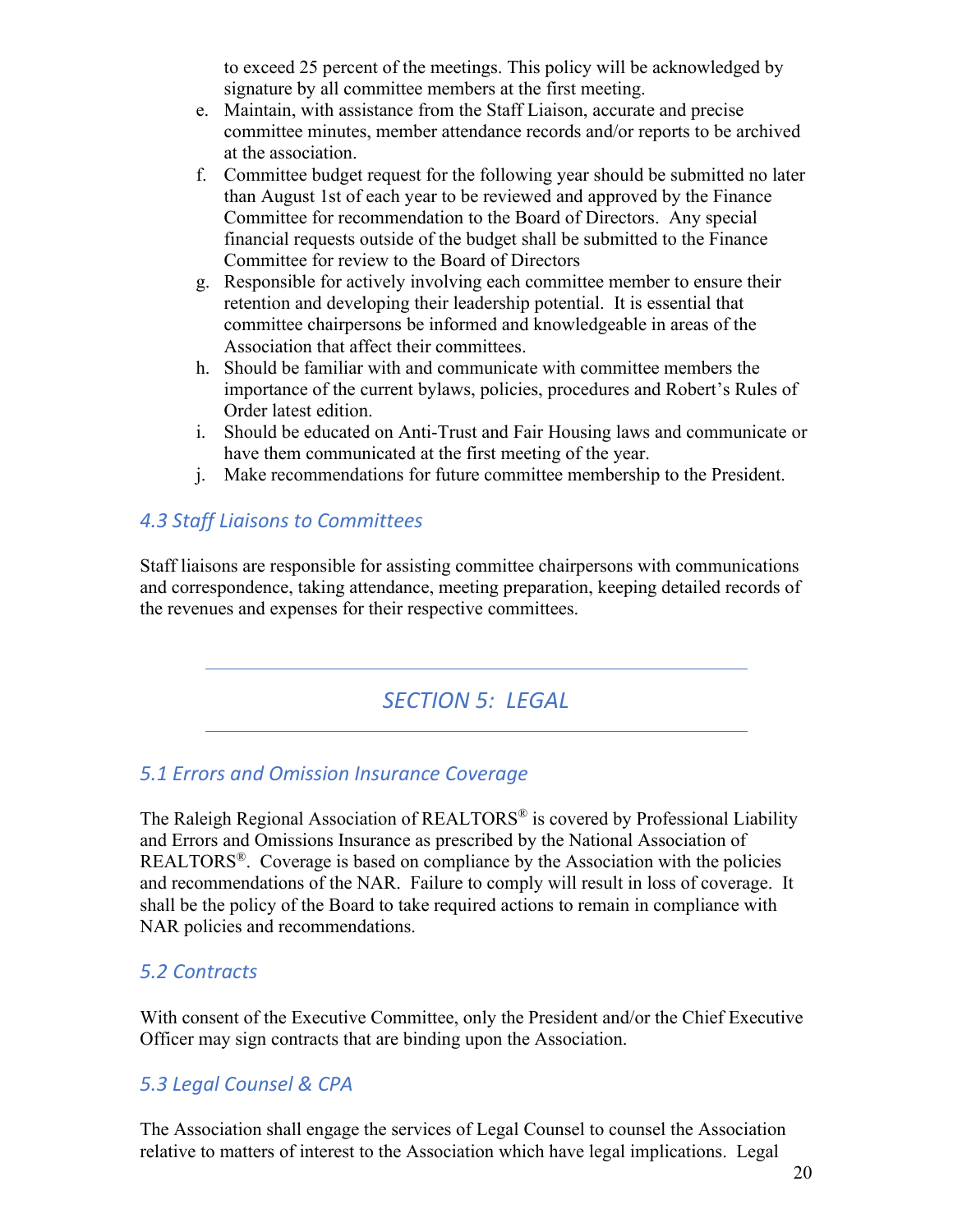to exceed 25 percent of the meetings. This policy will be acknowledged by signature by all committee members at the first meeting.

- e. Maintain, with assistance from the Staff Liaison, accurate and precise committee minutes, member attendance records and/or reports to be archived at the association.
- f. Committee budget request for the following year should be submitted no later than August 1st of each year to be reviewed and approved by the Finance Committee for recommendation to the Board of Directors. Any special financial requests outside of the budget shall be submitted to the Finance Committee for review to the Board of Directors
- g. Responsible for actively involving each committee member to ensure their retention and developing their leadership potential. It is essential that committee chairpersons be informed and knowledgeable in areas of the Association that affect their committees.
- h. Should be familiar with and communicate with committee members the importance of the current bylaws, policies, procedures and Robert's Rules of Order latest edition.
- i. Should be educated on Anti-Trust and Fair Housing laws and communicate or have them communicated at the first meeting of the year.
- j. Make recommendations for future committee membership to the President.

# *4.3 Staff Liaisons to Committees*

Staff liaisons are responsible for assisting committee chairpersons with communications and correspondence, taking attendance, meeting preparation, keeping detailed records of the revenues and expenses for their respective committees.

# *SECTION 5: LEGAL*

# *5.1 Errors and Omission Insurance Coverage*

The Raleigh Regional Association of REALTORS® is covered by Professional Liability and Errors and Omissions Insurance as prescribed by the National Association of REALTORS®. Coverage is based on compliance by the Association with the policies and recommendations of the NAR. Failure to comply will result in loss of coverage. It shall be the policy of the Board to take required actions to remain in compliance with NAR policies and recommendations.

# *5.2 Contracts*

With consent of the Executive Committee, only the President and/or the Chief Executive Officer may sign contracts that are binding upon the Association.

# *5.3 Legal Counsel & CPA*

The Association shall engage the services of Legal Counsel to counsel the Association relative to matters of interest to the Association which have legal implications. Legal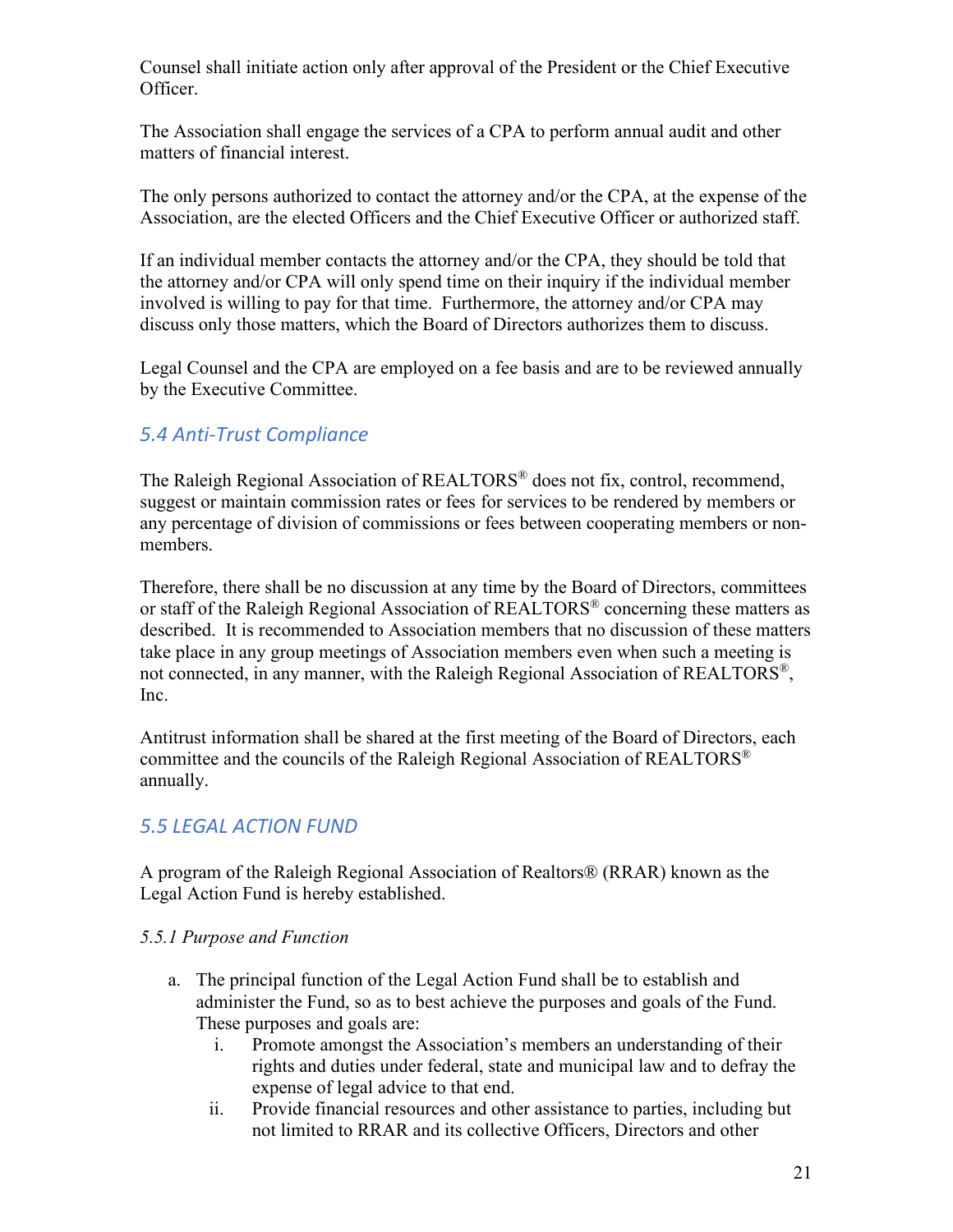Counsel shall initiate action only after approval of the President or the Chief Executive Officer.

The Association shall engage the services of a CPA to perform annual audit and other matters of financial interest.

The only persons authorized to contact the attorney and/or the CPA, at the expense of the Association, are the elected Officers and the Chief Executive Officer or authorized staff.

If an individual member contacts the attorney and/or the CPA, they should be told that the attorney and/or CPA will only spend time on their inquiry if the individual member involved is willing to pay for that time. Furthermore, the attorney and/or CPA may discuss only those matters, which the Board of Directors authorizes them to discuss.

Legal Counsel and the CPA are employed on a fee basis and are to be reviewed annually by the Executive Committee.

# *5.4 Anti-Trust Compliance*

The Raleigh Regional Association of REALTORS® does not fix, control, recommend, suggest or maintain commission rates or fees for services to be rendered by members or any percentage of division of commissions or fees between cooperating members or nonmembers.

Therefore, there shall be no discussion at any time by the Board of Directors, committees or staff of the Raleigh Regional Association of REALTORS® concerning these matters as described. It is recommended to Association members that no discussion of these matters take place in any group meetings of Association members even when such a meeting is not connected, in any manner, with the Raleigh Regional Association of REALTORS®, Inc.

Antitrust information shall be shared at the first meeting of the Board of Directors, each committee and the councils of the Raleigh Regional Association of REALTORS® annually.

### *5.5 LEGAL ACTION FUND*

A program of the Raleigh Regional Association of Realtors® (RRAR) known as the Legal Action Fund is hereby established.

#### *5.5.1 Purpose and Function*

- a. The principal function of the Legal Action Fund shall be to establish and administer the Fund, so as to best achieve the purposes and goals of the Fund. These purposes and goals are:
	- i. Promote amongst the Association's members an understanding of their rights and duties under federal, state and municipal law and to defray the expense of legal advice to that end.
	- ii. Provide financial resources and other assistance to parties, including but not limited to RRAR and its collective Officers, Directors and other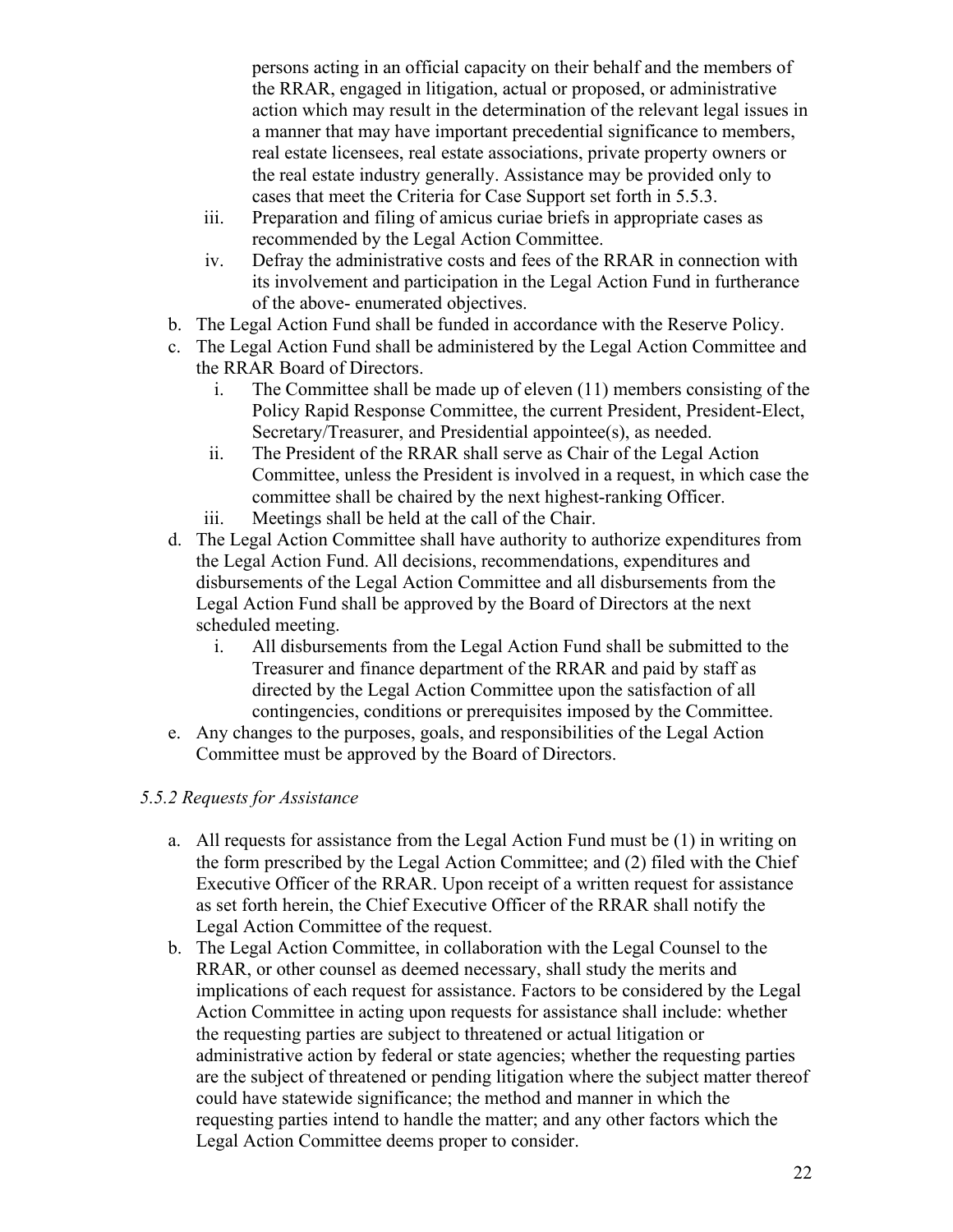persons acting in an official capacity on their behalf and the members of the RRAR, engaged in litigation, actual or proposed, or administrative action which may result in the determination of the relevant legal issues in a manner that may have important precedential significance to members, real estate licensees, real estate associations, private property owners or the real estate industry generally. Assistance may be provided only to cases that meet the Criteria for Case Support set forth in 5.5.3.

- iii. Preparation and filing of amicus curiae briefs in appropriate cases as recommended by the Legal Action Committee.
- iv. Defray the administrative costs and fees of the RRAR in connection with its involvement and participation in the Legal Action Fund in furtherance of the above- enumerated objectives.
- b. The Legal Action Fund shall be funded in accordance with the Reserve Policy.
- c. The Legal Action Fund shall be administered by the Legal Action Committee and the RRAR Board of Directors.
	- i. The Committee shall be made up of eleven (11) members consisting of the Policy Rapid Response Committee, the current President, President-Elect, Secretary/Treasurer, and Presidential appointee(s), as needed.
	- ii. The President of the RRAR shall serve as Chair of the Legal Action Committee, unless the President is involved in a request, in which case the committee shall be chaired by the next highest-ranking Officer.
	- iii. Meetings shall be held at the call of the Chair.
- d. The Legal Action Committee shall have authority to authorize expenditures from the Legal Action Fund. All decisions, recommendations, expenditures and disbursements of the Legal Action Committee and all disbursements from the Legal Action Fund shall be approved by the Board of Directors at the next scheduled meeting.
	- i. All disbursements from the Legal Action Fund shall be submitted to the Treasurer and finance department of the RRAR and paid by staff as directed by the Legal Action Committee upon the satisfaction of all contingencies, conditions or prerequisites imposed by the Committee.
- e. Any changes to the purposes, goals, and responsibilities of the Legal Action Committee must be approved by the Board of Directors.

#### *5.5.2 Requests for Assistance*

- a. All requests for assistance from the Legal Action Fund must be (1) in writing on the form prescribed by the Legal Action Committee; and (2) filed with the Chief Executive Officer of the RRAR. Upon receipt of a written request for assistance as set forth herein, the Chief Executive Officer of the RRAR shall notify the Legal Action Committee of the request.
- b. The Legal Action Committee, in collaboration with the Legal Counsel to the RRAR, or other counsel as deemed necessary, shall study the merits and implications of each request for assistance. Factors to be considered by the Legal Action Committee in acting upon requests for assistance shall include: whether the requesting parties are subject to threatened or actual litigation or administrative action by federal or state agencies; whether the requesting parties are the subject of threatened or pending litigation where the subject matter thereof could have statewide significance; the method and manner in which the requesting parties intend to handle the matter; and any other factors which the Legal Action Committee deems proper to consider.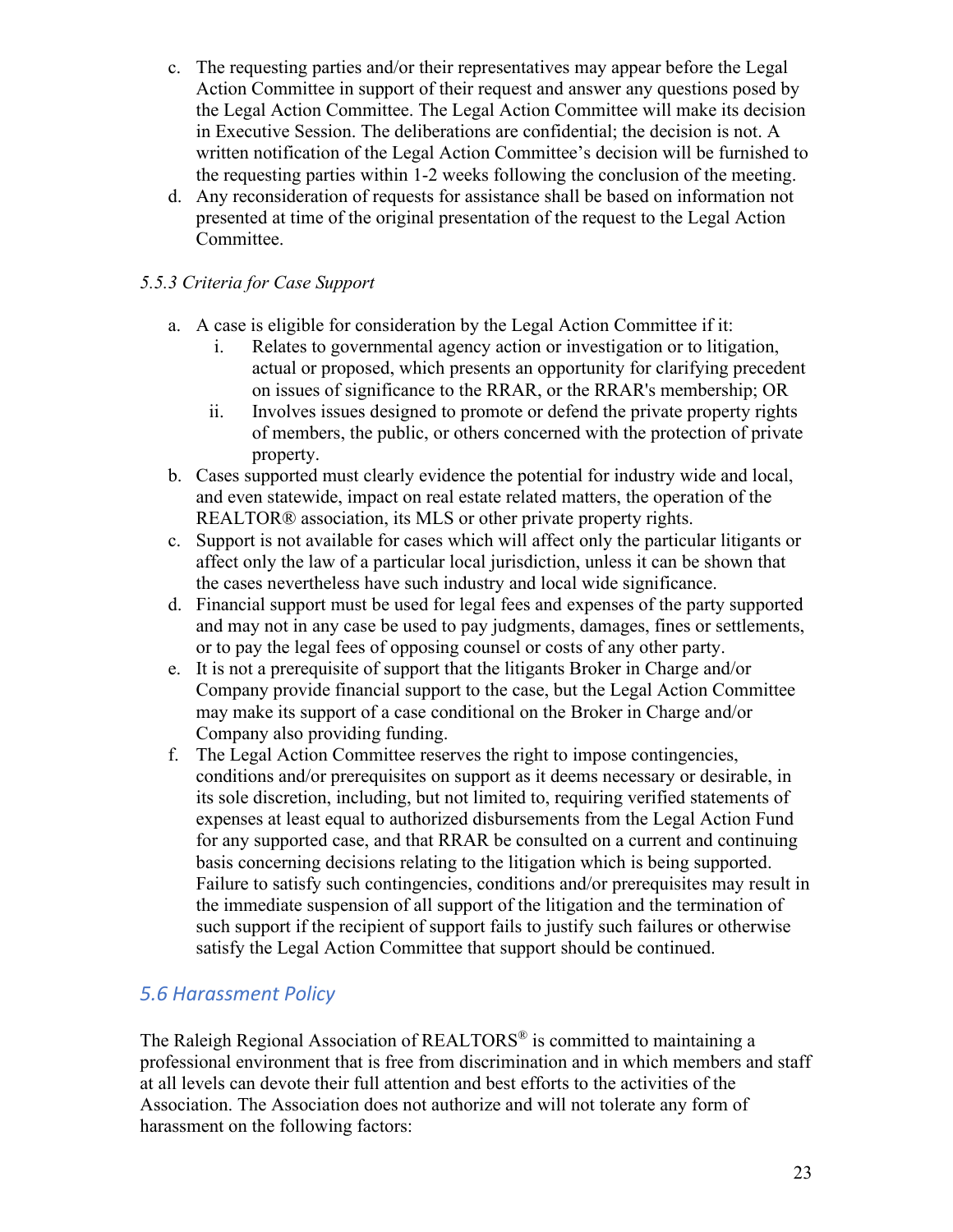- c. The requesting parties and/or their representatives may appear before the Legal Action Committee in support of their request and answer any questions posed by the Legal Action Committee. The Legal Action Committee will make its decision in Executive Session. The deliberations are confidential; the decision is not. A written notification of the Legal Action Committee's decision will be furnished to the requesting parties within 1-2 weeks following the conclusion of the meeting.
- d. Any reconsideration of requests for assistance shall be based on information not presented at time of the original presentation of the request to the Legal Action Committee.

#### *5.5.3 Criteria for Case Support*

- a. A case is eligible for consideration by the Legal Action Committee if it:
	- i. Relates to governmental agency action or investigation or to litigation, actual or proposed, which presents an opportunity for clarifying precedent on issues of significance to the RRAR, or the RRAR's membership; OR
	- ii. Involves issues designed to promote or defend the private property rights of members, the public, or others concerned with the protection of private property.
- b. Cases supported must clearly evidence the potential for industry wide and local, and even statewide, impact on real estate related matters, the operation of the REALTOR® association, its MLS or other private property rights.
- c. Support is not available for cases which will affect only the particular litigants or affect only the law of a particular local jurisdiction, unless it can be shown that the cases nevertheless have such industry and local wide significance.
- d. Financial support must be used for legal fees and expenses of the party supported and may not in any case be used to pay judgments, damages, fines or settlements, or to pay the legal fees of opposing counsel or costs of any other party.
- e. It is not a prerequisite of support that the litigants Broker in Charge and/or Company provide financial support to the case, but the Legal Action Committee may make its support of a case conditional on the Broker in Charge and/or Company also providing funding.
- f. The Legal Action Committee reserves the right to impose contingencies, conditions and/or prerequisites on support as it deems necessary or desirable, in its sole discretion, including, but not limited to, requiring verified statements of expenses at least equal to authorized disbursements from the Legal Action Fund for any supported case, and that RRAR be consulted on a current and continuing basis concerning decisions relating to the litigation which is being supported. Failure to satisfy such contingencies, conditions and/or prerequisites may result in the immediate suspension of all support of the litigation and the termination of such support if the recipient of support fails to justify such failures or otherwise satisfy the Legal Action Committee that support should be continued.

# *5.6 Harassment Policy*

The Raleigh Regional Association of REALTORS<sup>®</sup> is committed to maintaining a professional environment that is free from discrimination and in which members and staff at all levels can devote their full attention and best efforts to the activities of the Association. The Association does not authorize and will not tolerate any form of harassment on the following factors: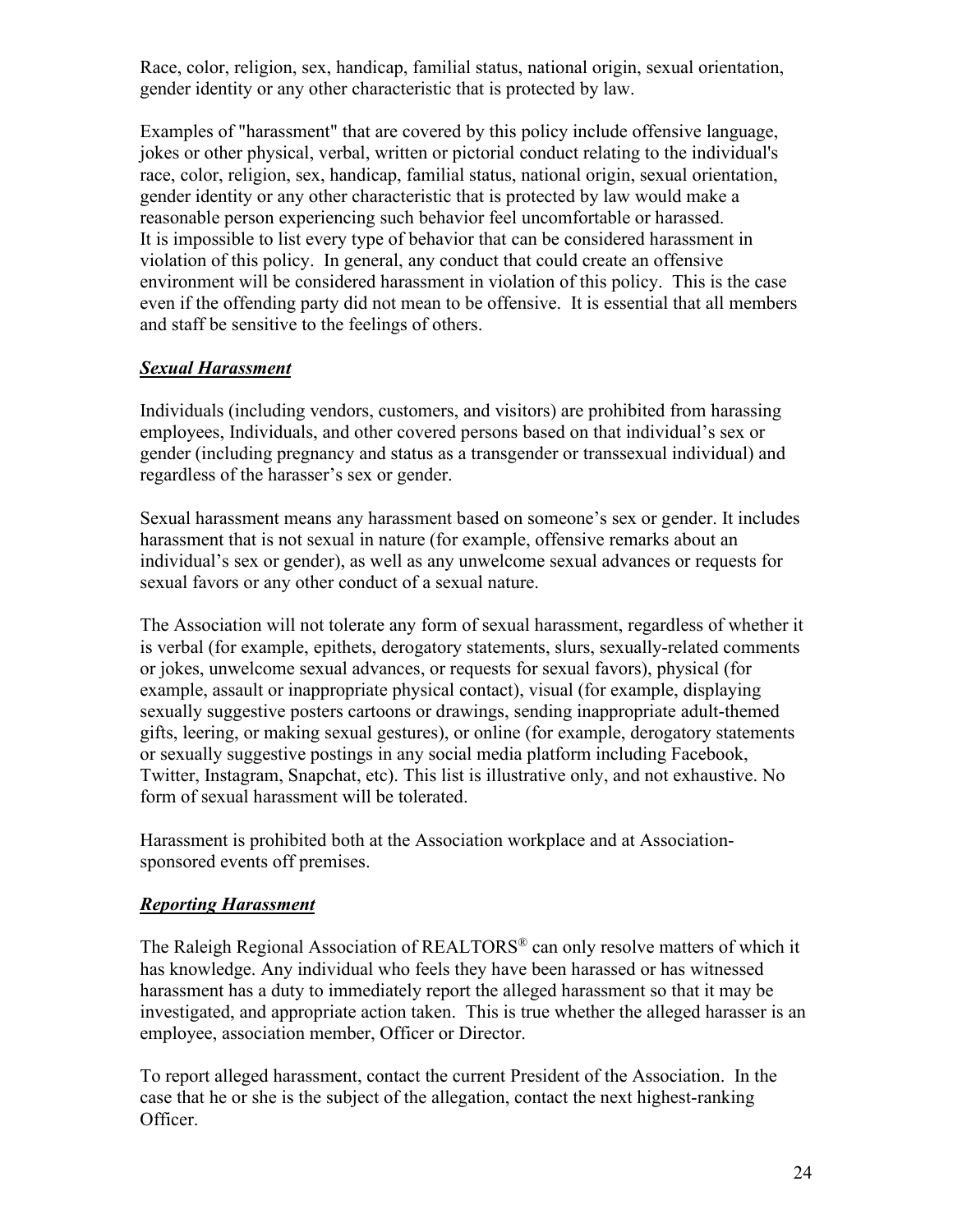Race, color, religion, sex, handicap, familial status, national origin, sexual orientation, gender identity or any other characteristic that is protected by law.

Examples of "harassment" that are covered by this policy include offensive language, jokes or other physical, verbal, written or pictorial conduct relating to the individual's race, color, religion, sex, handicap, familial status, national origin, sexual orientation, gender identity or any other characteristic that is protected by law would make a reasonable person experiencing such behavior feel uncomfortable or harassed. It is impossible to list every type of behavior that can be considered harassment in violation of this policy. In general, any conduct that could create an offensive environment will be considered harassment in violation of this policy. This is the case even if the offending party did not mean to be offensive. It is essential that all members and staff be sensitive to the feelings of others.

#### *Sexual Harassment*

Individuals (including vendors, customers, and visitors) are prohibited from harassing employees, Individuals, and other covered persons based on that individual's sex or gender (including pregnancy and status as a transgender or transsexual individual) and regardless of the harasser's sex or gender.

Sexual harassment means any harassment based on someone's sex or gender. It includes harassment that is not sexual in nature (for example, offensive remarks about an individual's sex or gender), as well as any unwelcome sexual advances or requests for sexual favors or any other conduct of a sexual nature.

The Association will not tolerate any form of sexual harassment, regardless of whether it is verbal (for example, epithets, derogatory statements, slurs, sexually-related comments or jokes, unwelcome sexual advances, or requests for sexual favors), physical (for example, assault or inappropriate physical contact), visual (for example, displaying sexually suggestive posters cartoons or drawings, sending inappropriate adult-themed gifts, leering, or making sexual gestures), or online (for example, derogatory statements or sexually suggestive postings in any social media platform including Facebook, Twitter, Instagram, Snapchat, etc). This list is illustrative only, and not exhaustive. No form of sexual harassment will be tolerated.

Harassment is prohibited both at the Association workplace and at Associationsponsored events off premises.

### *Reporting Harassment*

The Raleigh Regional Association of REALTORS® can only resolve matters of which it has knowledge. Any individual who feels they have been harassed or has witnessed harassment has a duty to immediately report the alleged harassment so that it may be investigated, and appropriate action taken. This is true whether the alleged harasser is an employee, association member, Officer or Director.

To report alleged harassment, contact the current President of the Association. In the case that he or she is the subject of the allegation, contact the next highest-ranking Officer.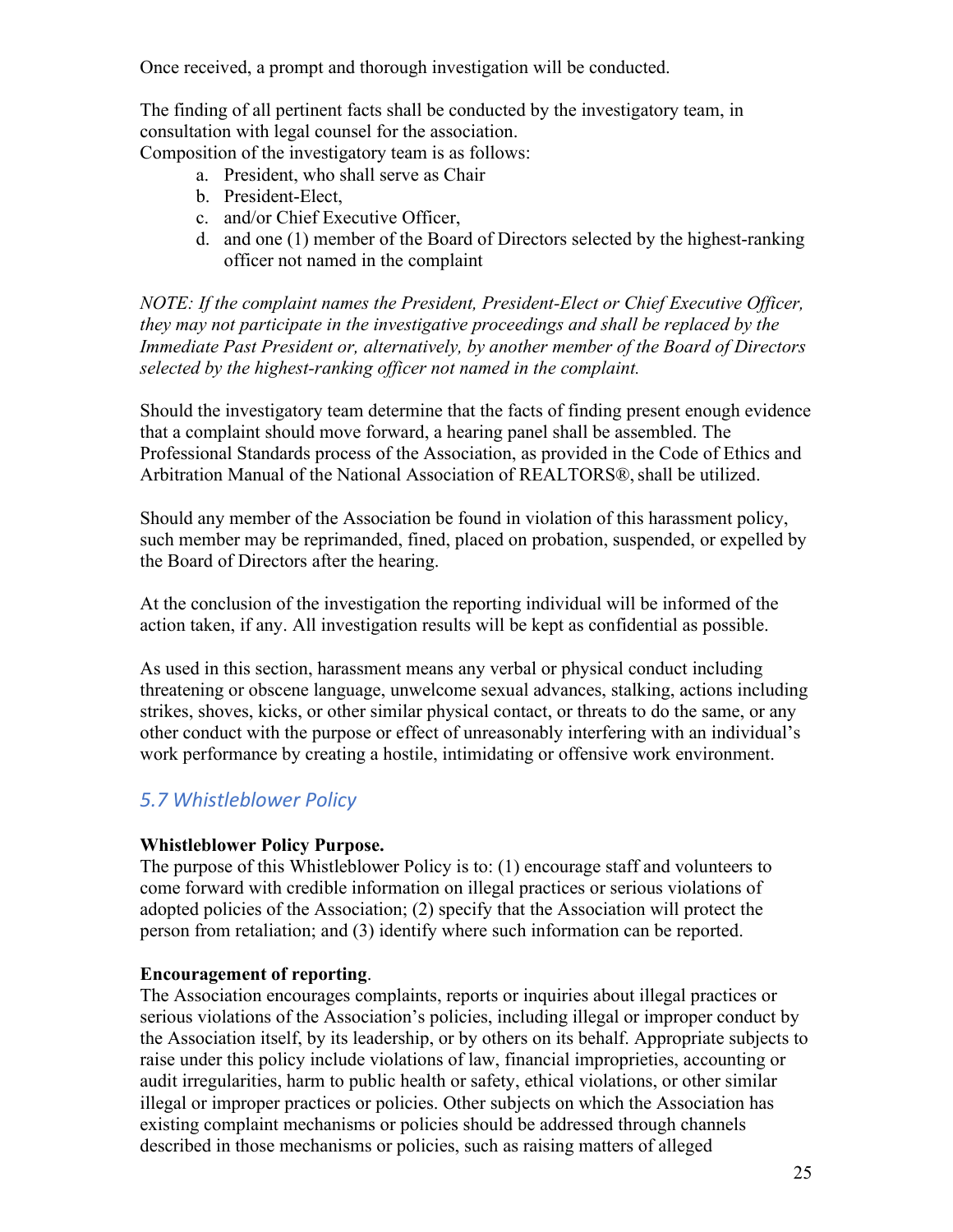Once received, a prompt and thorough investigation will be conducted.

The finding of all pertinent facts shall be conducted by the investigatory team, in consultation with legal counsel for the association.

Composition of the investigatory team is as follows:

- a. President, who shall serve as Chair
- b. President-Elect,
- c. and/or Chief Executive Officer,
- d. and one (1) member of the Board of Directors selected by the highest-ranking officer not named in the complaint

*NOTE: If the complaint names the President, President-Elect or Chief Executive Officer, they may not participate in the investigative proceedings and shall be replaced by the Immediate Past President or, alternatively, by another member of the Board of Directors selected by the highest-ranking officer not named in the complaint.*

Should the investigatory team determine that the facts of finding present enough evidence that a complaint should move forward, a hearing panel shall be assembled. The Professional Standards process of the Association, as provided in the Code of Ethics and Arbitration Manual of the National Association of REALTORS®, shall be utilized.

Should any member of the Association be found in violation of this harassment policy, such member may be reprimanded, fined, placed on probation, suspended, or expelled by the Board of Directors after the hearing.

At the conclusion of the investigation the reporting individual will be informed of the action taken, if any. All investigation results will be kept as confidential as possible.

As used in this section, harassment means any verbal or physical conduct including threatening or obscene language, unwelcome sexual advances, stalking, actions including strikes, shoves, kicks, or other similar physical contact, or threats to do the same, or any other conduct with the purpose or effect of unreasonably interfering with an individual's work performance by creating a hostile, intimidating or offensive work environment.

# *5.7 Whistleblower Policy*

#### **Whistleblower Policy Purpose.**

The purpose of this Whistleblower Policy is to: (1) encourage staff and volunteers to come forward with credible information on illegal practices or serious violations of adopted policies of the Association; (2) specify that the Association will protect the person from retaliation; and (3) identify where such information can be reported.

#### **Encouragement of reporting**.

The Association encourages complaints, reports or inquiries about illegal practices or serious violations of the Association's policies, including illegal or improper conduct by the Association itself, by its leadership, or by others on its behalf. Appropriate subjects to raise under this policy include violations of law, financial improprieties, accounting or audit irregularities, harm to public health or safety, ethical violations, or other similar illegal or improper practices or policies. Other subjects on which the Association has existing complaint mechanisms or policies should be addressed through channels described in those mechanisms or policies, such as raising matters of alleged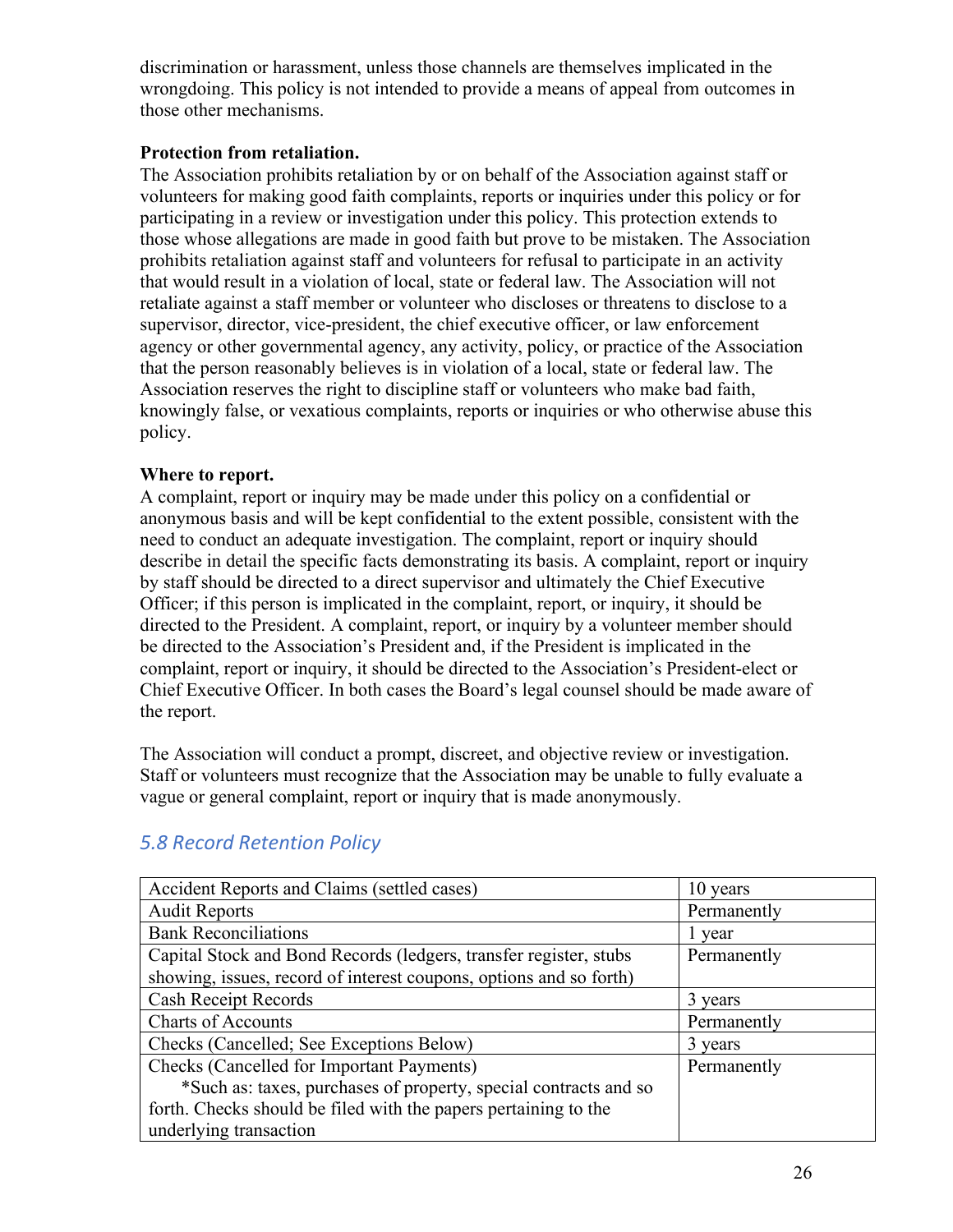discrimination or harassment, unless those channels are themselves implicated in the wrongdoing. This policy is not intended to provide a means of appeal from outcomes in those other mechanisms.

#### **Protection from retaliation.**

The Association prohibits retaliation by or on behalf of the Association against staff or volunteers for making good faith complaints, reports or inquiries under this policy or for participating in a review or investigation under this policy. This protection extends to those whose allegations are made in good faith but prove to be mistaken. The Association prohibits retaliation against staff and volunteers for refusal to participate in an activity that would result in a violation of local, state or federal law. The Association will not retaliate against a staff member or volunteer who discloses or threatens to disclose to a supervisor, director, vice-president, the chief executive officer, or law enforcement agency or other governmental agency, any activity, policy, or practice of the Association that the person reasonably believes is in violation of a local, state or federal law. The Association reserves the right to discipline staff or volunteers who make bad faith, knowingly false, or vexatious complaints, reports or inquiries or who otherwise abuse this policy.

#### **Where to report.**

A complaint, report or inquiry may be made under this policy on a confidential or anonymous basis and will be kept confidential to the extent possible, consistent with the need to conduct an adequate investigation. The complaint, report or inquiry should describe in detail the specific facts demonstrating its basis. A complaint, report or inquiry by staff should be directed to a direct supervisor and ultimately the Chief Executive Officer; if this person is implicated in the complaint, report, or inquiry, it should be directed to the President. A complaint, report, or inquiry by a volunteer member should be directed to the Association's President and, if the President is implicated in the complaint, report or inquiry, it should be directed to the Association's President-elect or Chief Executive Officer. In both cases the Board's legal counsel should be made aware of the report.

The Association will conduct a prompt, discreet, and objective review or investigation. Staff or volunteers must recognize that the Association may be unable to fully evaluate a vague or general complaint, report or inquiry that is made anonymously.

| Accident Reports and Claims (settled cases)                        | 10 years    |
|--------------------------------------------------------------------|-------------|
| <b>Audit Reports</b>                                               | Permanently |
| <b>Bank Reconciliations</b>                                        | l year      |
| Capital Stock and Bond Records (ledgers, transfer register, stubs  | Permanently |
| showing, issues, record of interest coupons, options and so forth) |             |
| Cash Receipt Records                                               | 3 years     |
| <b>Charts of Accounts</b>                                          | Permanently |
| Checks (Cancelled; See Exceptions Below)                           | 3 years     |
| Checks (Cancelled for Important Payments)                          | Permanently |
| *Such as: taxes, purchases of property, special contracts and so   |             |
| forth. Checks should be filed with the papers pertaining to the    |             |
| underlying transaction                                             |             |

# *5.8 Record Retention Policy*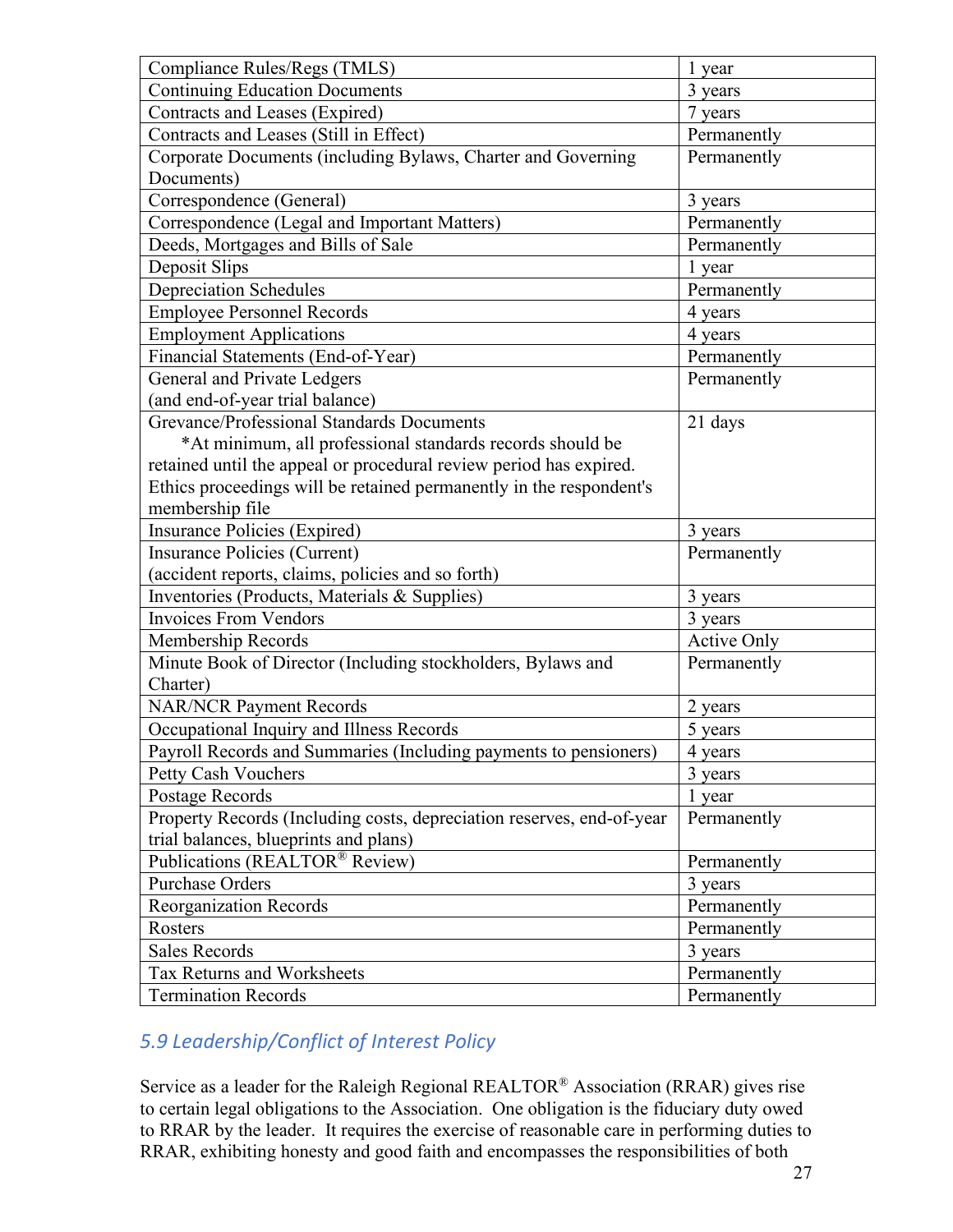| Compliance Rules/Regs (TMLS)                                          | 1 year             |
|-----------------------------------------------------------------------|--------------------|
| <b>Continuing Education Documents</b>                                 | 3 years            |
| Contracts and Leases (Expired)                                        | 7 years            |
| Contracts and Leases (Still in Effect)                                | Permanently        |
| Corporate Documents (including Bylaws, Charter and Governing          | Permanently        |
| Documents)                                                            |                    |
| Correspondence (General)                                              | 3 years            |
| Correspondence (Legal and Important Matters)                          | Permanently        |
| Deeds, Mortgages and Bills of Sale                                    | Permanently        |
| Deposit Slips                                                         | 1 year             |
| <b>Depreciation Schedules</b>                                         | Permanently        |
| <b>Employee Personnel Records</b>                                     | 4 years            |
| <b>Employment Applications</b>                                        | 4 years            |
| Financial Statements (End-of-Year)                                    | Permanently        |
| General and Private Ledgers                                           | Permanently        |
| (and end-of-year trial balance)                                       |                    |
| Grevance/Professional Standards Documents                             | 21 days            |
| *At minimum, all professional standards records should be             |                    |
| retained until the appeal or procedural review period has expired.    |                    |
| Ethics proceedings will be retained permanently in the respondent's   |                    |
| membership file                                                       |                    |
| <b>Insurance Policies (Expired)</b>                                   | 3 years            |
| <b>Insurance Policies (Current)</b>                                   | Permanently        |
| (accident reports, claims, policies and so forth)                     |                    |
| Inventories (Products, Materials & Supplies)                          | 3 years            |
| <b>Invoices From Vendors</b>                                          | 3 years            |
| Membership Records                                                    | <b>Active Only</b> |
| Minute Book of Director (Including stockholders, Bylaws and           | Permanently        |
| Charter)                                                              |                    |
| <b>NAR/NCR Payment Records</b>                                        | 2 years            |
| Occupational Inquiry and Illness Records                              | 5 years            |
| Payroll Records and Summaries (Including payments to pensioners)      | 4 years            |
| Petty Cash Vouchers                                                   | 3 years            |
| Postage Records                                                       | 1 year             |
| Property Records (Including costs, depreciation reserves, end-of-year | Permanently        |
| trial balances, blueprints and plans)                                 |                    |
| Publications (REALTOR® Review)                                        | Permanently        |
| <b>Purchase Orders</b>                                                | 3 years            |
| Reorganization Records                                                | Permanently        |
| Rosters                                                               | Permanently        |
| <b>Sales Records</b>                                                  | 3 years            |
| Tax Returns and Worksheets                                            | Permanently        |
| <b>Termination Records</b>                                            | Permanently        |

# *5.9 Leadership/Conflict of Interest Policy*

Service as a leader for the Raleigh Regional REALTOR® Association (RRAR) gives rise to certain legal obligations to the Association. One obligation is the fiduciary duty owed to RRAR by the leader. It requires the exercise of reasonable care in performing duties to RRAR, exhibiting honesty and good faith and encompasses the responsibilities of both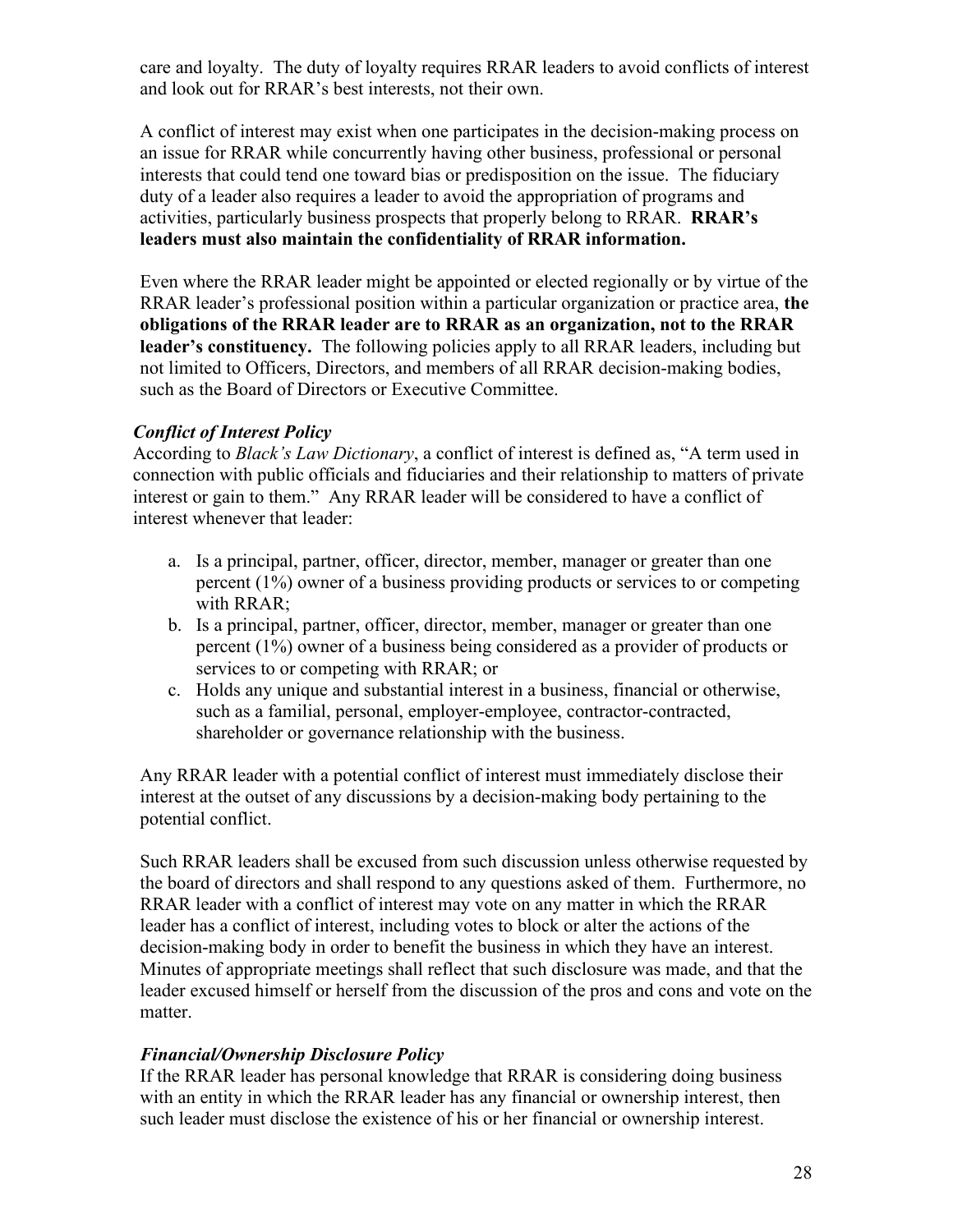care and loyalty. The duty of loyalty requires RRAR leaders to avoid conflicts of interest and look out for RRAR's best interests, not their own.

A conflict of interest may exist when one participates in the decision-making process on an issue for RRAR while concurrently having other business, professional or personal interests that could tend one toward bias or predisposition on the issue. The fiduciary duty of a leader also requires a leader to avoid the appropriation of programs and activities, particularly business prospects that properly belong to RRAR. **RRAR's leaders must also maintain the confidentiality of RRAR information.**

Even where the RRAR leader might be appointed or elected regionally or by virtue of the RRAR leader's professional position within a particular organization or practice area, **the obligations of the RRAR leader are to RRAR as an organization, not to the RRAR leader's constituency.** The following policies apply to all RRAR leaders, including but not limited to Officers, Directors, and members of all RRAR decision-making bodies, such as the Board of Directors or Executive Committee.

#### *Conflict of Interest Policy*

According to *Black's Law Dictionary*, a conflict of interest is defined as, "A term used in connection with public officials and fiduciaries and their relationship to matters of private interest or gain to them." Any RRAR leader will be considered to have a conflict of interest whenever that leader:

- a. Is a principal, partner, officer, director, member, manager or greater than one percent (1%) owner of a business providing products or services to or competing with RRAR;
- b. Is a principal, partner, officer, director, member, manager or greater than one percent (1%) owner of a business being considered as a provider of products or services to or competing with RRAR; or
- c. Holds any unique and substantial interest in a business, financial or otherwise, such as a familial, personal, employer-employee, contractor-contracted, shareholder or governance relationship with the business.

Any RRAR leader with a potential conflict of interest must immediately disclose their interest at the outset of any discussions by a decision-making body pertaining to the potential conflict.

Such RRAR leaders shall be excused from such discussion unless otherwise requested by the board of directors and shall respond to any questions asked of them. Furthermore, no RRAR leader with a conflict of interest may vote on any matter in which the RRAR leader has a conflict of interest, including votes to block or alter the actions of the decision-making body in order to benefit the business in which they have an interest. Minutes of appropriate meetings shall reflect that such disclosure was made, and that the leader excused himself or herself from the discussion of the pros and cons and vote on the matter.

#### *Financial/Ownership Disclosure Policy*

If the RRAR leader has personal knowledge that RRAR is considering doing business with an entity in which the RRAR leader has any financial or ownership interest, then such leader must disclose the existence of his or her financial or ownership interest.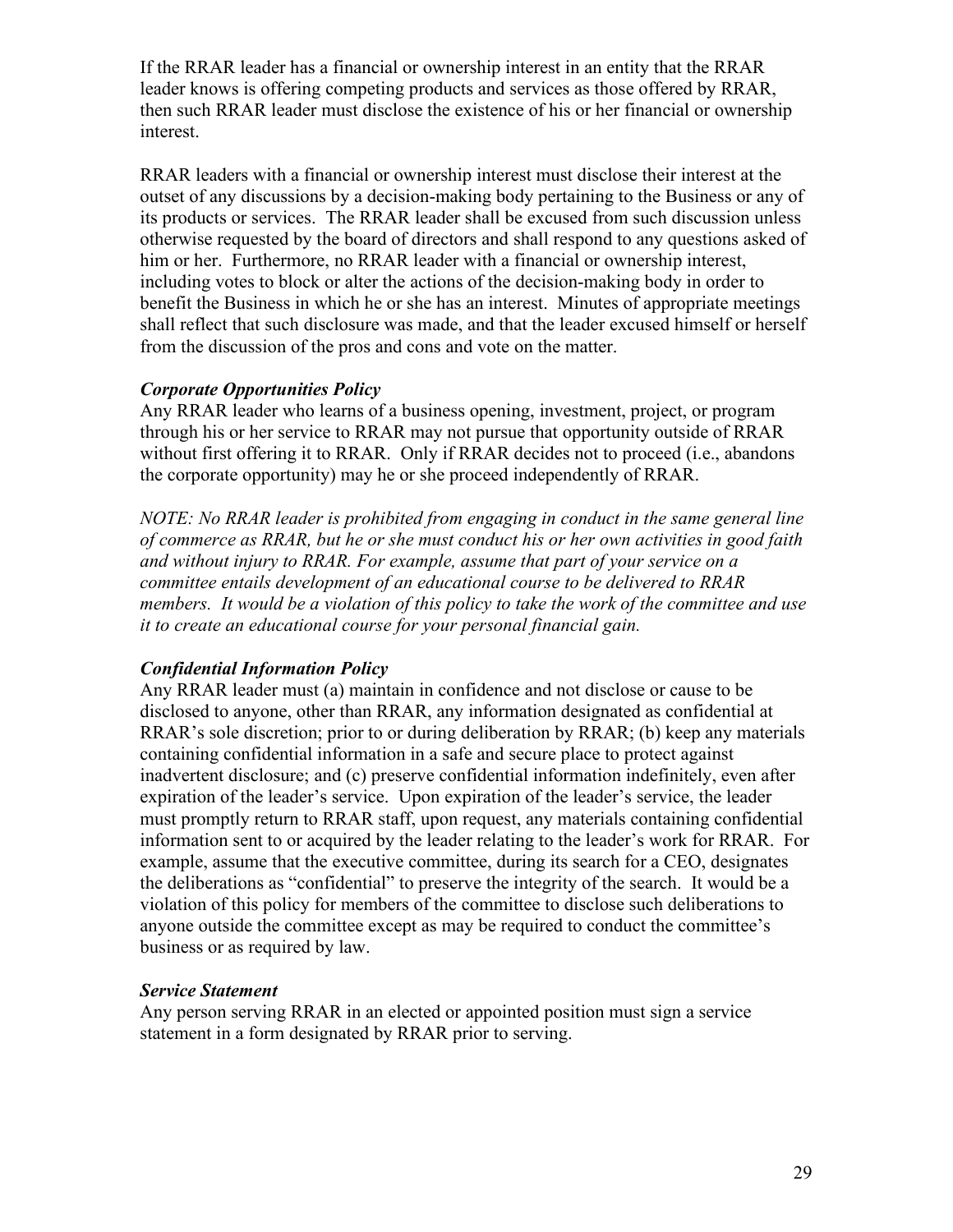If the RRAR leader has a financial or ownership interest in an entity that the RRAR leader knows is offering competing products and services as those offered by RRAR, then such RRAR leader must disclose the existence of his or her financial or ownership interest.

RRAR leaders with a financial or ownership interest must disclose their interest at the outset of any discussions by a decision-making body pertaining to the Business or any of its products or services. The RRAR leader shall be excused from such discussion unless otherwise requested by the board of directors and shall respond to any questions asked of him or her. Furthermore, no RRAR leader with a financial or ownership interest, including votes to block or alter the actions of the decision-making body in order to benefit the Business in which he or she has an interest. Minutes of appropriate meetings shall reflect that such disclosure was made, and that the leader excused himself or herself from the discussion of the pros and cons and vote on the matter.

#### *Corporate Opportunities Policy*

Any RRAR leader who learns of a business opening, investment, project, or program through his or her service to RRAR may not pursue that opportunity outside of RRAR without first offering it to RRAR. Only if RRAR decides not to proceed (i.e., abandons the corporate opportunity) may he or she proceed independently of RRAR.

*NOTE: No RRAR leader is prohibited from engaging in conduct in the same general line of commerce as RRAR, but he or she must conduct his or her own activities in good faith and without injury to RRAR. For example, assume that part of your service on a committee entails development of an educational course to be delivered to RRAR members. It would be a violation of this policy to take the work of the committee and use it to create an educational course for your personal financial gain.*

#### *Confidential Information Policy*

Any RRAR leader must (a) maintain in confidence and not disclose or cause to be disclosed to anyone, other than RRAR, any information designated as confidential at RRAR's sole discretion; prior to or during deliberation by RRAR; (b) keep any materials containing confidential information in a safe and secure place to protect against inadvertent disclosure; and (c) preserve confidential information indefinitely, even after expiration of the leader's service. Upon expiration of the leader's service, the leader must promptly return to RRAR staff, upon request, any materials containing confidential information sent to or acquired by the leader relating to the leader's work for RRAR. For example, assume that the executive committee, during its search for a CEO, designates the deliberations as "confidential" to preserve the integrity of the search. It would be a violation of this policy for members of the committee to disclose such deliberations to anyone outside the committee except as may be required to conduct the committee's business or as required by law.

#### *Service Statement*

Any person serving RRAR in an elected or appointed position must sign a service statement in a form designated by RRAR prior to serving.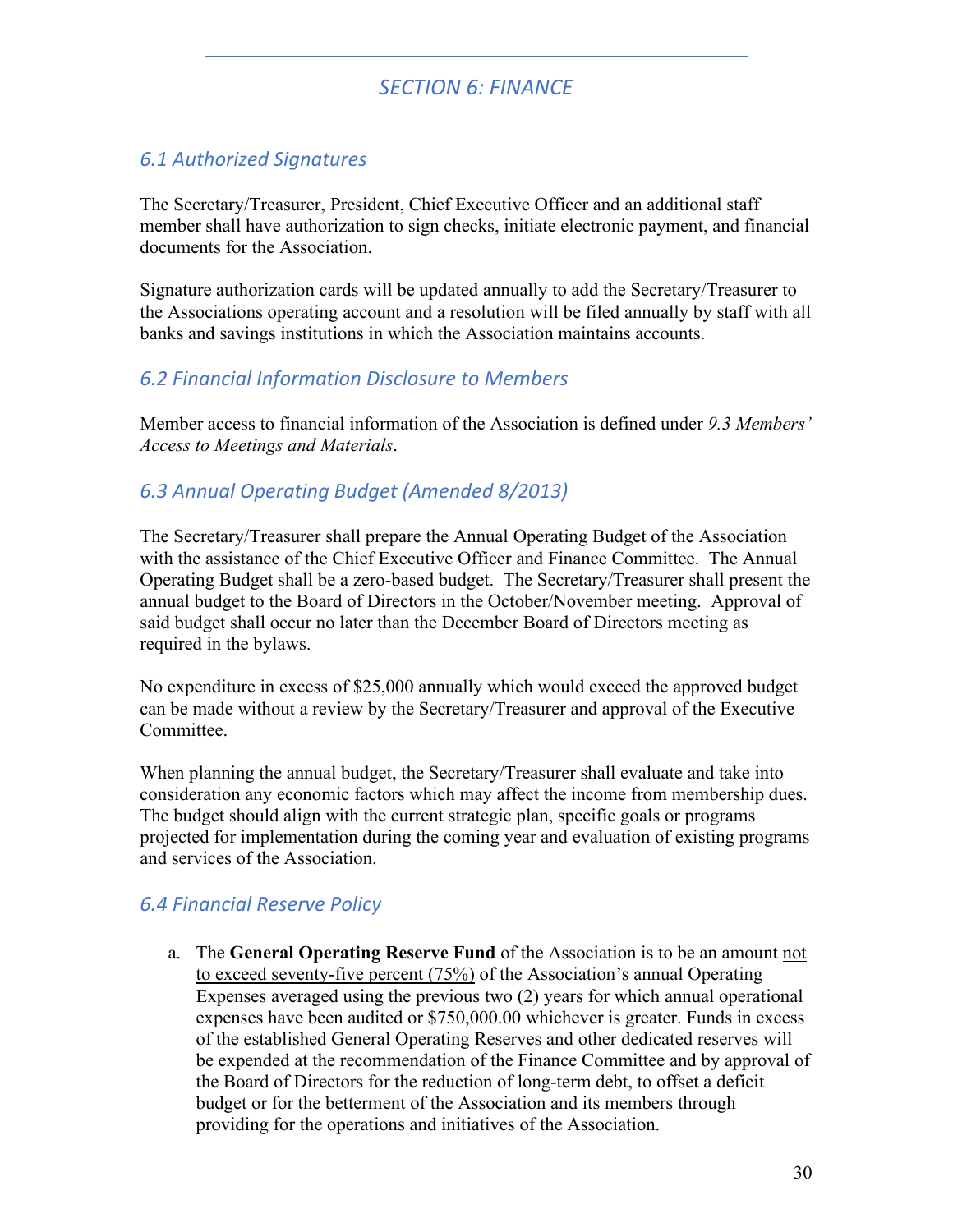# *SECTION 6: FINANCE*

### *6.1 Authorized Signatures*

The Secretary/Treasurer, President, Chief Executive Officer and an additional staff member shall have authorization to sign checks, initiate electronic payment, and financial documents for the Association.

Signature authorization cards will be updated annually to add the Secretary/Treasurer to the Associations operating account and a resolution will be filed annually by staff with all banks and savings institutions in which the Association maintains accounts.

### *6.2 Financial Information Disclosure to Members*

Member access to financial information of the Association is defined under *9.3 Members' Access to Meetings and Materials*.

### *6.3 Annual Operating Budget (Amended 8/2013)*

The Secretary/Treasurer shall prepare the Annual Operating Budget of the Association with the assistance of the Chief Executive Officer and Finance Committee. The Annual Operating Budget shall be a zero-based budget. The Secretary/Treasurer shall present the annual budget to the Board of Directors in the October/November meeting. Approval of said budget shall occur no later than the December Board of Directors meeting as required in the bylaws.

No expenditure in excess of \$25,000 annually which would exceed the approved budget can be made without a review by the Secretary/Treasurer and approval of the Executive Committee.

When planning the annual budget, the Secretary/Treasurer shall evaluate and take into consideration any economic factors which may affect the income from membership dues. The budget should align with the current strategic plan, specific goals or programs projected for implementation during the coming year and evaluation of existing programs and services of the Association.

# *6.4 Financial Reserve Policy*

a. The **General Operating Reserve Fund** of the Association is to be an amount not to exceed seventy-five percent (75%) of the Association's annual Operating Expenses averaged using the previous two (2) years for which annual operational expenses have been audited or \$750,000.00 whichever is greater. Funds in excess of the established General Operating Reserves and other dedicated reserves will be expended at the recommendation of the Finance Committee and by approval of the Board of Directors for the reduction of long-term debt, to offset a deficit budget or for the betterment of the Association and its members through providing for the operations and initiatives of the Association.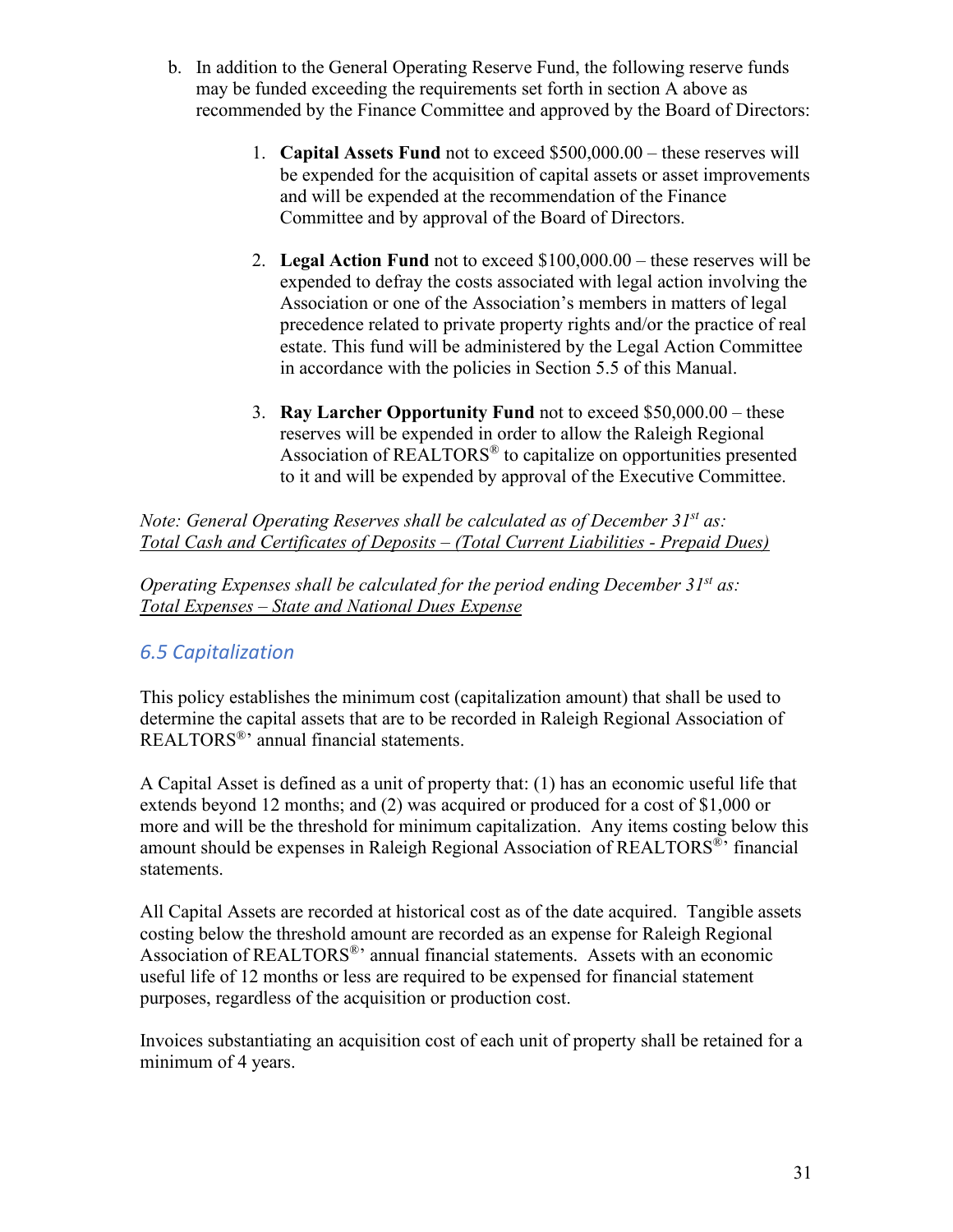- b. In addition to the General Operating Reserve Fund, the following reserve funds may be funded exceeding the requirements set forth in section A above as recommended by the Finance Committee and approved by the Board of Directors:
	- 1. **Capital Assets Fund** not to exceed \$500,000.00 these reserves will be expended for the acquisition of capital assets or asset improvements and will be expended at the recommendation of the Finance Committee and by approval of the Board of Directors.
	- 2. **Legal Action Fund** not to exceed \$100,000.00 these reserves will be expended to defray the costs associated with legal action involving the Association or one of the Association's members in matters of legal precedence related to private property rights and/or the practice of real estate. This fund will be administered by the Legal Action Committee in accordance with the policies in Section 5.5 of this Manual.
	- 3. **Ray Larcher Opportunity Fund** not to exceed \$50,000.00 these reserves will be expended in order to allow the Raleigh Regional Association of REALTORS® to capitalize on opportunities presented to it and will be expended by approval of the Executive Committee.

*Note: General Operating Reserves shall be calculated as of December 31st as: Total Cash and Certificates of Deposits – (Total Current Liabilities - Prepaid Dues)*

*Operating Expenses shall be calculated for the period ending December 31st as: Total Expenses – State and National Dues Expense*

# *6.5 Capitalization*

This policy establishes the minimum cost (capitalization amount) that shall be used to determine the capital assets that are to be recorded in Raleigh Regional Association of REALTORS®' annual financial statements.

A Capital Asset is defined as a unit of property that: (1) has an economic useful life that extends beyond 12 months; and (2) was acquired or produced for a cost of \$1,000 or more and will be the threshold for minimum capitalization. Any items costing below this amount should be expenses in Raleigh Regional Association of REALTORS®' financial statements.

All Capital Assets are recorded at historical cost as of the date acquired. Tangible assets costing below the threshold amount are recorded as an expense for Raleigh Regional Association of REALTORS®' annual financial statements. Assets with an economic useful life of 12 months or less are required to be expensed for financial statement purposes, regardless of the acquisition or production cost.

Invoices substantiating an acquisition cost of each unit of property shall be retained for a minimum of 4 years.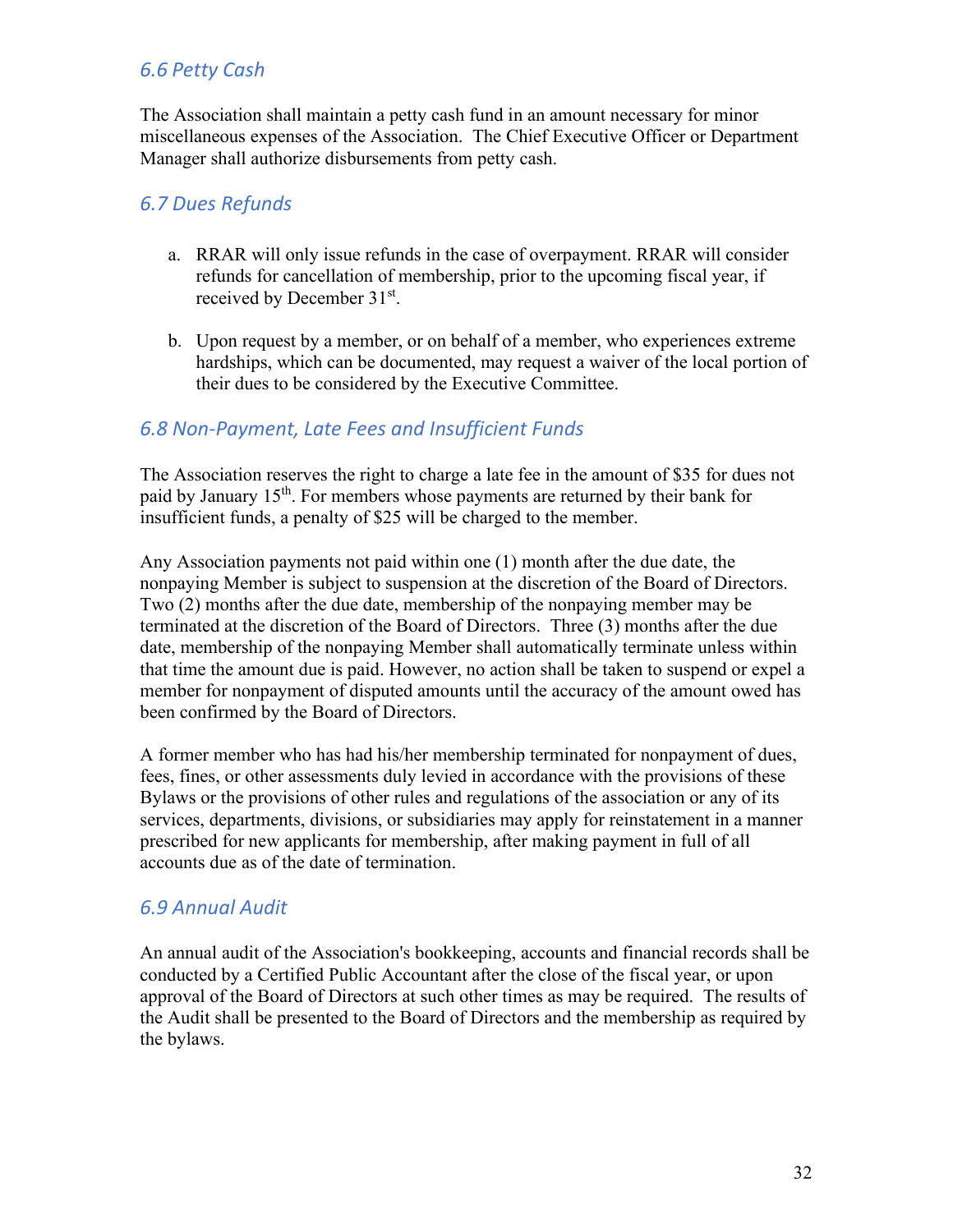# *6.6 Petty Cash*

The Association shall maintain a petty cash fund in an amount necessary for minor miscellaneous expenses of the Association. The Chief Executive Officer or Department Manager shall authorize disbursements from petty cash.

### *6.7 Dues Refunds*

- a. RRAR will only issue refunds in the case of overpayment. RRAR will consider refunds for cancellation of membership, prior to the upcoming fiscal year, if received by December 31st.
- b. Upon request by a member, or on behalf of a member, who experiences extreme hardships, which can be documented, may request a waiver of the local portion of their dues to be considered by the Executive Committee.

### *6.8 Non-Payment, Late Fees and Insufficient Funds*

The Association reserves the right to charge a late fee in the amount of \$35 for dues not paid by January  $15<sup>th</sup>$ . For members whose payments are returned by their bank for insufficient funds, a penalty of \$25 will be charged to the member.

Any Association payments not paid within one (1) month after the due date, the nonpaying Member is subject to suspension at the discretion of the Board of Directors. Two (2) months after the due date, membership of the nonpaying member may be terminated at the discretion of the Board of Directors. Three (3) months after the due date, membership of the nonpaying Member shall automatically terminate unless within that time the amount due is paid. However, no action shall be taken to suspend or expel a member for nonpayment of disputed amounts until the accuracy of the amount owed has been confirmed by the Board of Directors.

A former member who has had his/her membership terminated for nonpayment of dues, fees, fines, or other assessments duly levied in accordance with the provisions of these Bylaws or the provisions of other rules and regulations of the association or any of its services, departments, divisions, or subsidiaries may apply for reinstatement in a manner prescribed for new applicants for membership, after making payment in full of all accounts due as of the date of termination.

### *6.9 Annual Audit*

An annual audit of the Association's bookkeeping, accounts and financial records shall be conducted by a Certified Public Accountant after the close of the fiscal year, or upon approval of the Board of Directors at such other times as may be required. The results of the Audit shall be presented to the Board of Directors and the membership as required by the bylaws.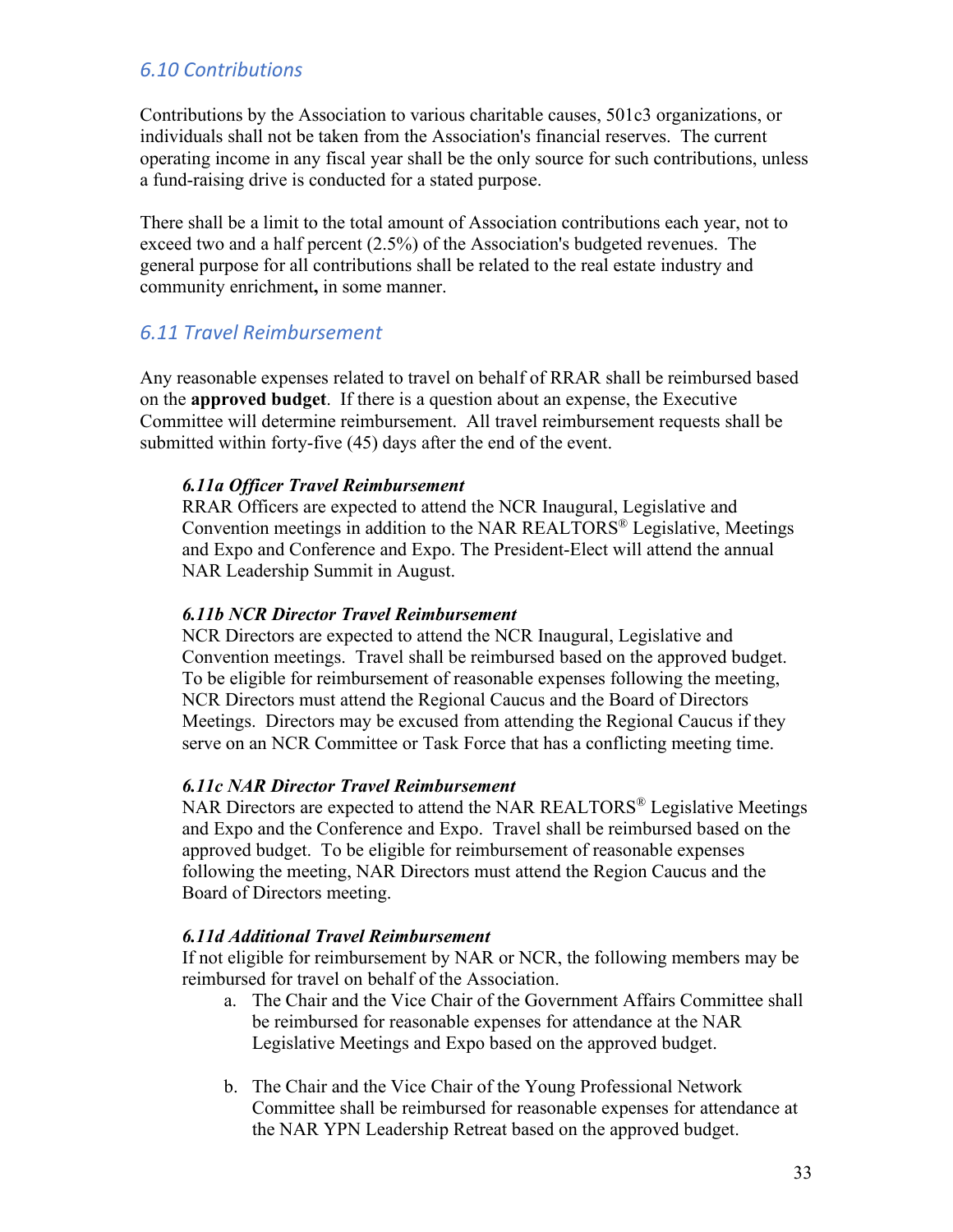### *6.10 Contributions*

Contributions by the Association to various charitable causes, 501c3 organizations, or individuals shall not be taken from the Association's financial reserves. The current operating income in any fiscal year shall be the only source for such contributions, unless a fund-raising drive is conducted for a stated purpose.

There shall be a limit to the total amount of Association contributions each year, not to exceed two and a half percent (2.5%) of the Association's budgeted revenues. The general purpose for all contributions shall be related to the real estate industry and community enrichment**,** in some manner.

#### *6.11 Travel Reimbursement*

Any reasonable expenses related to travel on behalf of RRAR shall be reimbursed based on the **approved budget**. If there is a question about an expense, the Executive Committee will determine reimbursement. All travel reimbursement requests shall be submitted within forty-five (45) days after the end of the event.

#### *6.11a Officer Travel Reimbursement*

RRAR Officers are expected to attend the NCR Inaugural, Legislative and Convention meetings in addition to the NAR REALTORS<sup>®</sup> Legislative, Meetings and Expo and Conference and Expo. The President-Elect will attend the annual NAR Leadership Summit in August.

#### *6.11b NCR Director Travel Reimbursement*

NCR Directors are expected to attend the NCR Inaugural, Legislative and Convention meetings. Travel shall be reimbursed based on the approved budget. To be eligible for reimbursement of reasonable expenses following the meeting, NCR Directors must attend the Regional Caucus and the Board of Directors Meetings. Directors may be excused from attending the Regional Caucus if they serve on an NCR Committee or Task Force that has a conflicting meeting time.

#### *6.11c NAR Director Travel Reimbursement*

NAR Directors are expected to attend the NAR REALTORS<sup>®</sup> Legislative Meetings and Expo and the Conference and Expo. Travel shall be reimbursed based on the approved budget. To be eligible for reimbursement of reasonable expenses following the meeting, NAR Directors must attend the Region Caucus and the Board of Directors meeting.

#### *6.11d Additional Travel Reimbursement*

If not eligible for reimbursement by NAR or NCR, the following members may be reimbursed for travel on behalf of the Association.

- a. The Chair and the Vice Chair of the Government Affairs Committee shall be reimbursed for reasonable expenses for attendance at the NAR Legislative Meetings and Expo based on the approved budget.
- b. The Chair and the Vice Chair of the Young Professional Network Committee shall be reimbursed for reasonable expenses for attendance at the NAR YPN Leadership Retreat based on the approved budget.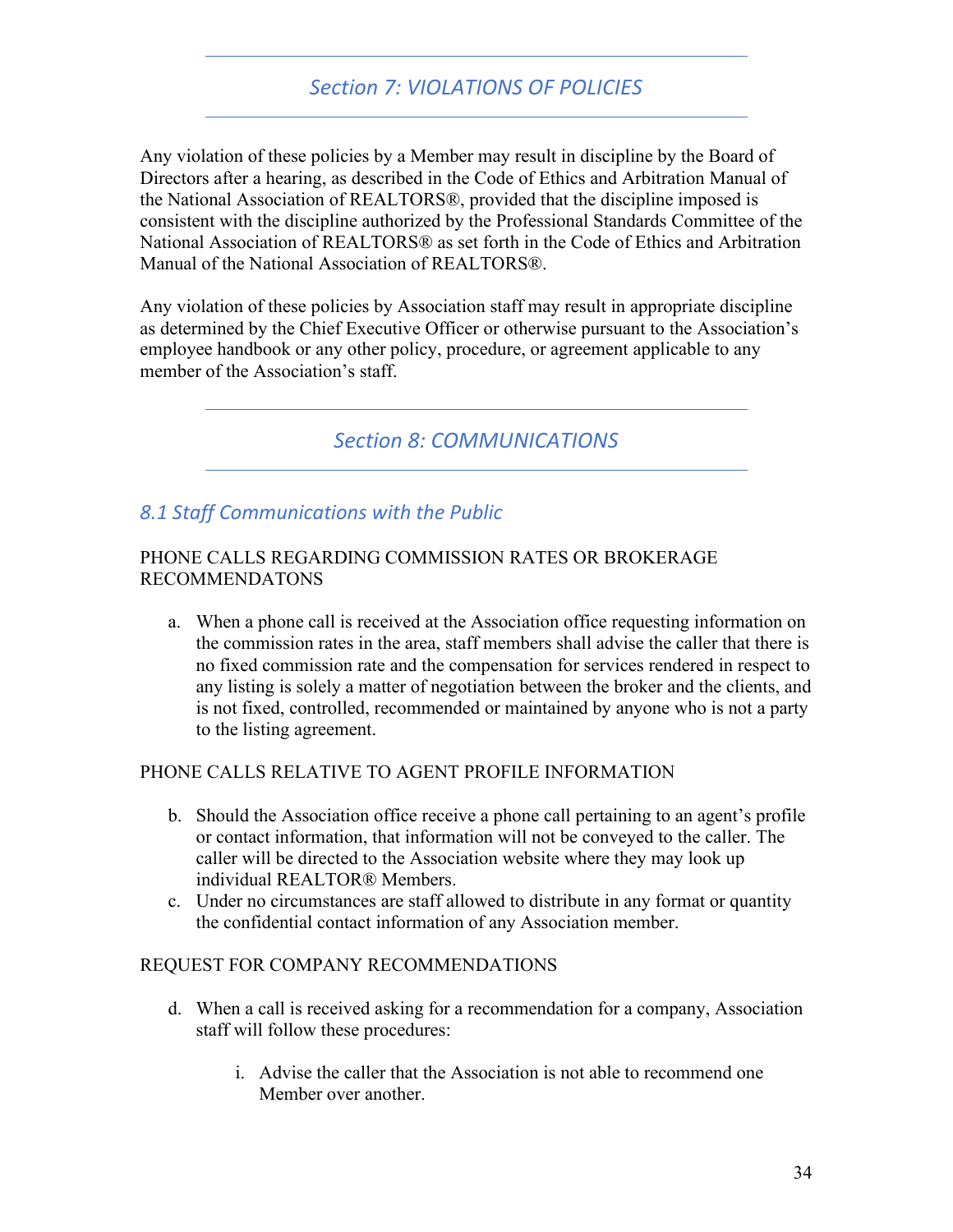# *Section 7: VIOLATIONS OF POLICIES*

Any violation of these policies by a Member may result in discipline by the Board of Directors after a hearing, as described in the Code of Ethics and Arbitration Manual of the National Association of REALTORS®, provided that the discipline imposed is consistent with the discipline authorized by the Professional Standards Committee of the National Association of REALTORS® as set forth in the Code of Ethics and Arbitration Manual of the National Association of REALTORS®.

Any violation of these policies by Association staff may result in appropriate discipline as determined by the Chief Executive Officer or otherwise pursuant to the Association's employee handbook or any other policy, procedure, or agreement applicable to any member of the Association's staff.

# *Section 8: COMMUNICATIONS*

### *8.1 Staff Communications with the Public*

#### PHONE CALLS REGARDING COMMISSION RATES OR BROKERAGE RECOMMENDATONS

a. When a phone call is received at the Association office requesting information on the commission rates in the area, staff members shall advise the caller that there is no fixed commission rate and the compensation for services rendered in respect to any listing is solely a matter of negotiation between the broker and the clients, and is not fixed, controlled, recommended or maintained by anyone who is not a party to the listing agreement.

#### PHONE CALLS RELATIVE TO AGENT PROFILE INFORMATION

- b. Should the Association office receive a phone call pertaining to an agent's profile or contact information, that information will not be conveyed to the caller. The caller will be directed to the Association website where they may look up individual REALTOR® Members.
- c. Under no circumstances are staff allowed to distribute in any format or quantity the confidential contact information of any Association member.

#### REQUEST FOR COMPANY RECOMMENDATIONS

- d. When a call is received asking for a recommendation for a company, Association staff will follow these procedures:
	- i. Advise the caller that the Association is not able to recommend one Member over another.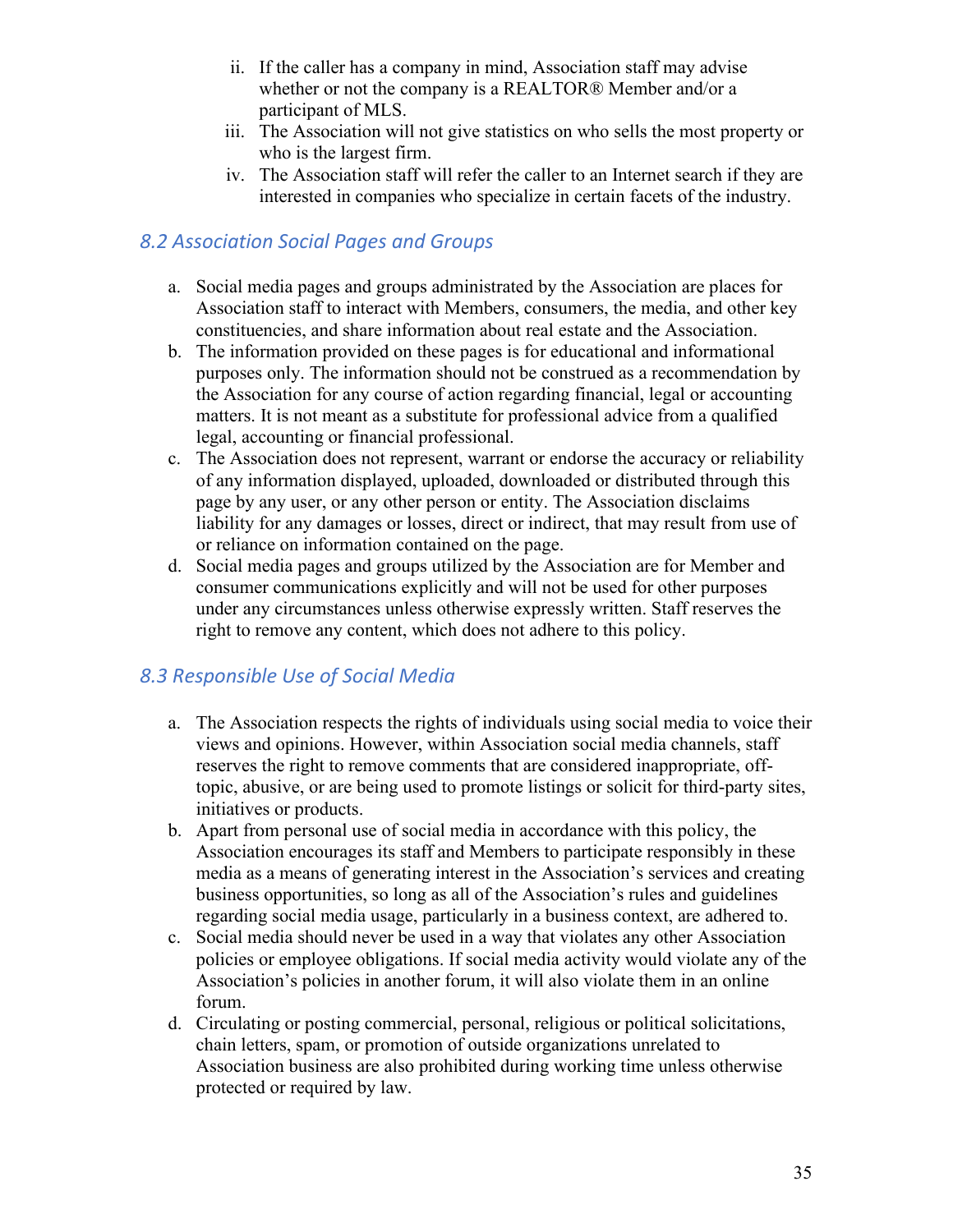- ii. If the caller has a company in mind, Association staff may advise whether or not the company is a REALTOR® Member and/or a participant of MLS.
- iii. The Association will not give statistics on who sells the most property or who is the largest firm.
- iv. The Association staff will refer the caller to an Internet search if they are interested in companies who specialize in certain facets of the industry.

### *8.2 Association Social Pages and Groups*

- a. Social media pages and groups administrated by the Association are places for Association staff to interact with Members, consumers, the media, and other key constituencies, and share information about real estate and the Association.
- b. The information provided on these pages is for educational and informational purposes only. The information should not be construed as a recommendation by the Association for any course of action regarding financial, legal or accounting matters. It is not meant as a substitute for professional advice from a qualified legal, accounting or financial professional.
- c. The Association does not represent, warrant or endorse the accuracy or reliability of any information displayed, uploaded, downloaded or distributed through this page by any user, or any other person or entity. The Association disclaims liability for any damages or losses, direct or indirect, that may result from use of or reliance on information contained on the page.
- d. Social media pages and groups utilized by the Association are for Member and consumer communications explicitly and will not be used for other purposes under any circumstances unless otherwise expressly written. Staff reserves the right to remove any content, which does not adhere to this policy.

# *8.3 Responsible Use of Social Media*

- a. The Association respects the rights of individuals using social media to voice their views and opinions. However, within Association social media channels, staff reserves the right to remove comments that are considered inappropriate, offtopic, abusive, or are being used to promote listings or solicit for third-party sites, initiatives or products.
- b. Apart from personal use of social media in accordance with this policy, the Association encourages its staff and Members to participate responsibly in these media as a means of generating interest in the Association's services and creating business opportunities, so long as all of the Association's rules and guidelines regarding social media usage, particularly in a business context, are adhered to.
- c. Social media should never be used in a way that violates any other Association policies or employee obligations. If social media activity would violate any of the Association's policies in another forum, it will also violate them in an online forum.
- d. Circulating or posting commercial, personal, religious or political solicitations, chain letters, spam, or promotion of outside organizations unrelated to Association business are also prohibited during working time unless otherwise protected or required by law.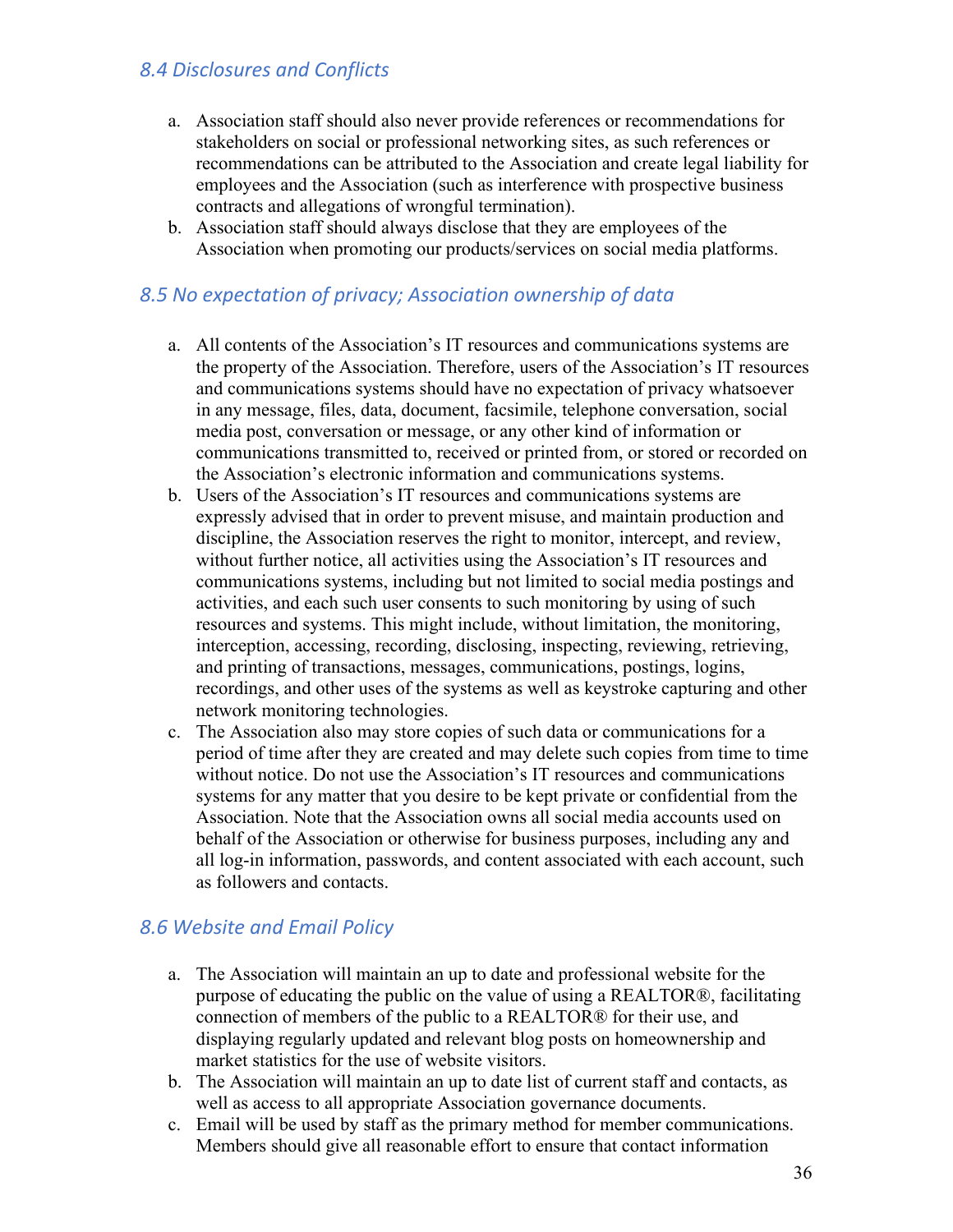### *8.4 Disclosures and Conflicts*

- a. Association staff should also never provide references or recommendations for stakeholders on social or professional networking sites, as such references or recommendations can be attributed to the Association and create legal liability for employees and the Association (such as interference with prospective business contracts and allegations of wrongful termination).
- b. Association staff should always disclose that they are employees of the Association when promoting our products/services on social media platforms.

### *8.5 No expectation of privacy; Association ownership of data*

- a. All contents of the Association's IT resources and communications systems are the property of the Association. Therefore, users of the Association's IT resources and communications systems should have no expectation of privacy whatsoever in any message, files, data, document, facsimile, telephone conversation, social media post, conversation or message, or any other kind of information or communications transmitted to, received or printed from, or stored or recorded on the Association's electronic information and communications systems.
- b. Users of the Association's IT resources and communications systems are expressly advised that in order to prevent misuse, and maintain production and discipline, the Association reserves the right to monitor, intercept, and review, without further notice, all activities using the Association's IT resources and communications systems, including but not limited to social media postings and activities, and each such user consents to such monitoring by using of such resources and systems. This might include, without limitation, the monitoring, interception, accessing, recording, disclosing, inspecting, reviewing, retrieving, and printing of transactions, messages, communications, postings, logins, recordings, and other uses of the systems as well as keystroke capturing and other network monitoring technologies.
- c. The Association also may store copies of such data or communications for a period of time after they are created and may delete such copies from time to time without notice. Do not use the Association's IT resources and communications systems for any matter that you desire to be kept private or confidential from the Association. Note that the Association owns all social media accounts used on behalf of the Association or otherwise for business purposes, including any and all log-in information, passwords, and content associated with each account, such as followers and contacts.

### *8.6 Website and Email Policy*

- a. The Association will maintain an up to date and professional website for the purpose of educating the public on the value of using a REALTOR®, facilitating connection of members of the public to a REALTOR® for their use, and displaying regularly updated and relevant blog posts on homeownership and market statistics for the use of website visitors.
- b. The Association will maintain an up to date list of current staff and contacts, as well as access to all appropriate Association governance documents.
- c. Email will be used by staff as the primary method for member communications. Members should give all reasonable effort to ensure that contact information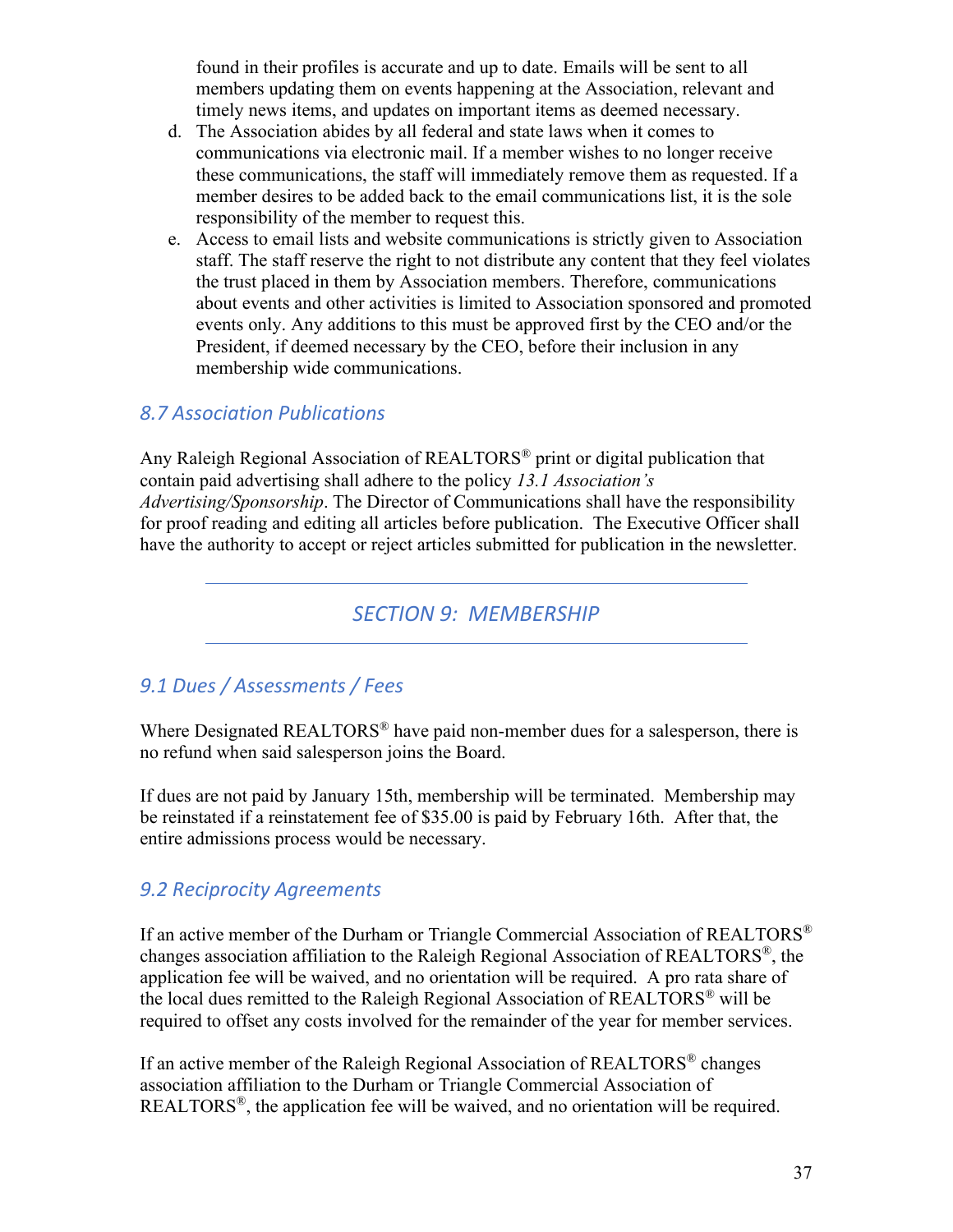found in their profiles is accurate and up to date. Emails will be sent to all members updating them on events happening at the Association, relevant and timely news items, and updates on important items as deemed necessary.

- d. The Association abides by all federal and state laws when it comes to communications via electronic mail. If a member wishes to no longer receive these communications, the staff will immediately remove them as requested. If a member desires to be added back to the email communications list, it is the sole responsibility of the member to request this.
- e. Access to email lists and website communications is strictly given to Association staff. The staff reserve the right to not distribute any content that they feel violates the trust placed in them by Association members. Therefore, communications about events and other activities is limited to Association sponsored and promoted events only. Any additions to this must be approved first by the CEO and/or the President, if deemed necessary by the CEO, before their inclusion in any membership wide communications.

### *8.7 Association Publications*

Any Raleigh Regional Association of REALTORS® print or digital publication that contain paid advertising shall adhere to the policy *13.1 Association's Advertising/Sponsorship*. The Director of Communications shall have the responsibility for proof reading and editing all articles before publication. The Executive Officer shall have the authority to accept or reject articles submitted for publication in the newsletter.

*SECTION 9: MEMBERSHIP*

# *9.1 Dues / Assessments / Fees*

Where Designated REALTORS<sup>®</sup> have paid non-member dues for a salesperson, there is no refund when said salesperson joins the Board.

If dues are not paid by January 15th, membership will be terminated. Membership may be reinstated if a reinstatement fee of \$35.00 is paid by February 16th. After that, the entire admissions process would be necessary.

# *9.2 Reciprocity Agreements*

If an active member of the Durham or Triangle Commercial Association of REALTORS® changes association affiliation to the Raleigh Regional Association of REALTORS®, the application fee will be waived, and no orientation will be required. A pro rata share of the local dues remitted to the Raleigh Regional Association of REALTORS® will be required to offset any costs involved for the remainder of the year for member services.

If an active member of the Raleigh Regional Association of REALTORS® changes association affiliation to the Durham or Triangle Commercial Association of REALTORS®, the application fee will be waived, and no orientation will be required.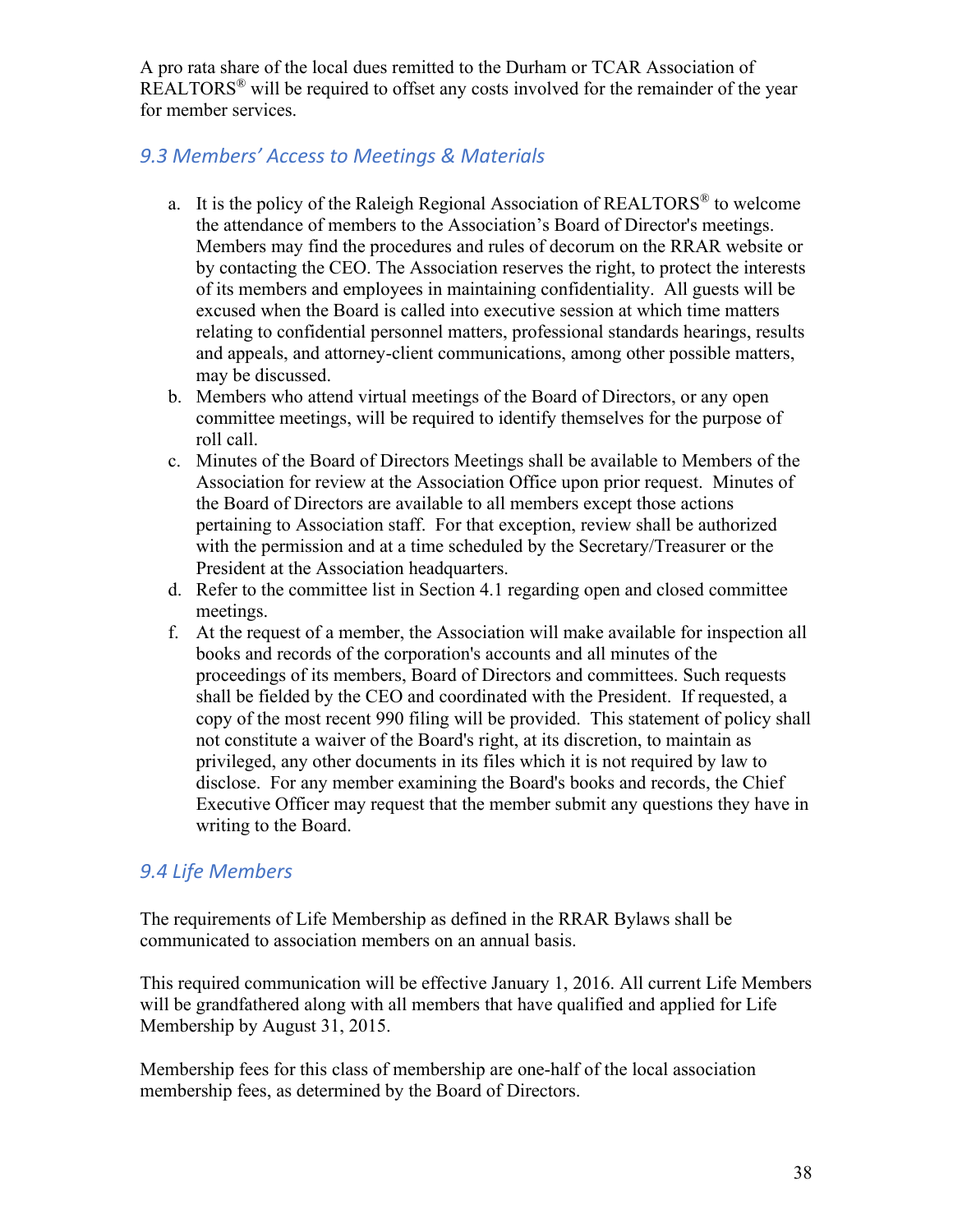A pro rata share of the local dues remitted to the Durham or TCAR Association of REALTORS<sup>®</sup> will be required to offset any costs involved for the remainder of the year for member services.

# *9.3 Members' Access to Meetings & Materials*

- a. It is the policy of the Raleigh Regional Association of  $REALTORS<sup>®</sup>$  to welcome the attendance of members to the Association's Board of Director's meetings. Members may find the procedures and rules of decorum on the RRAR website or by contacting the CEO. The Association reserves the right, to protect the interests of its members and employees in maintaining confidentiality. All guests will be excused when the Board is called into executive session at which time matters relating to confidential personnel matters, professional standards hearings, results and appeals, and attorney-client communications, among other possible matters, may be discussed.
- b. Members who attend virtual meetings of the Board of Directors, or any open committee meetings, will be required to identify themselves for the purpose of roll call.
- c. Minutes of the Board of Directors Meetings shall be available to Members of the Association for review at the Association Office upon prior request. Minutes of the Board of Directors are available to all members except those actions pertaining to Association staff. For that exception, review shall be authorized with the permission and at a time scheduled by the Secretary/Treasurer or the President at the Association headquarters.
- d. Refer to the committee list in Section 4.1 regarding open and closed committee meetings.
- f. At the request of a member, the Association will make available for inspection all books and records of the corporation's accounts and all minutes of the proceedings of its members, Board of Directors and committees. Such requests shall be fielded by the CEO and coordinated with the President. If requested, a copy of the most recent 990 filing will be provided. This statement of policy shall not constitute a waiver of the Board's right, at its discretion, to maintain as privileged, any other documents in its files which it is not required by law to disclose. For any member examining the Board's books and records, the Chief Executive Officer may request that the member submit any questions they have in writing to the Board.

### *9.4 Life Members*

The requirements of Life Membership as defined in the RRAR Bylaws shall be communicated to association members on an annual basis.

This required communication will be effective January 1, 2016. All current Life Members will be grandfathered along with all members that have qualified and applied for Life Membership by August 31, 2015.

Membership fees for this class of membership are one-half of the local association membership fees, as determined by the Board of Directors.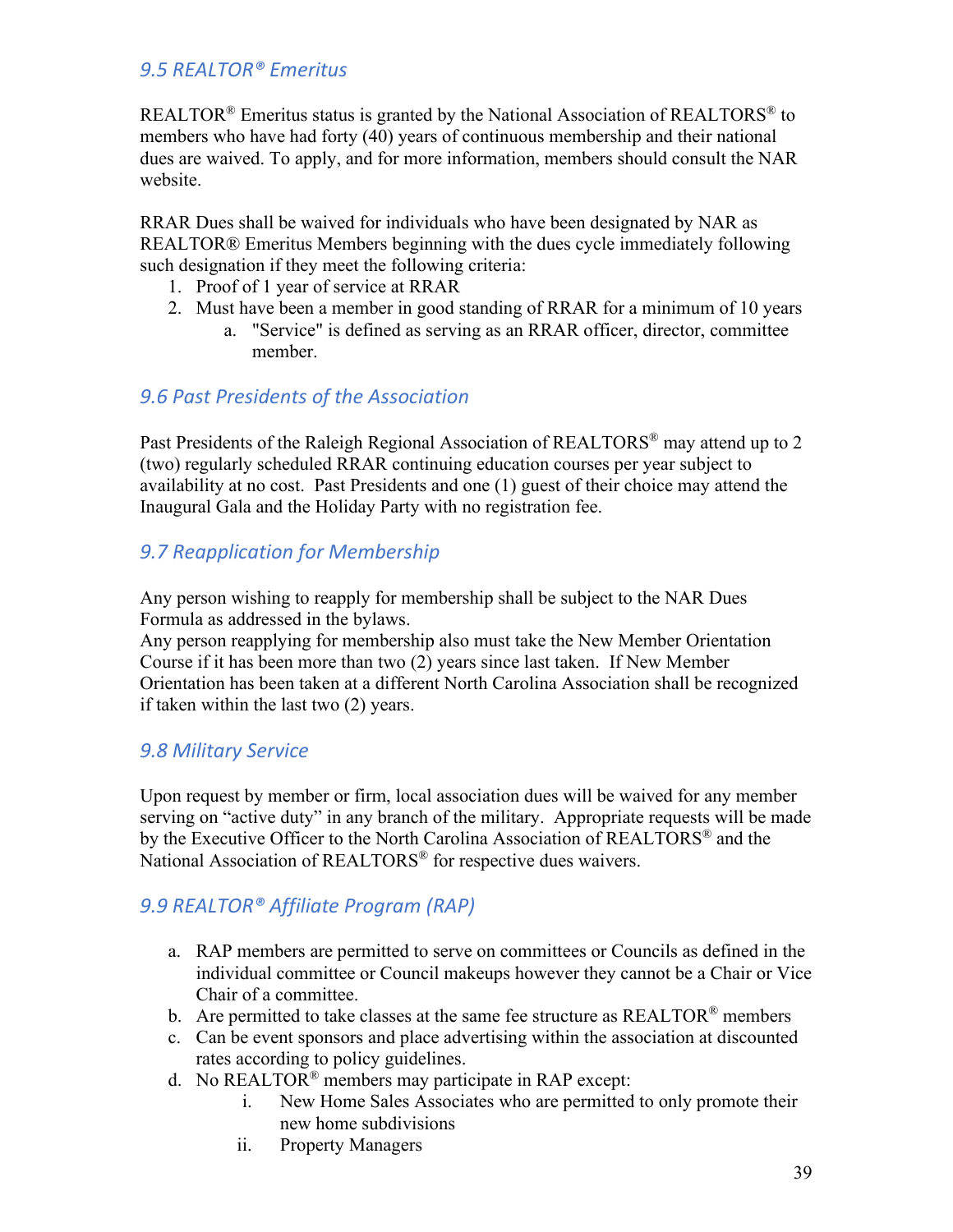### *9.5 REALTOR® Emeritus*

REALTOR<sup>®</sup> Emeritus status is granted by the National Association of REALTORS<sup>®</sup> to members who have had forty (40) years of continuous membership and their national dues are waived. To apply, and for more information, members should consult the NAR website.

RRAR Dues shall be waived for individuals who have been designated by NAR as REALTOR® Emeritus Members beginning with the dues cycle immediately following such designation if they meet the following criteria:

- 1. Proof of 1 year of service at RRAR
- 2. Must have been a member in good standing of RRAR for a minimum of 10 years
	- a. "Service" is defined as serving as an RRAR officer, director, committee member.

### *9.6 Past Presidents of the Association*

Past Presidents of the Raleigh Regional Association of REALTORS<sup>®</sup> may attend up to 2 (two) regularly scheduled RRAR continuing education courses per year subject to availability at no cost. Past Presidents and one (1) guest of their choice may attend the Inaugural Gala and the Holiday Party with no registration fee.

# *9.7 Reapplication for Membership*

Any person wishing to reapply for membership shall be subject to the NAR Dues Formula as addressed in the bylaws.

Any person reapplying for membership also must take the New Member Orientation Course if it has been more than two (2) years since last taken. If New Member Orientation has been taken at a different North Carolina Association shall be recognized if taken within the last two (2) years.

### *9.8 Military Service*

Upon request by member or firm, local association dues will be waived for any member serving on "active duty" in any branch of the military. Appropriate requests will be made by the Executive Officer to the North Carolina Association of REALTORS<sup>®</sup> and the National Association of REALTORS<sup>®</sup> for respective dues waivers.

# *9.9 REALTOR® Affiliate Program (RAP)*

- a. RAP members are permitted to serve on committees or Councils as defined in the individual committee or Council makeups however they cannot be a Chair or Vice Chair of a committee.
- b. Are permitted to take classes at the same fee structure as  $REALTOR^{\circledast}$  members
- c. Can be event sponsors and place advertising within the association at discounted rates according to policy guidelines.
- d. No REALTOR® members may participate in RAP except:
	- i. New Home Sales Associates who are permitted to only promote their new home subdivisions
	- ii. Property Managers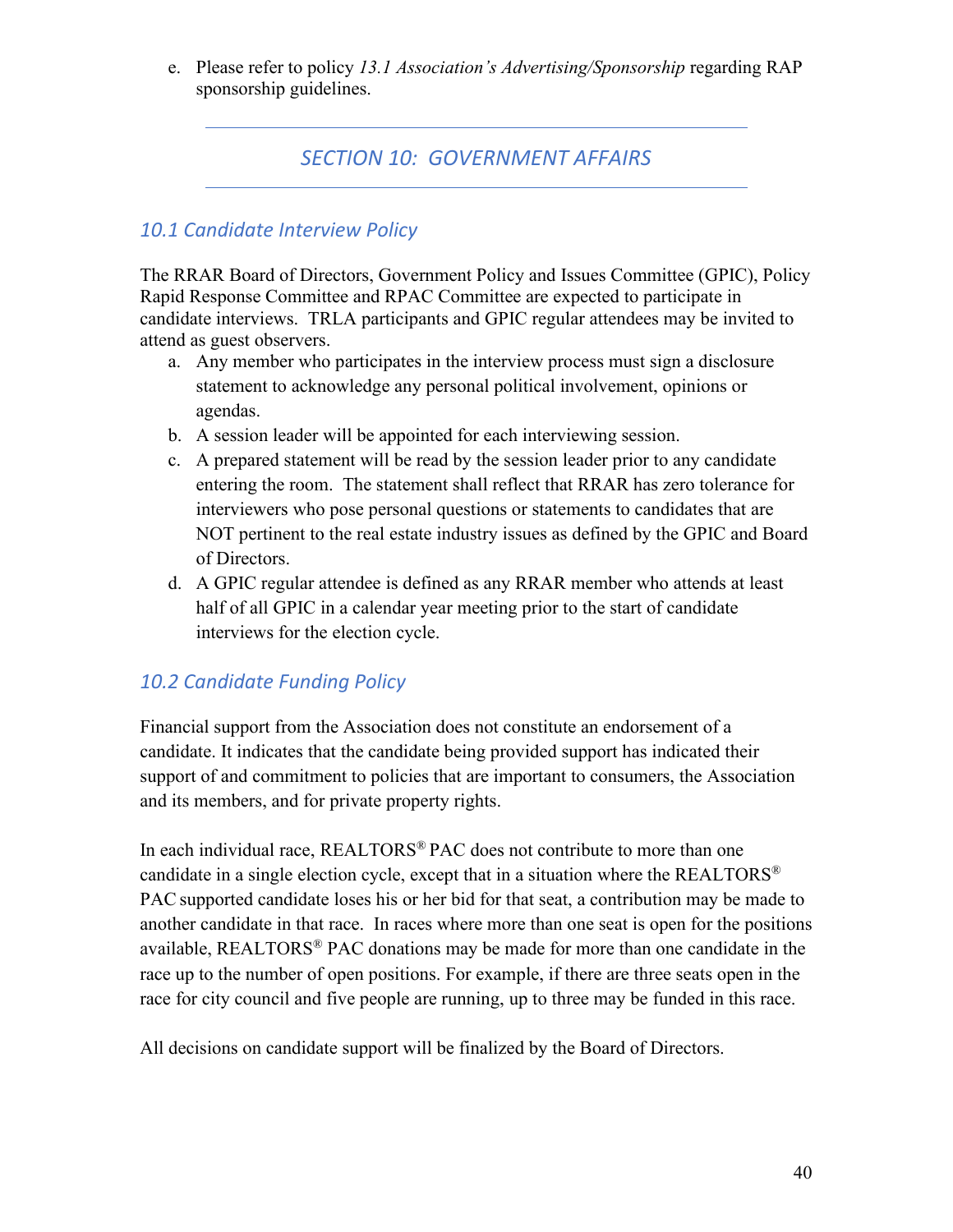e. Please refer to policy *13.1 Association's Advertising/Sponsorship* regarding RAP sponsorship guidelines.

# *SECTION 10: GOVERNMENT AFFAIRS*

### *10.1 Candidate Interview Policy*

The RRAR Board of Directors, Government Policy and Issues Committee (GPIC), Policy Rapid Response Committee and RPAC Committee are expected to participate in candidate interviews. TRLA participants and GPIC regular attendees may be invited to attend as guest observers.

- a. Any member who participates in the interview process must sign a disclosure statement to acknowledge any personal political involvement, opinions or agendas.
- b. A session leader will be appointed for each interviewing session.
- c. A prepared statement will be read by the session leader prior to any candidate entering the room. The statement shall reflect that RRAR has zero tolerance for interviewers who pose personal questions or statements to candidates that are NOT pertinent to the real estate industry issues as defined by the GPIC and Board of Directors.
- d. A GPIC regular attendee is defined as any RRAR member who attends at least half of all GPIC in a calendar year meeting prior to the start of candidate interviews for the election cycle.

# *10.2 Candidate Funding Policy*

Financial support from the Association does not constitute an endorsement of a candidate. It indicates that the candidate being provided support has indicated their support of and commitment to policies that are important to consumers, the Association and its members, and for private property rights.

In each individual race, REALTORS<sup>®</sup> PAC does not contribute to more than one candidate in a single election cycle, except that in a situation where the REALTORS<sup>®</sup> PAC supported candidate loses his or her bid for that seat, a contribution may be made to another candidate in that race. In races where more than one seat is open for the positions available, REALTORS® PAC donations may be made for more than one candidate in the race up to the number of open positions. For example, if there are three seats open in the race for city council and five people are running, up to three may be funded in this race.

All decisions on candidate support will be finalized by the Board of Directors.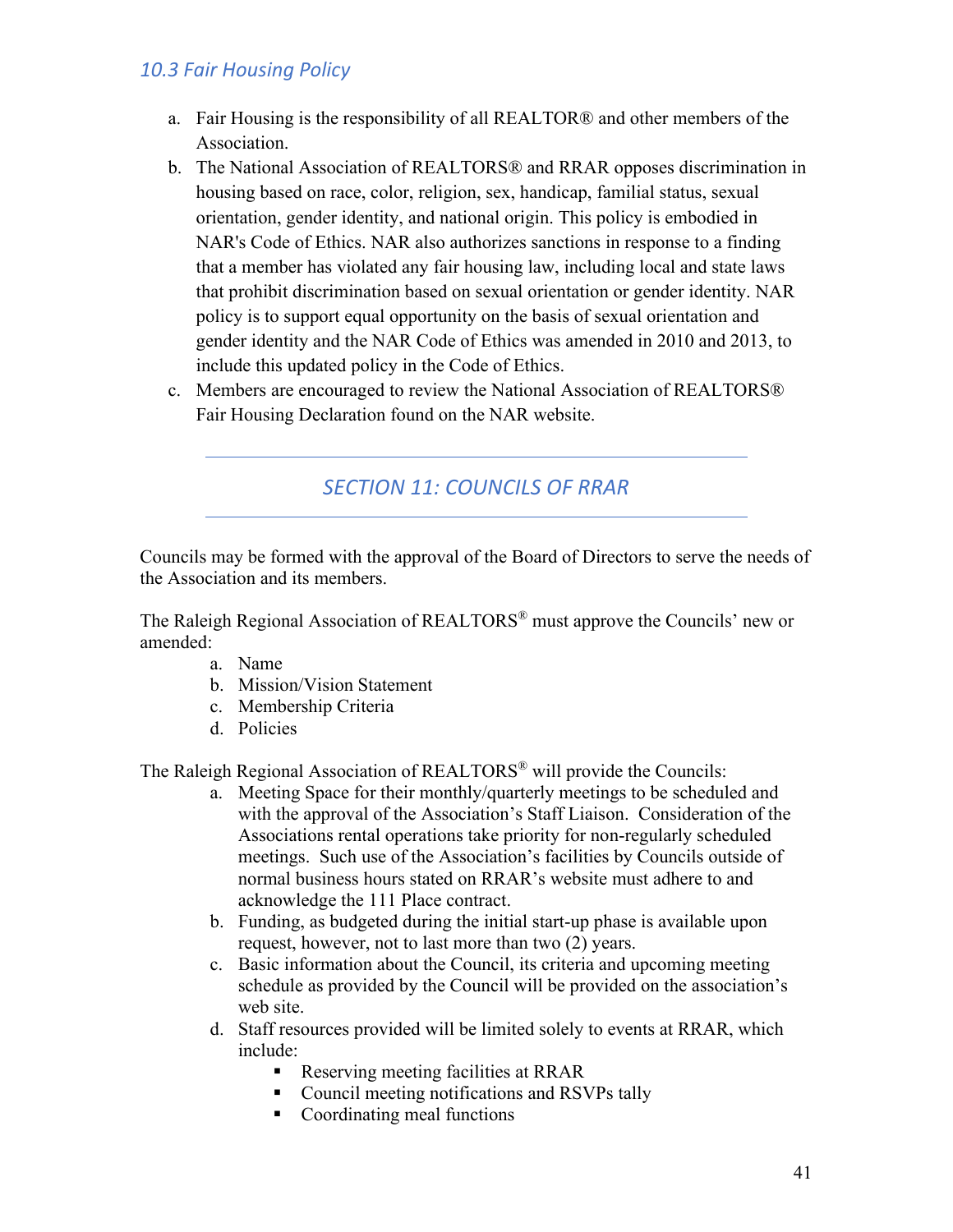### *10.3 Fair Housing Policy*

- a. Fair Housing is the responsibility of all REALTOR® and other members of the Association.
- b. The National Association of REALTORS® and RRAR opposes discrimination in housing based on race, color, religion, sex, handicap, familial status, sexual orientation, gender identity, and national origin. This policy is embodied in NAR's Code of Ethics. NAR also authorizes sanctions in response to a finding that a member has violated any fair housing law, including local and state laws that prohibit discrimination based on sexual orientation or gender identity. NAR policy is to support equal opportunity on the basis of sexual orientation and gender identity and the NAR Code of Ethics was amended in 2010 and 2013, to include this updated policy in the Code of Ethics.
- c. Members are encouraged to review the National Association of REALTORS® Fair Housing Declaration found on the NAR website.

*SECTION 11: COUNCILS OF RRAR*

Councils may be formed with the approval of the Board of Directors to serve the needs of the Association and its members.

The Raleigh Regional Association of REALTORS® must approve the Councils' new or amended:

- a. Name
- b. Mission/Vision Statement
- c. Membership Criteria
- d. Policies

The Raleigh Regional Association of REALTORS® will provide the Councils:

- a. Meeting Space for their monthly/quarterly meetings to be scheduled and with the approval of the Association's Staff Liaison. Consideration of the Associations rental operations take priority for non-regularly scheduled meetings. Such use of the Association's facilities by Councils outside of normal business hours stated on RRAR's website must adhere to and acknowledge the 111 Place contract.
- b. Funding, as budgeted during the initial start-up phase is available upon request, however, not to last more than two (2) years.
- c. Basic information about the Council, its criteria and upcoming meeting schedule as provided by the Council will be provided on the association's web site.
- d. Staff resources provided will be limited solely to events at RRAR, which include:
	- Reserving meeting facilities at RRAR
	- Council meeting notifications and RSVPs tally
	- Coordinating meal functions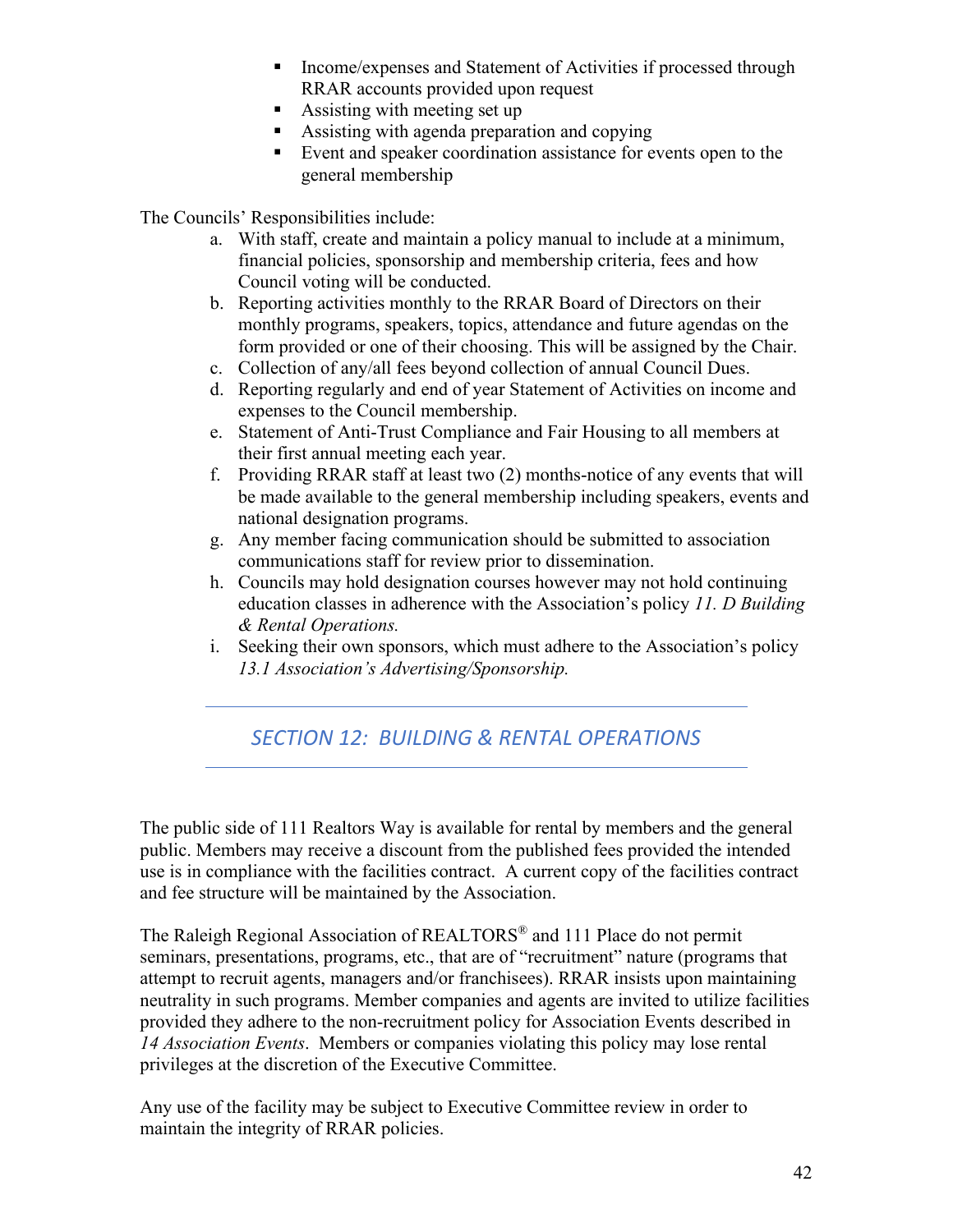- **Income/expenses and Statement of Activities if processed through** RRAR accounts provided upon request
- Assisting with meeting set up
- Assisting with agenda preparation and copying
- Event and speaker coordination assistance for events open to the general membership

The Councils' Responsibilities include:

- a. With staff, create and maintain a policy manual to include at a minimum, financial policies, sponsorship and membership criteria, fees and how Council voting will be conducted.
- b. Reporting activities monthly to the RRAR Board of Directors on their monthly programs, speakers, topics, attendance and future agendas on the form provided or one of their choosing. This will be assigned by the Chair.
- c. Collection of any/all fees beyond collection of annual Council Dues.
- d. Reporting regularly and end of year Statement of Activities on income and expenses to the Council membership.
- e. Statement of Anti-Trust Compliance and Fair Housing to all members at their first annual meeting each year.
- f. Providing RRAR staff at least two (2) months-notice of any events that will be made available to the general membership including speakers, events and national designation programs.
- g. Any member facing communication should be submitted to association communications staff for review prior to dissemination.
- h. Councils may hold designation courses however may not hold continuing education classes in adherence with the Association's policy *11. D Building & Rental Operations.*
- i. Seeking their own sponsors, which must adhere to the Association's policy *13.1 Association's Advertising/Sponsorship.*

# *SECTION 12: BUILDING & RENTAL OPERATIONS*

The public side of 111 Realtors Way is available for rental by members and the general public. Members may receive a discount from the published fees provided the intended use is in compliance with the facilities contract. A current copy of the facilities contract and fee structure will be maintained by the Association.

The Raleigh Regional Association of REALTORS® and 111 Place do not permit seminars, presentations, programs, etc., that are of "recruitment" nature (programs that attempt to recruit agents, managers and/or franchisees). RRAR insists upon maintaining neutrality in such programs. Member companies and agents are invited to utilize facilities provided they adhere to the non-recruitment policy for Association Events described in *14 Association Events*. Members or companies violating this policy may lose rental privileges at the discretion of the Executive Committee.

Any use of the facility may be subject to Executive Committee review in order to maintain the integrity of RRAR policies.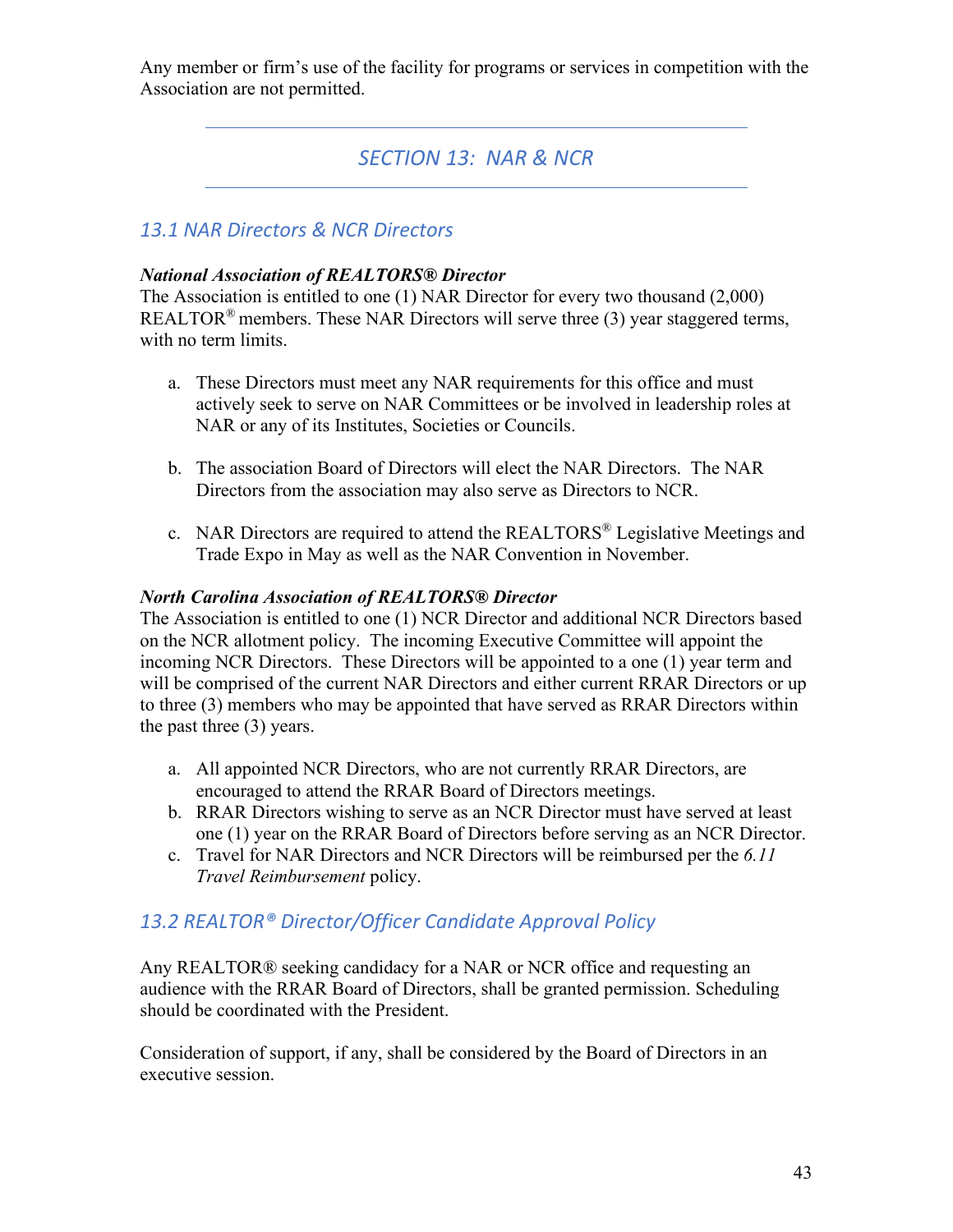Any member or firm's use of the facility for programs or services in competition with the Association are not permitted.

# *SECTION 13: NAR & NCR*

### *13.1 NAR Directors & NCR Directors*

#### *National Association of REALTORS® Director*

The Association is entitled to one (1) NAR Director for every two thousand (2,000) REALTOR<sup>®</sup> members. These NAR Directors will serve three  $(3)$  year staggered terms, with no term limits.

- a. These Directors must meet any NAR requirements for this office and must actively seek to serve on NAR Committees or be involved in leadership roles at NAR or any of its Institutes, Societies or Councils.
- b. The association Board of Directors will elect the NAR Directors. The NAR Directors from the association may also serve as Directors to NCR.
- c. NAR Directors are required to attend the REALTORS® Legislative Meetings and Trade Expo in May as well as the NAR Convention in November.

#### *North Carolina Association of REALTORS® Director*

The Association is entitled to one (1) NCR Director and additional NCR Directors based on the NCR allotment policy. The incoming Executive Committee will appoint the incoming NCR Directors. These Directors will be appointed to a one (1) year term and will be comprised of the current NAR Directors and either current RRAR Directors or up to three (3) members who may be appointed that have served as RRAR Directors within the past three (3) years.

- a. All appointed NCR Directors, who are not currently RRAR Directors, are encouraged to attend the RRAR Board of Directors meetings.
- b. RRAR Directors wishing to serve as an NCR Director must have served at least one (1) year on the RRAR Board of Directors before serving as an NCR Director.
- c. Travel for NAR Directors and NCR Directors will be reimbursed per the *6.11 Travel Reimbursement* policy.

### *13.2 REALTOR® Director/Officer Candidate Approval Policy*

Any REALTOR® seeking candidacy for a NAR or NCR office and requesting an audience with the RRAR Board of Directors, shall be granted permission. Scheduling should be coordinated with the President.

Consideration of support, if any, shall be considered by the Board of Directors in an executive session.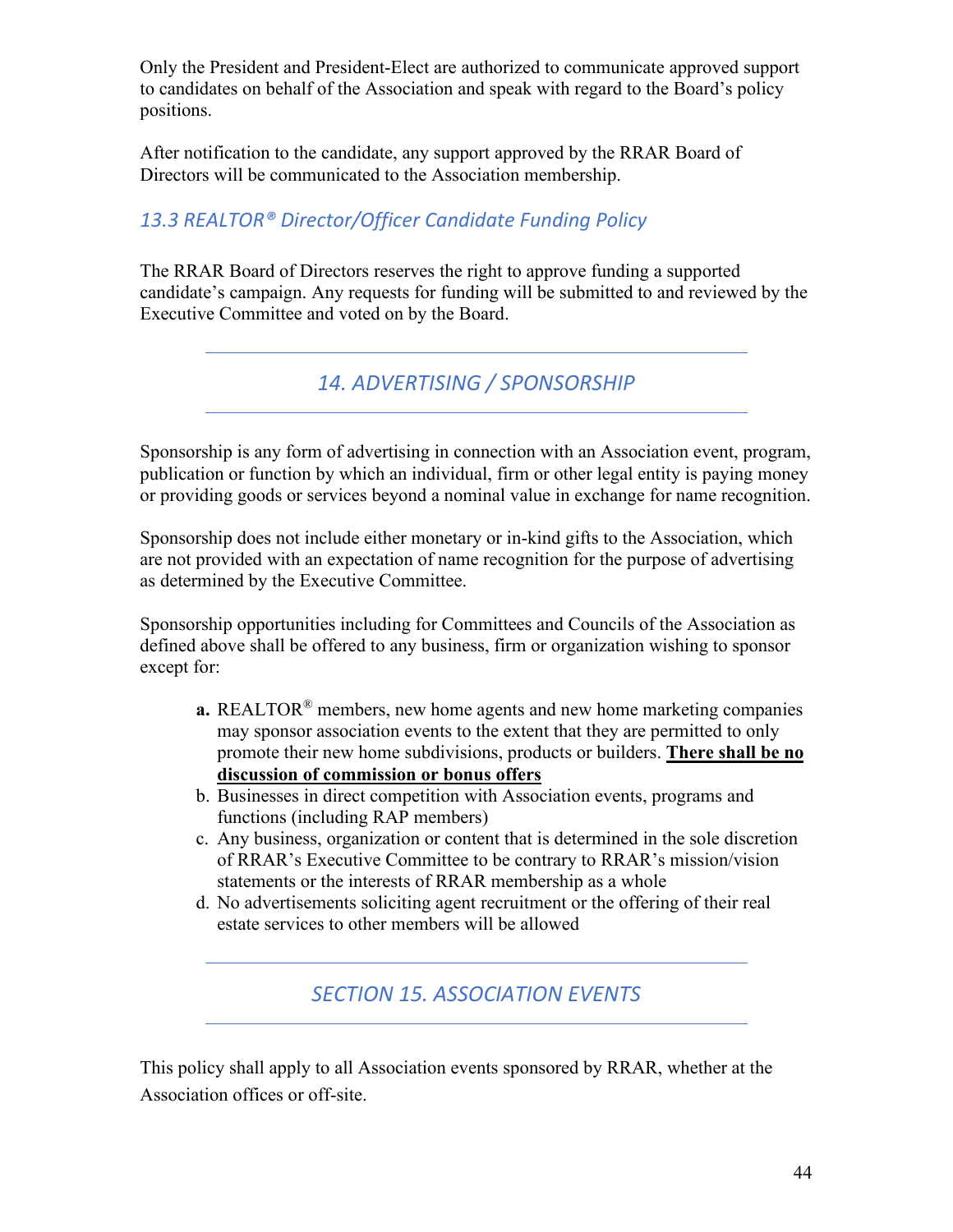Only the President and President-Elect are authorized to communicate approved support to candidates on behalf of the Association and speak with regard to the Board's policy positions.

After notification to the candidate, any support approved by the RRAR Board of Directors will be communicated to the Association membership.

# *13.3 REALTOR® Director/Officer Candidate Funding Policy*

The RRAR Board of Directors reserves the right to approve funding a supported candidate's campaign. Any requests for funding will be submitted to and reviewed by the Executive Committee and voted on by the Board.

*14. ADVERTISING / SPONSORSHIP*

Sponsorship is any form of advertising in connection with an Association event, program, publication or function by which an individual, firm or other legal entity is paying money or providing goods or services beyond a nominal value in exchange for name recognition.

Sponsorship does not include either monetary or in-kind gifts to the Association, which are not provided with an expectation of name recognition for the purpose of advertising as determined by the Executive Committee.

Sponsorship opportunities including for Committees and Councils of the Association as defined above shall be offered to any business, firm or organization wishing to sponsor except for:

- **a.** REALTOR® members, new home agents and new home marketing companies may sponsor association events to the extent that they are permitted to only promote their new home subdivisions, products or builders. **There shall be no discussion of commission or bonus offers**
- b. Businesses in direct competition with Association events, programs and functions (including RAP members)
- c. Any business, organization or content that is determined in the sole discretion of RRAR's Executive Committee to be contrary to RRAR's mission/vision statements or the interests of RRAR membership as a whole
- d. No advertisements soliciting agent recruitment or the offering of their real estate services to other members will be allowed

*SECTION 15. ASSOCIATION EVENTS*

This policy shall apply to all Association events sponsored by RRAR, whether at the Association offices or off-site.